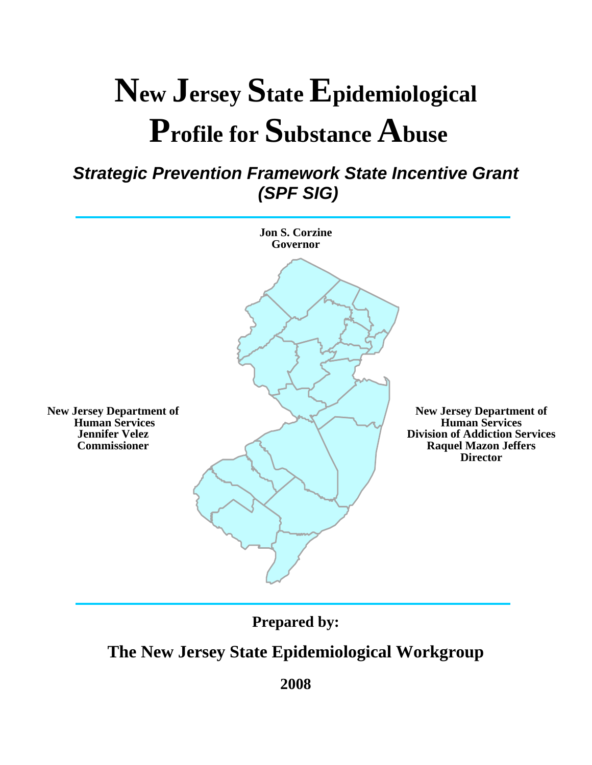### **New Jersey State Epidemiological Profile for Substance Abuse**

#### *Strategic Prevention Framework State Incentive Grant (SPF SIG)*



**Prepared by:** 

#### **The New Jersey State Epidemiological Workgroup**

**2008**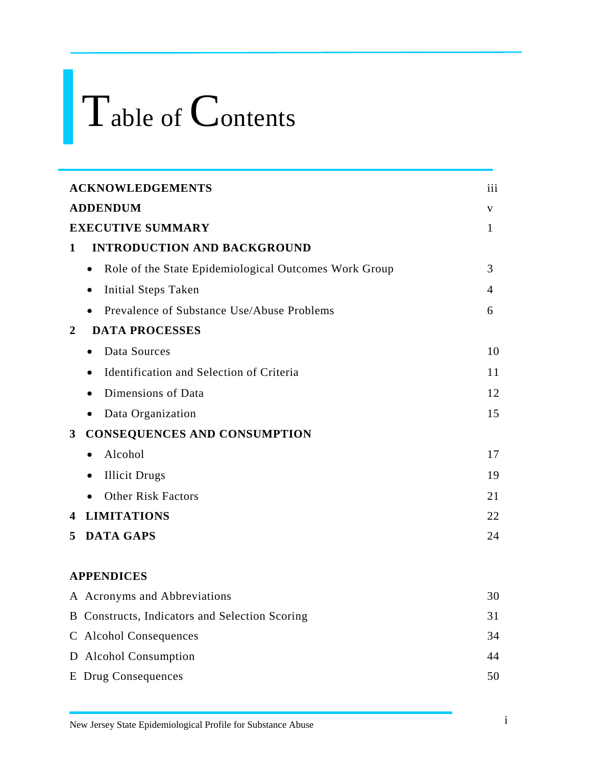### Table of Contents

|                | <b>ACKNOWLEDGEMENTS</b>                                            | iii |
|----------------|--------------------------------------------------------------------|-----|
|                | <b>ADDENDUM</b>                                                    | V   |
|                | <b>EXECUTIVE SUMMARY</b>                                           | 1   |
| 1              | <b>INTRODUCTION AND BACKGROUND</b>                                 |     |
|                | Role of the State Epidemiological Outcomes Work Group<br>$\bullet$ | 3   |
|                | <b>Initial Steps Taken</b><br>$\bullet$                            | 4   |
|                | Prevalence of Substance Use/Abuse Problems                         | 6   |
| $\overline{2}$ | <b>DATA PROCESSES</b>                                              |     |
|                | Data Sources<br>$\bullet$                                          | 10  |
|                | Identification and Selection of Criteria<br>$\bullet$              | 11  |
|                | Dimensions of Data                                                 | 12  |
|                | Data Organization<br>$\bullet$                                     | 15  |
| $3^{\circ}$    | <b>CONSEQUENCES AND CONSUMPTION</b>                                |     |
|                | Alcohol<br>$\bullet$                                               | 17  |
|                | <b>Illicit Drugs</b><br>٠                                          | 19  |
|                | <b>Other Risk Factors</b>                                          | 21  |
| 4              | <b>LIMITATIONS</b>                                                 | 22  |
| 5.             | <b>DATA GAPS</b>                                                   | 24  |
|                |                                                                    |     |
|                | <b>APPENDICES</b>                                                  |     |
|                | A Acronyms and Abbreviations                                       | 30  |
|                | B Constructs, Indicators and Selection Scoring                     | 31  |
|                | C Alcohol Consequences                                             | 34  |
|                | D Alcohol Consumption                                              | 44  |
|                | <b>E</b> Drug Consequences                                         | 50  |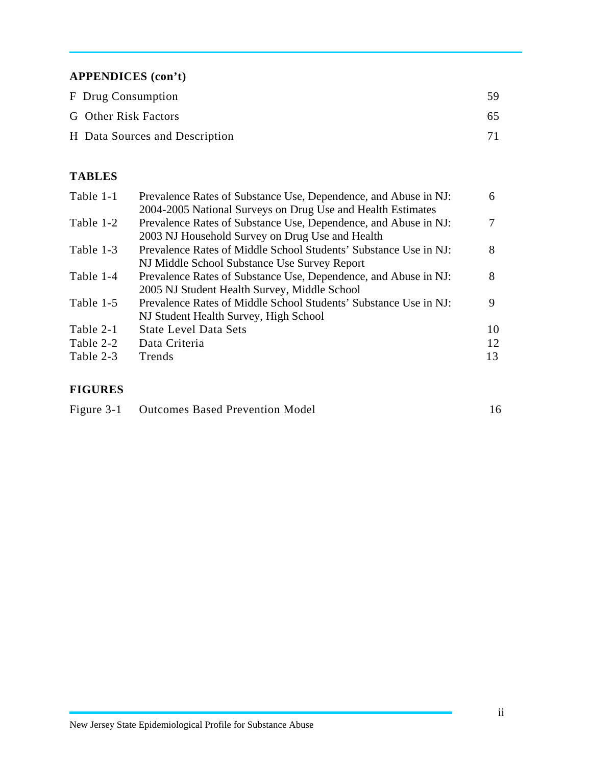#### **APPENDICES (con't)**

| F Drug Consumption             | 59. |
|--------------------------------|-----|
| G Other Risk Factors           | 65  |
| H Data Sources and Description |     |

#### **TABLES**

| Table 1-1 | Prevalence Rates of Substance Use, Dependence, and Abuse in NJ:  | 6  |
|-----------|------------------------------------------------------------------|----|
|           | 2004-2005 National Surveys on Drug Use and Health Estimates      |    |
| Table 1-2 | Prevalence Rates of Substance Use, Dependence, and Abuse in NJ:  |    |
|           | 2003 NJ Household Survey on Drug Use and Health                  |    |
| Table 1-3 | Prevalence Rates of Middle School Students' Substance Use in NJ: | 8  |
|           | NJ Middle School Substance Use Survey Report                     |    |
| Table 1-4 | Prevalence Rates of Substance Use, Dependence, and Abuse in NJ:  | 8  |
|           | 2005 NJ Student Health Survey, Middle School                     |    |
| Table 1-5 | Prevalence Rates of Middle School Students' Substance Use in NJ: | 9  |
|           | NJ Student Health Survey, High School                            |    |
| Table 2-1 | <b>State Level Data Sets</b>                                     | 10 |
| Table 2-2 | Data Criteria                                                    | 12 |
| Table 2-3 | Trends                                                           | 13 |
|           |                                                                  |    |

#### **FIGURES**

| Figure 3-1<br><b>Outcomes Based Prevention Model</b> |  |
|------------------------------------------------------|--|
|------------------------------------------------------|--|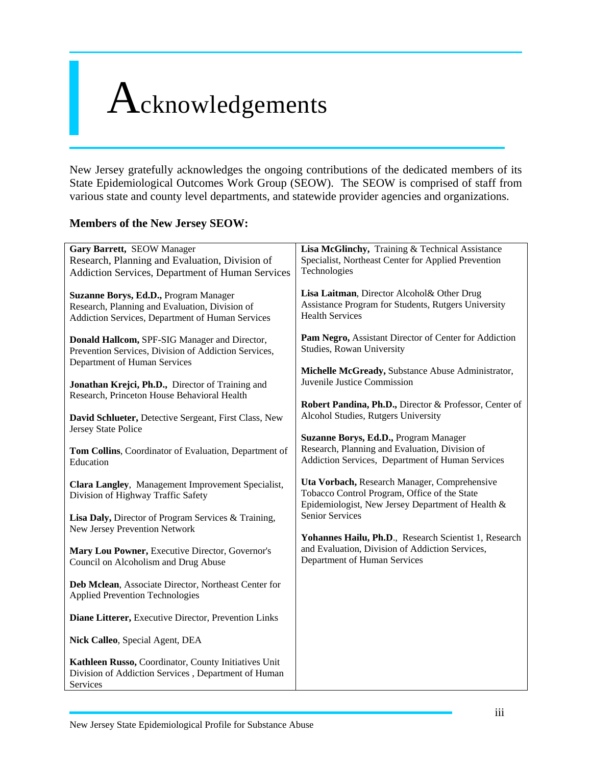### Acknowledgements

New Jersey gratefully acknowledges the ongoing contributions of the dedicated members of its State Epidemiological Outcomes Work Group (SEOW). The SEOW is comprised of staff from various state and county level departments, and statewide provider agencies and organizations.

#### **Members of the New Jersey SEOW:**

| Gary Barrett, SEOW Manager                                                                                                                  | Lisa McGlinchy, Training & Technical Assistance                                                                                                   |
|---------------------------------------------------------------------------------------------------------------------------------------------|---------------------------------------------------------------------------------------------------------------------------------------------------|
| Research, Planning and Evaluation, Division of                                                                                              | Specialist, Northeast Center for Applied Prevention                                                                                               |
| Addiction Services, Department of Human Services                                                                                            | Technologies                                                                                                                                      |
| Suzanne Borys, Ed.D., Program Manager<br>Research, Planning and Evaluation, Division of<br>Addiction Services, Department of Human Services | Lisa Laitman, Director Alcohol& Other Drug<br>Assistance Program for Students, Rutgers University<br><b>Health Services</b>                       |
| Donald Hallcom, SPF-SIG Manager and Director,<br>Prevention Services, Division of Addiction Services,<br>Department of Human Services       | Pam Negro, Assistant Director of Center for Addiction<br>Studies, Rowan University                                                                |
|                                                                                                                                             | Michelle McGready, Substance Abuse Administrator,<br>Juvenile Justice Commission                                                                  |
| Jonathan Krejci, Ph.D., Director of Training and<br>Research, Princeton House Behavioral Health                                             | Robert Pandina, Ph.D., Director & Professor, Center of                                                                                            |
| David Schlueter, Detective Sergeant, First Class, New<br>Jersey State Police                                                                | Alcohol Studies, Rutgers University                                                                                                               |
| Tom Collins, Coordinator of Evaluation, Department of<br>Education                                                                          | Suzanne Borys, Ed.D., Program Manager<br>Research, Planning and Evaluation, Division of<br>Addiction Services, Department of Human Services       |
| Clara Langley, Management Improvement Specialist,<br>Division of Highway Traffic Safety                                                     | Uta Vorbach, Research Manager, Comprehensive<br>Tobacco Control Program, Office of the State<br>Epidemiologist, New Jersey Department of Health & |
| Lisa Daly, Director of Program Services & Training,<br>New Jersey Prevention Network                                                        | Senior Services                                                                                                                                   |
| Mary Lou Powner, Executive Director, Governor's<br>Council on Alcoholism and Drug Abuse                                                     | Yohannes Hailu, Ph.D., Research Scientist 1, Research<br>and Evaluation, Division of Addiction Services,<br>Department of Human Services          |
| Deb Mclean, Associate Director, Northeast Center for<br><b>Applied Prevention Technologies</b>                                              |                                                                                                                                                   |
| Diane Litterer, Executive Director, Prevention Links                                                                                        |                                                                                                                                                   |
| Nick Calleo, Special Agent, DEA                                                                                                             |                                                                                                                                                   |
| Kathleen Russo, Coordinator, County Initiatives Unit<br>Division of Addiction Services, Department of Human<br>Services                     |                                                                                                                                                   |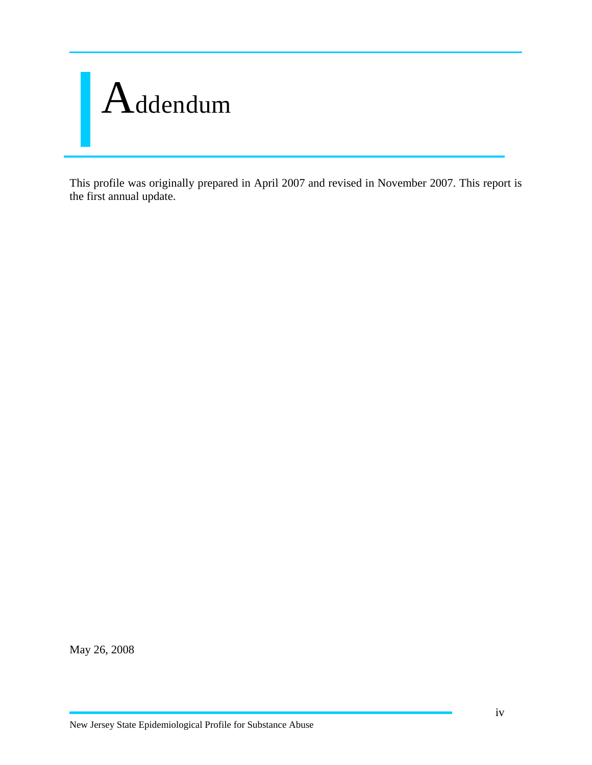

This profile was originally prepared in April 2007 and revised in November 2007. This report is the first annual update.

May 26, 2008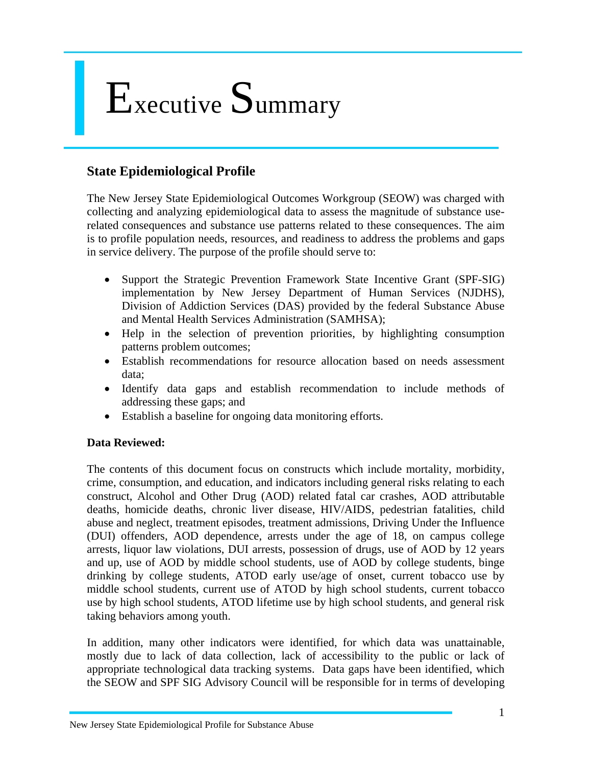### Executive Summary

#### **State Epidemiological Profile**

The New Jersey State Epidemiological Outcomes Workgroup (SEOW) was charged with collecting and analyzing epidemiological data to assess the magnitude of substance userelated consequences and substance use patterns related to these consequences. The aim is to profile population needs, resources, and readiness to address the problems and gaps in service delivery. The purpose of the profile should serve to:

- Support the Strategic Prevention Framework State Incentive Grant (SPF-SIG) implementation by New Jersey Department of Human Services (NJDHS), Division of Addiction Services (DAS) provided by the federal Substance Abuse and Mental Health Services Administration (SAMHSA);
- Help in the selection of prevention priorities, by highlighting consumption patterns problem outcomes;
- Establish recommendations for resource allocation based on needs assessment data;
- Identify data gaps and establish recommendation to include methods of addressing these gaps; and
- Establish a baseline for ongoing data monitoring efforts.

#### **Data Reviewed:**

The contents of this document focus on constructs which include mortality, morbidity, crime, consumption, and education, and indicators including general risks relating to each construct, Alcohol and Other Drug (AOD) related fatal car crashes, AOD attributable deaths, homicide deaths, chronic liver disease, HIV/AIDS, pedestrian fatalities, child abuse and neglect, treatment episodes, treatment admissions, Driving Under the Influence (DUI) offenders, AOD dependence, arrests under the age of 18, on campus college arrests, liquor law violations, DUI arrests, possession of drugs, use of AOD by 12 years and up, use of AOD by middle school students, use of AOD by college students, binge drinking by college students, ATOD early use/age of onset, current tobacco use by middle school students, current use of ATOD by high school students, current tobacco use by high school students, ATOD lifetime use by high school students, and general risk taking behaviors among youth.

In addition, many other indicators were identified, for which data was unattainable, mostly due to lack of data collection, lack of accessibility to the public or lack of appropriate technological data tracking systems. Data gaps have been identified, which the SEOW and SPF SIG Advisory Council will be responsible for in terms of developing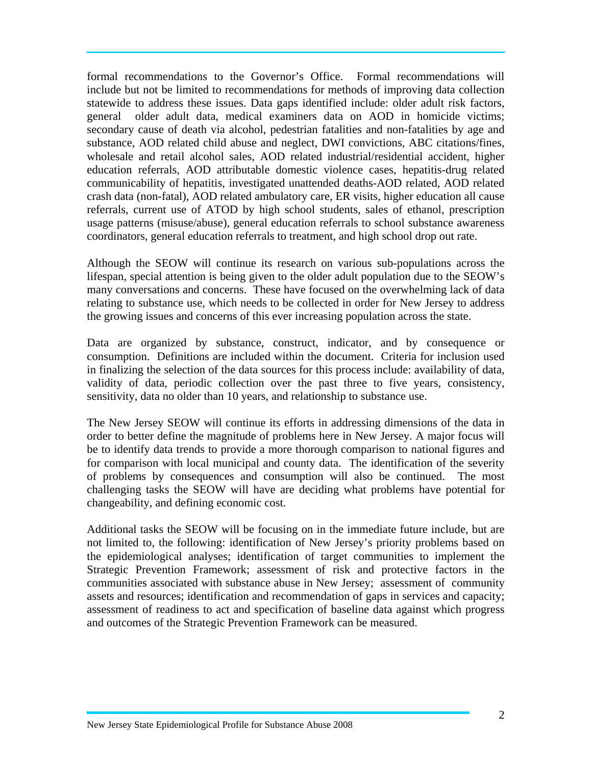formal recommendations to the Governor's Office. Formal recommendations will include but not be limited to recommendations for methods of improving data collection statewide to address these issues. Data gaps identified include: older adult risk factors, general older adult data, medical examiners data on AOD in homicide victims; secondary cause of death via alcohol, pedestrian fatalities and non-fatalities by age and substance, AOD related child abuse and neglect, DWI convictions, ABC citations/fines, wholesale and retail alcohol sales, AOD related industrial/residential accident, higher education referrals, AOD attributable domestic violence cases, hepatitis-drug related communicability of hepatitis, investigated unattended deaths-AOD related, AOD related crash data (non-fatal), AOD related ambulatory care, ER visits, higher education all cause referrals, current use of ATOD by high school students, sales of ethanol, prescription usage patterns (misuse/abuse), general education referrals to school substance awareness coordinators, general education referrals to treatment, and high school drop out rate.

Although the SEOW will continue its research on various sub-populations across the lifespan, special attention is being given to the older adult population due to the SEOW's many conversations and concerns. These have focused on the overwhelming lack of data relating to substance use, which needs to be collected in order for New Jersey to address the growing issues and concerns of this ever increasing population across the state.

Data are organized by substance, construct, indicator, and by consequence or consumption. Definitions are included within the document. Criteria for inclusion used in finalizing the selection of the data sources for this process include: availability of data, validity of data, periodic collection over the past three to five years, consistency, sensitivity, data no older than 10 years, and relationship to substance use.

The New Jersey SEOW will continue its efforts in addressing dimensions of the data in order to better define the magnitude of problems here in New Jersey. A major focus will be to identify data trends to provide a more thorough comparison to national figures and for comparison with local municipal and county data. The identification of the severity of problems by consequences and consumption will also be continued. The most challenging tasks the SEOW will have are deciding what problems have potential for changeability, and defining economic cost.

Additional tasks the SEOW will be focusing on in the immediate future include, but are not limited to, the following: identification of New Jersey's priority problems based on the epidemiological analyses; identification of target communities to implement the Strategic Prevention Framework; assessment of risk and protective factors in the communities associated with substance abuse in New Jersey; assessment of community assets and resources; identification and recommendation of gaps in services and capacity; assessment of readiness to act and specification of baseline data against which progress and outcomes of the Strategic Prevention Framework can be measured.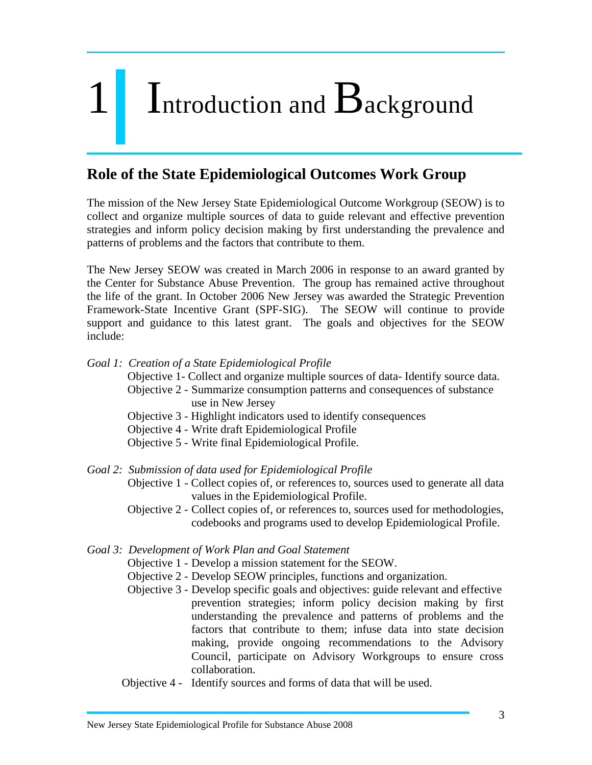## 1 Introduction and Background

#### **Role of the State Epidemiological Outcomes Work Group**

The mission of the New Jersey State Epidemiological Outcome Workgroup (SEOW) is to collect and organize multiple sources of data to guide relevant and effective prevention strategies and inform policy decision making by first understanding the prevalence and patterns of problems and the factors that contribute to them.

The New Jersey SEOW was created in March 2006 in response to an award granted by the Center for Substance Abuse Prevention. The group has remained active throughout the life of the grant. In October 2006 New Jersey was awarded the Strategic Prevention Framework-State Incentive Grant (SPF-SIG). The SEOW will continue to provide support and guidance to this latest grant. The goals and objectives for the SEOW include:

#### *Goal 1: Creation of a State Epidemiological Profile*

Objective 1- Collect and organize multiple sources of data- Identify source data.

- Objective 2 Summarize consumption patterns and consequences of substance use in New Jersey
- Objective 3 Highlight indicators used to identify consequences
- Objective 4 Write draft Epidemiological Profile
- Objective 5 Write final Epidemiological Profile.
- *Goal 2: Submission of data used for Epidemiological Profile* 
	- Objective 1 Collect copies of, or references to, sources used to generate all data values in the Epidemiological Profile.
	- Objective 2 Collect copies of, or references to, sources used for methodologies, codebooks and programs used to develop Epidemiological Profile.

#### *Goal 3: Development of Work Plan and Goal Statement*

- Objective 1 Develop a mission statement for the SEOW.
- Objective 2 Develop SEOW principles, functions and organization.
- Objective 3 Develop specific goals and objectives: guide relevant and effective prevention strategies; inform policy decision making by first understanding the prevalence and patterns of problems and the factors that contribute to them; infuse data into state decision making, provide ongoing recommendations to the Advisory Council, participate on Advisory Workgroups to ensure cross collaboration.
- Objective 4 Identify sources and forms of data that will be used.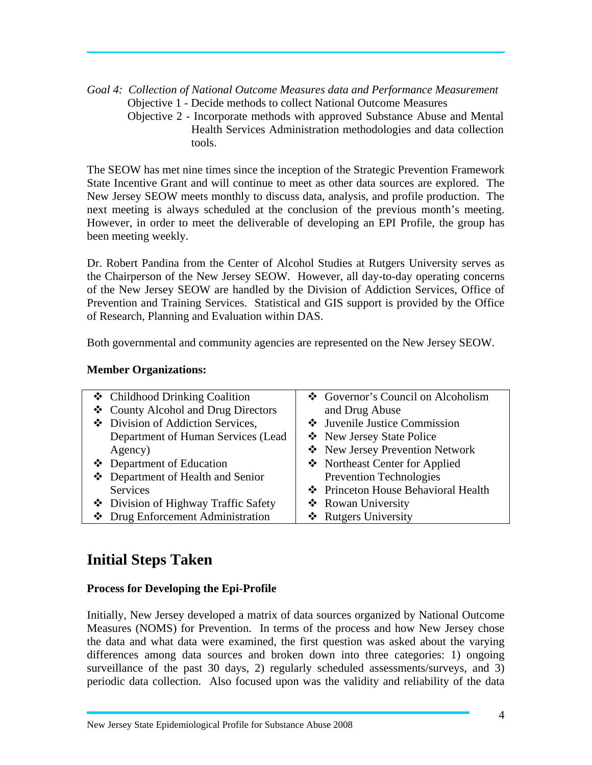*Goal 4: Collection of National Outcome Measures data and Performance Measurement* Objective 1 - Decide methods to collect National Outcome Measures

 Objective 2 - Incorporate methods with approved Substance Abuse and Mental Health Services Administration methodologies and data collection tools.

The SEOW has met nine times since the inception of the Strategic Prevention Framework State Incentive Grant and will continue to meet as other data sources are explored. The New Jersey SEOW meets monthly to discuss data, analysis, and profile production. The next meeting is always scheduled at the conclusion of the previous month's meeting. However, in order to meet the deliverable of developing an EPI Profile, the group has been meeting weekly.

Dr. Robert Pandina from the Center of Alcohol Studies at Rutgers University serves as the Chairperson of the New Jersey SEOW. However, all day-to-day operating concerns of the New Jersey SEOW are handled by the Division of Addiction Services, Office of Prevention and Training Services. Statistical and GIS support is provided by the Office of Research, Planning and Evaluation within DAS.

Both governmental and community agencies are represented on the New Jersey SEOW.

#### **Member Organizations:**

| ❖ Childhood Drinking Coalition       | ❖ Governor's Council on Alcoholism  |
|--------------------------------------|-------------------------------------|
| ❖ County Alcohol and Drug Directors  | and Drug Abuse                      |
| Division of Addiction Services,      | ❖ Juvenile Justice Commission       |
| Department of Human Services (Lead   | ❖ New Jersey State Police           |
| Agency)                              | ❖ New Jersey Prevention Network     |
| ❖ Department of Education            | ❖ Northeast Center for Applied      |
| ❖ Department of Health and Senior    | <b>Prevention Technologies</b>      |
| Services                             | ❖ Princeton House Behavioral Health |
| ❖ Division of Highway Traffic Safety | ❖ Rowan University                  |
| ❖ Drug Enforcement Administration    | ❖ Rutgers University                |

#### **Initial Steps Taken**

#### **Process for Developing the Epi-Profile**

Initially, New Jersey developed a matrix of data sources organized by National Outcome Measures (NOMS) for Prevention. In terms of the process and how New Jersey chose the data and what data were examined, the first question was asked about the varying differences among data sources and broken down into three categories: 1) ongoing surveillance of the past 30 days, 2) regularly scheduled assessments/surveys, and 3) periodic data collection. Also focused upon was the validity and reliability of the data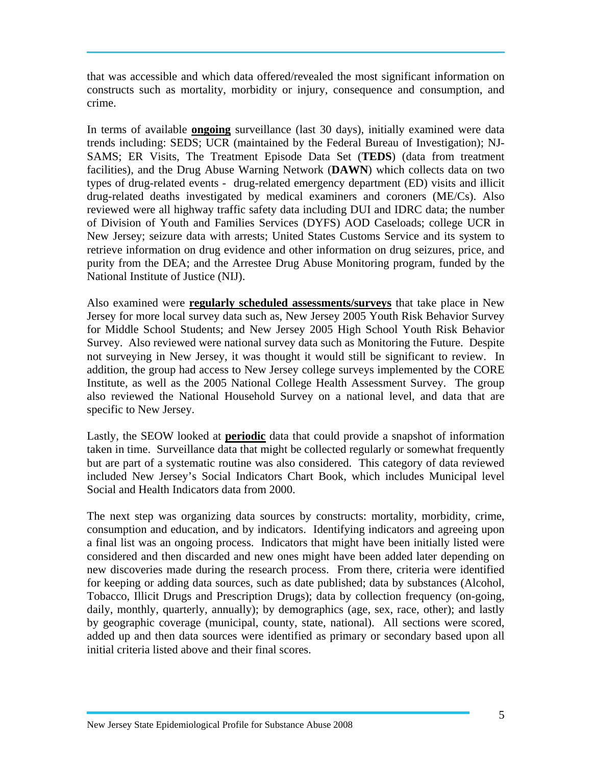that was accessible and which data offered/revealed the most significant information on constructs such as mortality, morbidity or injury, consequence and consumption, and crime.

In terms of available **ongoing** surveillance (last 30 days), initially examined were data trends including: SEDS; UCR (maintained by the Federal Bureau of Investigation); NJ-SAMS; ER Visits, The Treatment Episode Data Set (**TEDS**) (data from treatment facilities), and the Drug Abuse Warning Network (**DAWN**) which collects data on two types of drug-related events - drug-related emergency department (ED) visits and illicit drug-related deaths investigated by medical examiners and coroners (ME/Cs). Also reviewed were all highway traffic safety data including DUI and IDRC data; the number of Division of Youth and Families Services (DYFS) AOD Caseloads; college UCR in New Jersey; seizure data with arrests; United States Customs Service and its system to retrieve information on drug evidence and other information on drug seizures, price, and purity from the DEA; and the Arrestee Drug Abuse Monitoring program, funded by the National Institute of Justice (NIJ).

Also examined were **regularly scheduled assessments/surveys** that take place in New Jersey for more local survey data such as, New Jersey 2005 Youth Risk Behavior Survey for Middle School Students; and New Jersey 2005 High School Youth Risk Behavior Survey. Also reviewed were national survey data such as Monitoring the Future. Despite not surveying in New Jersey, it was thought it would still be significant to review. In addition, the group had access to New Jersey college surveys implemented by the CORE Institute, as well as the 2005 National College Health Assessment Survey. The group also reviewed the National Household Survey on a national level, and data that are specific to New Jersey.

Lastly, the SEOW looked at **periodic** data that could provide a snapshot of information taken in time. Surveillance data that might be collected regularly or somewhat frequently but are part of a systematic routine was also considered. This category of data reviewed included New Jersey's Social Indicators Chart Book, which includes Municipal level Social and Health Indicators data from 2000.

The next step was organizing data sources by constructs: mortality, morbidity, crime, consumption and education, and by indicators. Identifying indicators and agreeing upon a final list was an ongoing process. Indicators that might have been initially listed were considered and then discarded and new ones might have been added later depending on new discoveries made during the research process. From there, criteria were identified for keeping or adding data sources, such as date published; data by substances (Alcohol, Tobacco, Illicit Drugs and Prescription Drugs); data by collection frequency (on-going, daily, monthly, quarterly, annually); by demographics (age, sex, race, other); and lastly by geographic coverage (municipal, county, state, national). All sections were scored, added up and then data sources were identified as primary or secondary based upon all initial criteria listed above and their final scores.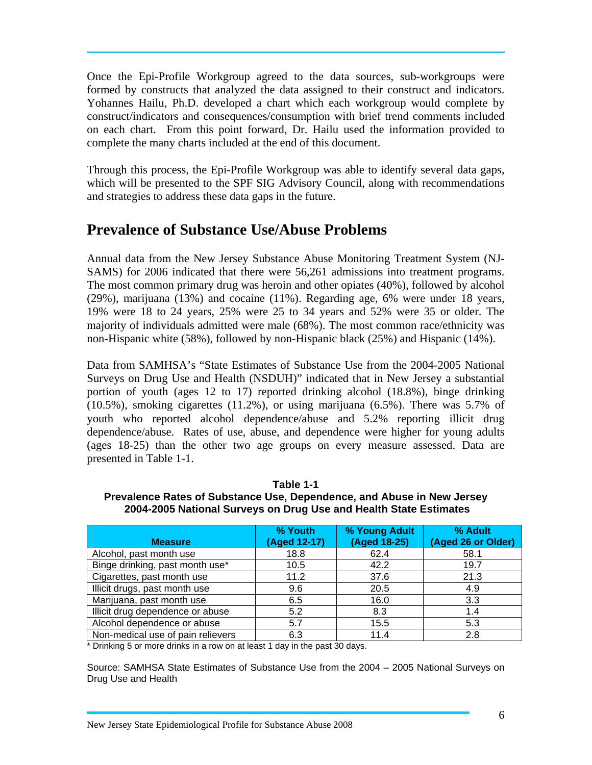Once the Epi-Profile Workgroup agreed to the data sources, sub-workgroups were formed by constructs that analyzed the data assigned to their construct and indicators. Yohannes Hailu, Ph.D. developed a chart which each workgroup would complete by construct/indicators and consequences/consumption with brief trend comments included on each chart. From this point forward, Dr. Hailu used the information provided to complete the many charts included at the end of this document.

Through this process, the Epi-Profile Workgroup was able to identify several data gaps, which will be presented to the SPF SIG Advisory Council, along with recommendations and strategies to address these data gaps in the future.

#### **Prevalence of Substance Use/Abuse Problems**

Annual data from the New Jersey Substance Abuse Monitoring Treatment System (NJ-SAMS) for 2006 indicated that there were 56,261 admissions into treatment programs. The most common primary drug was heroin and other opiates (40%), followed by alcohol (29%), marijuana (13%) and cocaine (11%). Regarding age, 6% were under 18 years, 19% were 18 to 24 years, 25% were 25 to 34 years and 52% were 35 or older. The majority of individuals admitted were male (68%). The most common race/ethnicity was non-Hispanic white (58%), followed by non-Hispanic black (25%) and Hispanic (14%).

Data from SAMHSA's "State Estimates of Substance Use from the 2004-2005 National Surveys on Drug Use and Health (NSDUH)" indicated that in New Jersey a substantial portion of youth (ages 12 to 17) reported drinking alcohol (18.8%), binge drinking (10.5%), smoking cigarettes (11.2%), or using marijuana (6.5%). There was 5.7% of youth who reported alcohol dependence/abuse and 5.2% reporting illicit drug dependence/abuse. Rates of use, abuse, and dependence were higher for young adults (ages 18-25) than the other two age groups on every measure assessed. Data are presented in Table 1-1.

**Table 1-1 Prevalence Rates of Substance Use, Dependence, and Abuse in New Jersey 2004-2005 National Surveys on Drug Use and Health State Estimates** 

| <b>Measure</b>                    | % Youth<br>(Aged 12-17) | % Young Adult<br>(Aged 18-25) | % Adult<br>(Aged 26 or Older) |
|-----------------------------------|-------------------------|-------------------------------|-------------------------------|
| Alcohol, past month use           | 18.8                    | 62.4                          | 58.1                          |
| Binge drinking, past month use*   | 10.5                    | 42.2                          | 19.7                          |
| Cigarettes, past month use        | 11.2                    | 37.6                          | 21.3                          |
| Illicit drugs, past month use     | 9.6                     | 20.5                          | 4.9                           |
| Marijuana, past month use         | 6.5                     | 16.0                          | 3.3                           |
| Illicit drug dependence or abuse  | 5.2                     | 8.3                           | 1.4                           |
| Alcohol dependence or abuse       | 5.7                     | 15.5                          | 5.3                           |
| Non-medical use of pain relievers | 6.3                     | 11.4                          | 2.8                           |

\* Drinking 5 or more drinks in a row on at least 1 day in the past 30 days.

Source: SAMHSA State Estimates of Substance Use from the 2004 – 2005 National Surveys on Drug Use and Health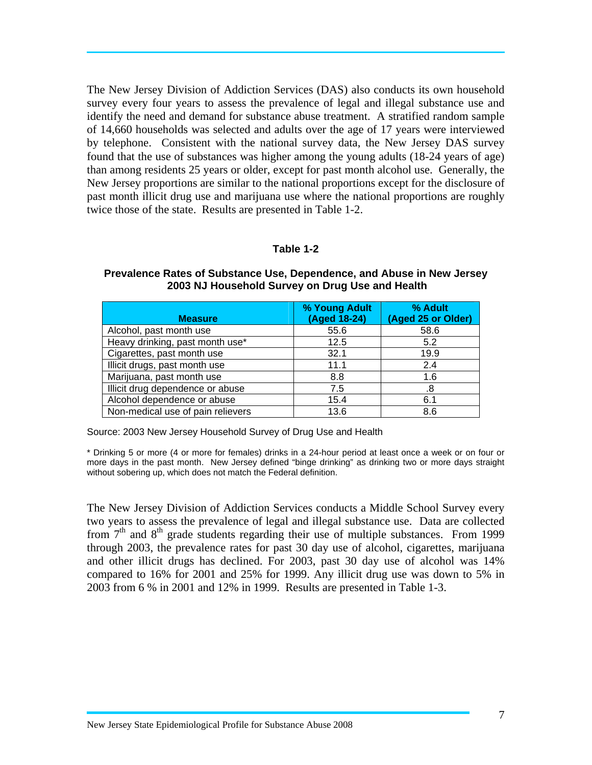The New Jersey Division of Addiction Services (DAS) also conducts its own household survey every four years to assess the prevalence of legal and illegal substance use and identify the need and demand for substance abuse treatment. A stratified random sample of 14,660 households was selected and adults over the age of 17 years were interviewed by telephone. Consistent with the national survey data, the New Jersey DAS survey found that the use of substances was higher among the young adults (18-24 years of age) than among residents 25 years or older, except for past month alcohol use. Generally, the New Jersey proportions are similar to the national proportions except for the disclosure of past month illicit drug use and marijuana use where the national proportions are roughly twice those of the state. Results are presented in Table 1-2.

#### **Table 1-2**

|                                   | % Young Adult | % Adult            |
|-----------------------------------|---------------|--------------------|
| <b>Measure</b>                    | (Aged 18-24)  | (Aged 25 or Older) |
| Alcohol, past month use           | 55.6          | 58.6               |
| Heavy drinking, past month use*   | 12.5          | 5.2                |
| Cigarettes, past month use        | 32.1          | 19.9               |
| Illicit drugs, past month use     | 11.1          | 2.4                |
| Marijuana, past month use         | 8.8           | 1.6                |
| Illicit drug dependence or abuse  | 7.5           | .8                 |
| Alcohol dependence or abuse       | 15.4          | 6.1                |
| Non-medical use of pain relievers | 13.6          | 8.6                |

#### **Prevalence Rates of Substance Use, Dependence, and Abuse in New Jersey 2003 NJ Household Survey on Drug Use and Health**

Source: 2003 New Jersey Household Survey of Drug Use and Health

\* Drinking 5 or more (4 or more for females) drinks in a 24-hour period at least once a week or on four or more days in the past month. New Jersey defined "binge drinking" as drinking two or more days straight without sobering up, which does not match the Federal definition.

The New Jersey Division of Addiction Services conducts a Middle School Survey every two years to assess the prevalence of legal and illegal substance use. Data are collected from  $7<sup>th</sup>$  and  $8<sup>th</sup>$  grade students regarding their use of multiple substances. From 1999 through 2003, the prevalence rates for past 30 day use of alcohol, cigarettes, marijuana and other illicit drugs has declined. For 2003, past 30 day use of alcohol was 14% compared to 16% for 2001 and 25% for 1999. Any illicit drug use was down to 5% in 2003 from 6 % in 2001 and 12% in 1999. Results are presented in Table 1-3.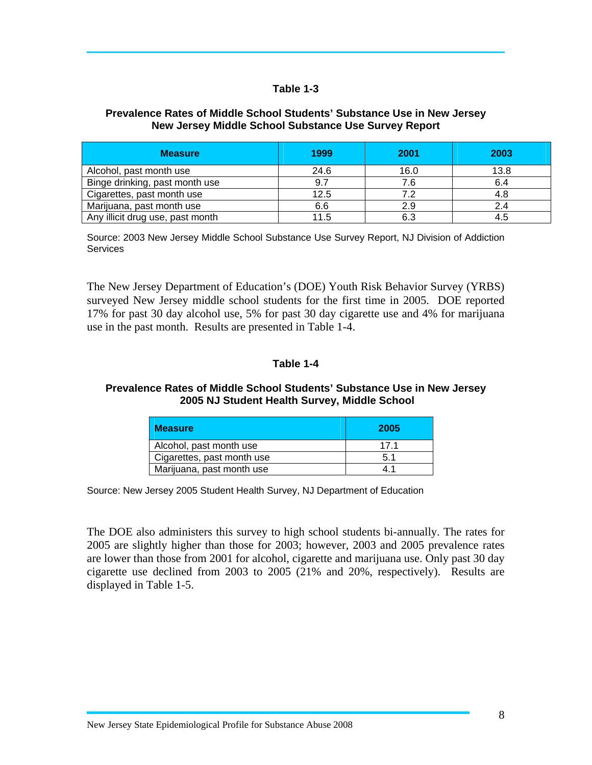#### **Table 1-3**

#### **Prevalence Rates of Middle School Students' Substance Use in New Jersey New Jersey Middle School Substance Use Survey Report**

| <b>Measure</b>                   | 1999 | 2001 | 2003 |
|----------------------------------|------|------|------|
| Alcohol, past month use          | 24.6 | 16.0 | 13.8 |
| Binge drinking, past month use   | 9.7  | 7.6  | 6.4  |
| Cigarettes, past month use       | 12.5 | 7.2  | 4.8  |
| Marijuana, past month use        | 6.6  | 2.9  | 2.4  |
| Any illicit drug use, past month | 11.5 | 6.3  |      |

Source: 2003 New Jersey Middle School Substance Use Survey Report, NJ Division of Addiction **Services** 

The New Jersey Department of Education's (DOE) Youth Risk Behavior Survey (YRBS) surveyed New Jersey middle school students for the first time in 2005. DOE reported 17% for past 30 day alcohol use, 5% for past 30 day cigarette use and 4% for marijuana use in the past month. Results are presented in Table 1-4.

#### **Table 1-4**

#### **Prevalence Rates of Middle School Students' Substance Use in New Jersey 2005 NJ Student Health Survey, Middle School**

| <b>Measure</b>             | 2005 |
|----------------------------|------|
| Alcohol, past month use    | 171  |
| Cigarettes, past month use | 5.1  |
| Marijuana, past month use  | 41   |

Source: New Jersey 2005 Student Health Survey, NJ Department of Education

The DOE also administers this survey to high school students bi-annually. The rates for 2005 are slightly higher than those for 2003; however, 2003 and 2005 prevalence rates are lower than those from 2001 for alcohol, cigarette and marijuana use. Only past 30 day cigarette use declined from 2003 to 2005 (21% and 20%, respectively). Results are displayed in Table 1-5.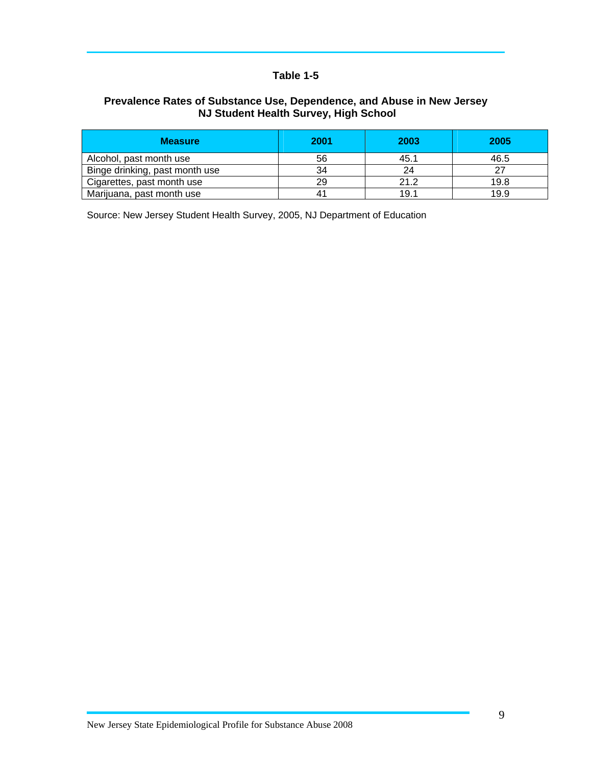#### **Table 1-5**

#### **Prevalence Rates of Substance Use, Dependence, and Abuse in New Jersey NJ Student Health Survey, High School**

| <b>Measure</b>                 | 2001 | 2003 | 2005 |
|--------------------------------|------|------|------|
| Alcohol, past month use        | 56   | 45.1 | 46.5 |
| Binge drinking, past month use | 34   | 24   |      |
| Cigarettes, past month use     | 29   | 21.2 | 19.8 |
| Marijuana, past month use      | 41   | 19.1 | 19.9 |

Source: New Jersey Student Health Survey, 2005, NJ Department of Education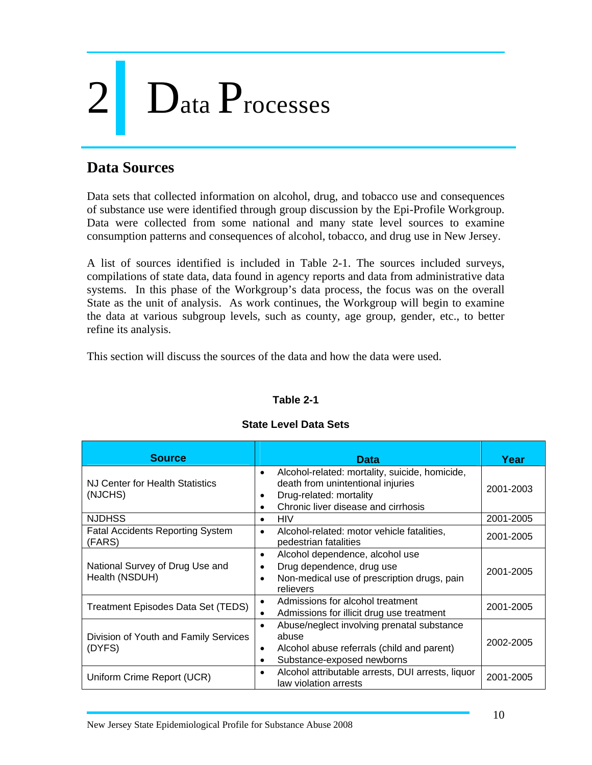# 2 Data Processes

#### **Data Sources**

Data sets that collected information on alcohol, drug, and tobacco use and consequences of substance use were identified through group discussion by the Epi-Profile Workgroup. Data were collected from some national and many state level sources to examine consumption patterns and consequences of alcohol, tobacco, and drug use in New Jersey.

A list of sources identified is included in Table 2-1. The sources included surveys, compilations of state data, data found in agency reports and data from administrative data systems. In this phase of the Workgroup's data process, the focus was on the overall State as the unit of analysis. As work continues, the Workgroup will begin to examine the data at various subgroup levels, such as county, age group, gender, etc., to better refine its analysis.

This section will discuss the sources of the data and how the data were used.

#### **Table 2-1**

| <b>Source</b>                                     | <b>Data</b>                                                                                                                                                                     | Year      |
|---------------------------------------------------|---------------------------------------------------------------------------------------------------------------------------------------------------------------------------------|-----------|
| NJ Center for Health Statistics<br>(NJCHS)        | Alcohol-related: mortality, suicide, homicide,<br>$\bullet$<br>death from unintentional injuries<br>Drug-related: mortality<br>Chronic liver disease and cirrhosis<br>$\bullet$ | 2001-2003 |
| <b>NJDHSS</b>                                     | <b>HIV</b><br>$\bullet$                                                                                                                                                         | 2001-2005 |
| <b>Fatal Accidents Reporting System</b><br>(FARS) | Alcohol-related: motor vehicle fatalities,<br>$\bullet$<br>pedestrian fatalities                                                                                                | 2001-2005 |
| National Survey of Drug Use and<br>Health (NSDUH) | Alcohol dependence, alcohol use<br>٠<br>Drug dependence, drug use<br>Non-medical use of prescription drugs, pain<br>relievers                                                   | 2001-2005 |
| Treatment Episodes Data Set (TEDS)                | Admissions for alcohol treatment<br>$\bullet$<br>Admissions for illicit drug use treatment                                                                                      | 2001-2005 |
| Division of Youth and Family Services<br>(DYFS)   | Abuse/neglect involving prenatal substance<br>$\bullet$<br>abuse<br>Alcohol abuse referrals (child and parent)<br>Substance-exposed newborns                                    | 2002-2005 |
| Uniform Crime Report (UCR)                        | Alcohol attributable arrests, DUI arrests, liquor<br>$\bullet$<br>law violation arrests                                                                                         | 2001-2005 |

#### **State Level Data Sets**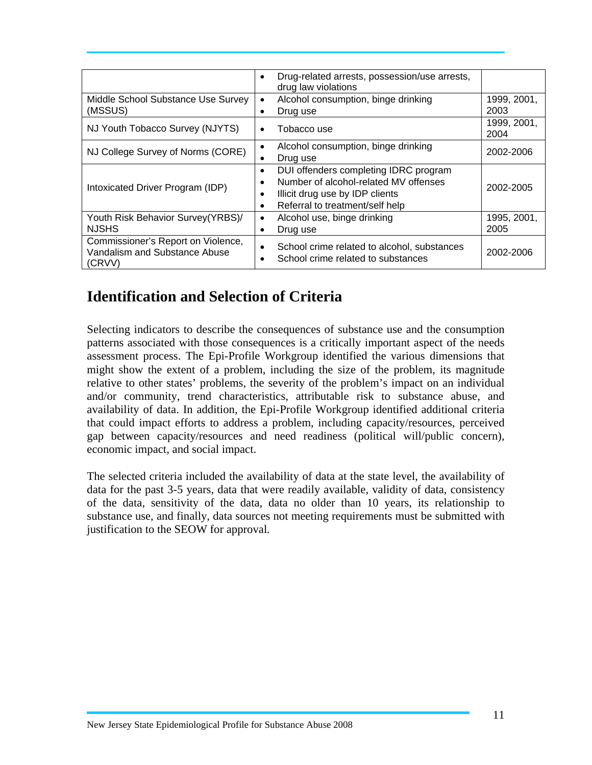|                                                                               | Drug-related arrests, possession/use arrests,<br>٠<br>drug law violations                                                                                                                |                     |
|-------------------------------------------------------------------------------|------------------------------------------------------------------------------------------------------------------------------------------------------------------------------------------|---------------------|
| Middle School Substance Use Survey<br>(MSSUS)                                 | Alcohol consumption, binge drinking<br>$\bullet$<br>Drug use                                                                                                                             | 1999, 2001,<br>2003 |
| NJ Youth Tobacco Survey (NJYTS)                                               | Tobacco use<br>$\bullet$                                                                                                                                                                 | 1999, 2001,<br>2004 |
| NJ College Survey of Norms (CORE)                                             | Alcohol consumption, binge drinking<br>٠<br>Drug use<br>٠                                                                                                                                | 2002-2006           |
| Intoxicated Driver Program (IDP)                                              | DUI offenders completing IDRC program<br>$\bullet$<br>Number of alcohol-related MV offenses<br>$\bullet$<br>Illicit drug use by IDP clients<br>٠<br>Referral to treatment/self help<br>٠ | 2002-2005           |
| Youth Risk Behavior Survey(YRBS)/<br><b>NJSHS</b>                             | Alcohol use, binge drinking<br>٠<br>Drug use<br>٠                                                                                                                                        | 1995, 2001,<br>2005 |
| Commissioner's Report on Violence,<br>Vandalism and Substance Abuse<br>(CRVV) | School crime related to alcohol, substances<br>$\bullet$<br>School crime related to substances                                                                                           | 2002-2006           |

#### **Identification and Selection of Criteria**

Selecting indicators to describe the consequences of substance use and the consumption patterns associated with those consequences is a critically important aspect of the needs assessment process. The Epi-Profile Workgroup identified the various dimensions that might show the extent of a problem, including the size of the problem, its magnitude relative to other states' problems, the severity of the problem's impact on an individual and/or community, trend characteristics, attributable risk to substance abuse, and availability of data. In addition, the Epi-Profile Workgroup identified additional criteria that could impact efforts to address a problem, including capacity/resources, perceived gap between capacity/resources and need readiness (political will/public concern), economic impact, and social impact.

The selected criteria included the availability of data at the state level, the availability of data for the past 3-5 years, data that were readily available, validity of data, consistency of the data, sensitivity of the data, data no older than 10 years, its relationship to substance use, and finally, data sources not meeting requirements must be submitted with justification to the SEOW for approval*.*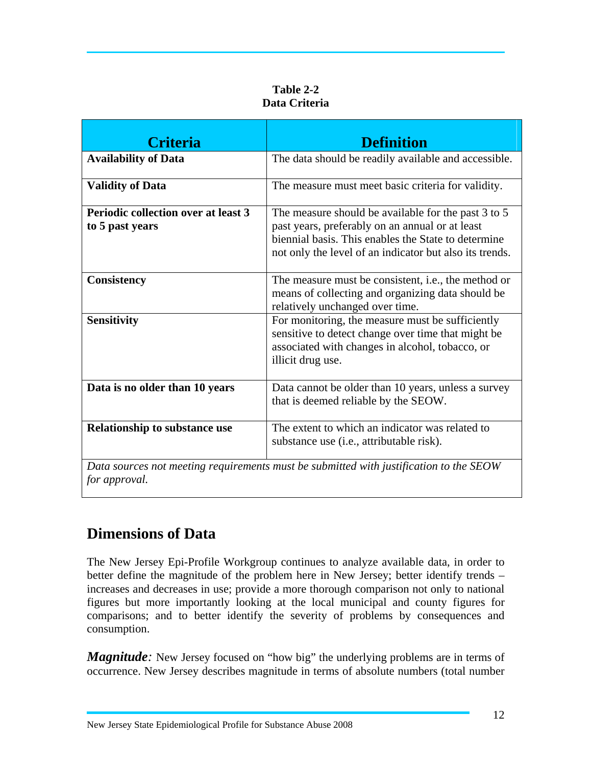| Table 2-2     |
|---------------|
| Data Criteria |

| <b>Criteria</b>                                               | <b>Definition</b>                                                                                                                                                                                                        |
|---------------------------------------------------------------|--------------------------------------------------------------------------------------------------------------------------------------------------------------------------------------------------------------------------|
| <b>Availability of Data</b>                                   | The data should be readily available and accessible.                                                                                                                                                                     |
| <b>Validity of Data</b>                                       | The measure must meet basic criteria for validity.                                                                                                                                                                       |
| <b>Periodic collection over at least 3</b><br>to 5 past years | The measure should be available for the past 3 to 5<br>past years, preferably on an annual or at least<br>biennial basis. This enables the State to determine<br>not only the level of an indicator but also its trends. |
| <b>Consistency</b>                                            | The measure must be consistent, i.e., the method or<br>means of collecting and organizing data should be<br>relatively unchanged over time.                                                                              |
| <b>Sensitivity</b>                                            | For monitoring, the measure must be sufficiently<br>sensitive to detect change over time that might be<br>associated with changes in alcohol, tobacco, or<br>illicit drug use.                                           |
| Data is no older than 10 years                                | Data cannot be older than 10 years, unless a survey<br>that is deemed reliable by the SEOW.                                                                                                                              |
| <b>Relationship to substance use</b>                          | The extent to which an indicator was related to<br>substance use (i.e., attributable risk).                                                                                                                              |
| for approval.                                                 | Data sources not meeting requirements must be submitted with justification to the SEOW                                                                                                                                   |

#### **Dimensions of Data**

The New Jersey Epi-Profile Workgroup continues to analyze available data, in order to better define the magnitude of the problem here in New Jersey; better identify trends – increases and decreases in use; provide a more thorough comparison not only to national figures but more importantly looking at the local municipal and county figures for comparisons; and to better identify the severity of problems by consequences and consumption.

*Magnitude*: New Jersey focused on "how big" the underlying problems are in terms of occurrence. New Jersey describes magnitude in terms of absolute numbers (total number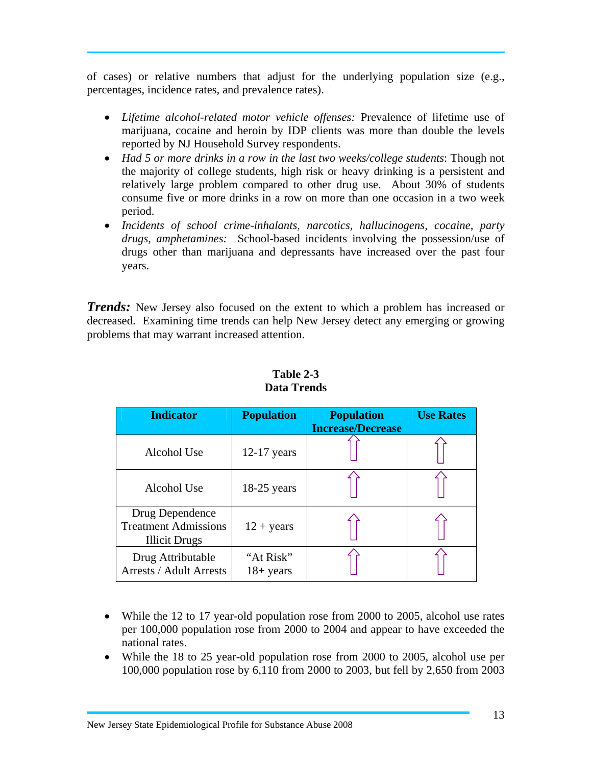of cases) or relative numbers that adjust for the underlying population size (e.g., percentages, incidence rates, and prevalence rates).

- *Lifetime alcohol-related motor vehicle offenses:* Prevalence of lifetime use of marijuana, cocaine and heroin by IDP clients was more than double the levels reported by NJ Household Survey respondents.
- *Had 5 or more drinks in a row in the last two weeks/college students*: Though not the majority of college students, high risk or heavy drinking is a persistent and relatively large problem compared to other drug use. About 30% of students consume five or more drinks in a row on more than one occasion in a two week period.
- *Incidents of school crime-inhalants, narcotics, hallucinogens, cocaine, party drugs, amphetamines:* School-based incidents involving the possession/use of drugs other than marijuana and depressants have increased over the past four years.

*Trends:* New Jersey also focused on the extent to which a problem has increased or decreased. Examining time trends can help New Jersey detect any emerging or growing problems that may warrant increased attention.

| <b>Indicator</b>                                                       | <b>Population</b>         | <b>Population</b><br><b>Increase/Decrease</b> | <b>Use Rates</b> |
|------------------------------------------------------------------------|---------------------------|-----------------------------------------------|------------------|
|                                                                        |                           |                                               |                  |
| Alcohol Use                                                            | $12-17$ years             |                                               |                  |
| Alcohol Use                                                            | $18-25$ years             |                                               |                  |
| Drug Dependence<br><b>Treatment Admissions</b><br><b>Illicit Drugs</b> | $12 + \text{years}$       |                                               |                  |
| Drug Attributable<br><b>Arrests / Adult Arrests</b>                    | "At Risk"<br>$18 + years$ |                                               |                  |

**Table 2-3 Data Trends** 

- While the 12 to 17 year-old population rose from 2000 to 2005, alcohol use rates per 100,000 population rose from 2000 to 2004 and appear to have exceeded the national rates.
- While the 18 to 25 year-old population rose from 2000 to 2005, alcohol use per 100,000 population rose by 6,110 from 2000 to 2003, but fell by 2,650 from 2003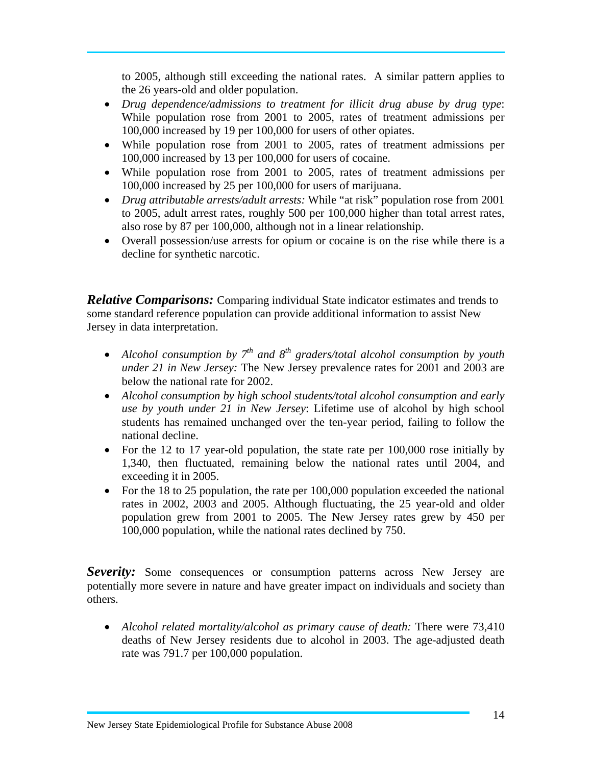to 2005, although still exceeding the national rates. A similar pattern applies to the 26 years-old and older population.

- *Drug dependence/admissions to treatment for illicit drug abuse by drug type*: While population rose from 2001 to 2005, rates of treatment admissions per 100,000 increased by 19 per 100,000 for users of other opiates.
- While population rose from 2001 to 2005, rates of treatment admissions per 100,000 increased by 13 per 100,000 for users of cocaine.
- While population rose from 2001 to 2005, rates of treatment admissions per 100,000 increased by 25 per 100,000 for users of marijuana.
- *Drug attributable arrests/adult arrests:* While "at risk" population rose from 2001 to 2005, adult arrest rates, roughly 500 per 100,000 higher than total arrest rates, also rose by 87 per 100,000, although not in a linear relationship.
- Overall possession/use arrests for opium or cocaine is on the rise while there is a decline for synthetic narcotic.

*Relative Comparisons:* Comparing individual State indicator estimates and trends to some standard reference population can provide additional information to assist New Jersey in data interpretation.

- *Alcohol consumption by*  $7<sup>th</sup>$  and  $8<sup>th</sup>$  graders/total alcohol consumption by youth *under 21 in New Jersey:* The New Jersey prevalence rates for 2001 and 2003 are below the national rate for 2002.
- *Alcohol consumption by high school students/total alcohol consumption and early use by youth under 21 in New Jersey*: Lifetime use of alcohol by high school students has remained unchanged over the ten-year period, failing to follow the national decline.
- For the 12 to 17 year-old population, the state rate per 100,000 rose initially by 1,340, then fluctuated, remaining below the national rates until 2004, and exceeding it in 2005.
- For the 18 to 25 population, the rate per 100,000 population exceeded the national rates in 2002, 2003 and 2005. Although fluctuating, the 25 year-old and older population grew from 2001 to 2005. The New Jersey rates grew by 450 per 100,000 population, while the national rates declined by 750.

**Severity:** Some consequences or consumption patterns across New Jersey are potentially more severe in nature and have greater impact on individuals and society than others.

• *Alcohol related mortality/alcohol as primary cause of death:* There were 73,410 deaths of New Jersey residents due to alcohol in 2003. The age-adjusted death rate was 791.7 per 100,000 population.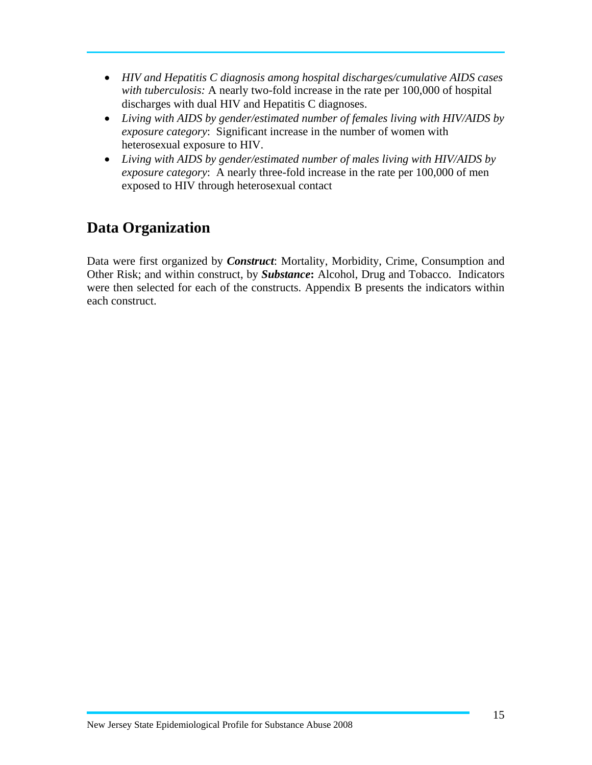- *HIV and Hepatitis C diagnosis among hospital discharges/cumulative AIDS cases with tuberculosis:* A nearly two-fold increase in the rate per 100,000 of hospital discharges with dual HIV and Hepatitis C diagnoses.
- *Living with AIDS by gender/estimated number of females living with HIV/AIDS by exposure category*: Significant increase in the number of women with heterosexual exposure to HIV.
- *Living with AIDS by gender/estimated number of males living with HIV/AIDS by exposure category*: A nearly three-fold increase in the rate per 100,000 of men exposed to HIV through heterosexual contact

#### **Data Organization**

Data were first organized by *Construct*: Mortality, Morbidity, Crime, Consumption and Other Risk; and within construct, by *Substance***:** Alcohol, Drug and Tobacco. Indicators were then selected for each of the constructs. Appendix B presents the indicators within each construct.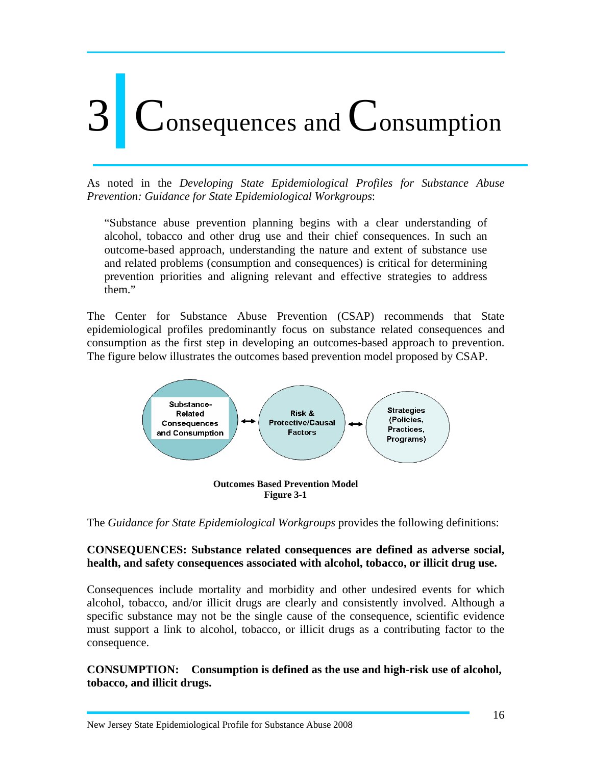# onsequences and  $\mathbb C$  onsumption

As noted in the *Developing State Epidemiological Profiles for Substance Abuse Prevention: Guidance for State Epidemiological Workgroups*:

"Substance abuse prevention planning begins with a clear understanding of alcohol, tobacco and other drug use and their chief consequences. In such an outcome-based approach, understanding the nature and extent of substance use and related problems (consumption and consequences) is critical for determining prevention priorities and aligning relevant and effective strategies to address them."

The Center for Substance Abuse Prevention (CSAP) recommends that State epidemiological profiles predominantly focus on substance related consequences and consumption as the first step in developing an outcomes-based approach to prevention. The figure below illustrates the outcomes based prevention model proposed by CSAP.



The *Guidance for State Epidemiological Workgroups* provides the following definitions:

#### **CONSEQUENCES: Substance related consequences are defined as adverse social, health, and safety consequences associated with alcohol, tobacco, or illicit drug use.**

Consequences include mortality and morbidity and other undesired events for which alcohol, tobacco, and/or illicit drugs are clearly and consistently involved. Although a specific substance may not be the single cause of the consequence, scientific evidence must support a link to alcohol, tobacco, or illicit drugs as a contributing factor to the consequence.

**CONSUMPTION: Consumption is defined as the use and high-risk use of alcohol, tobacco, and illicit drugs.**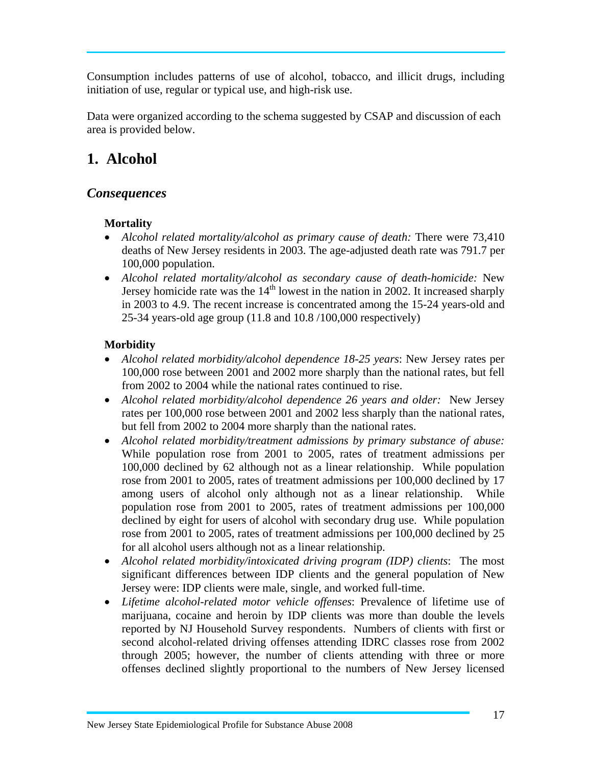Consumption includes patterns of use of alcohol, tobacco, and illicit drugs, including initiation of use, regular or typical use, and high-risk use.

Data were organized according to the schema suggested by CSAP and discussion of each area is provided below.

#### **1. Alcohol**

#### *Consequences*

#### **Mortality**

- *Alcohol related mortality/alcohol as primary cause of death:* There were 73,410 deaths of New Jersey residents in 2003. The age-adjusted death rate was 791.7 per 100,000 population.
- *Alcohol related mortality/alcohol as secondary cause of death-homicide:* New Jersey homicide rate was the  $14<sup>th</sup>$  lowest in the nation in 2002. It increased sharply in 2003 to 4.9. The recent increase is concentrated among the 15-24 years-old and 25-34 years-old age group (11.8 and 10.8 /100,000 respectively)

#### **Morbidity**

- *Alcohol related morbidity/alcohol dependence 18-25 years*: New Jersey rates per 100,000 rose between 2001 and 2002 more sharply than the national rates, but fell from 2002 to 2004 while the national rates continued to rise.
- *Alcohol related morbidity/alcohol dependence 26 years and older:* New Jersey rates per 100,000 rose between 2001 and 2002 less sharply than the national rates, but fell from 2002 to 2004 more sharply than the national rates.
- *Alcohol related morbidity/treatment admissions by primary substance of abuse:*  While population rose from 2001 to 2005, rates of treatment admissions per 100,000 declined by 62 although not as a linear relationship. While population rose from 2001 to 2005, rates of treatment admissions per 100,000 declined by 17 among users of alcohol only although not as a linear relationship. While population rose from 2001 to 2005, rates of treatment admissions per 100,000 declined by eight for users of alcohol with secondary drug use. While population rose from 2001 to 2005, rates of treatment admissions per 100,000 declined by 25 for all alcohol users although not as a linear relationship.
- *Alcohol related morbidity/intoxicated driving program (IDP) clients*:The most significant differences between IDP clients and the general population of New Jersey were: IDP clients were male, single, and worked full-time.
- *Lifetime alcohol-related motor vehicle offenses*: Prevalence of lifetime use of marijuana, cocaine and heroin by IDP clients was more than double the levels reported by NJ Household Survey respondents. Numbers of clients with first or second alcohol-related driving offenses attending IDRC classes rose from 2002 through 2005; however, the number of clients attending with three or more offenses declined slightly proportional to the numbers of New Jersey licensed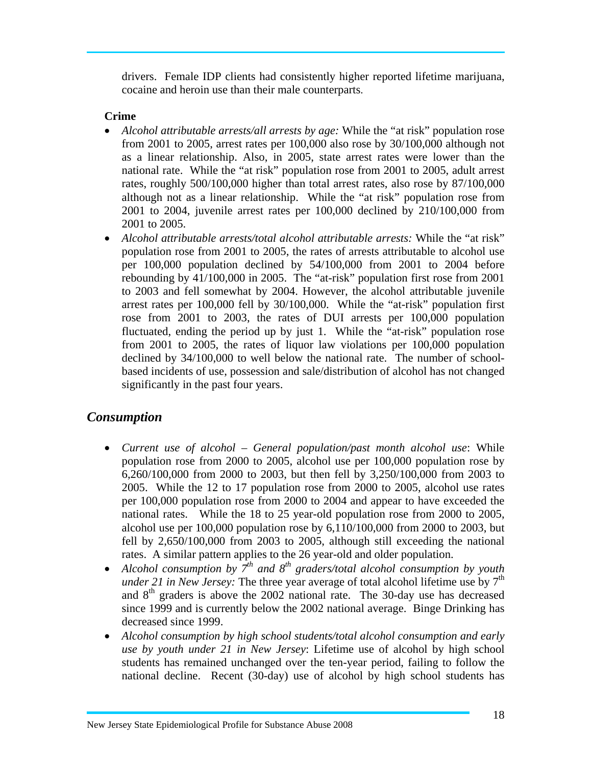drivers. Female IDP clients had consistently higher reported lifetime marijuana, cocaine and heroin use than their male counterparts.

#### **Crime**

- *Alcohol attributable arrests/all arrests by age:* While the "at risk" population rose from 2001 to 2005, arrest rates per 100,000 also rose by 30/100,000 although not as a linear relationship. Also, in 2005, state arrest rates were lower than the national rate. While the "at risk" population rose from 2001 to 2005, adult arrest rates, roughly 500/100,000 higher than total arrest rates, also rose by 87/100,000 although not as a linear relationship. While the "at risk" population rose from 2001 to 2004, juvenile arrest rates per 100,000 declined by 210/100,000 from 2001 to 2005.
- *Alcohol attributable arrests/total alcohol attributable arrests:* While the "at risk" population rose from 2001 to 2005, the rates of arrests attributable to alcohol use per 100,000 population declined by 54/100,000 from 2001 to 2004 before rebounding by 41/100,000 in 2005. The "at-risk" population first rose from 2001 to 2003 and fell somewhat by 2004. However, the alcohol attributable juvenile arrest rates per 100,000 fell by 30/100,000. While the "at-risk" population first rose from 2001 to 2003, the rates of DUI arrests per 100,000 population fluctuated, ending the period up by just 1. While the "at-risk" population rose from 2001 to 2005, the rates of liquor law violations per 100,000 population declined by 34/100,000 to well below the national rate. The number of schoolbased incidents of use, possession and sale/distribution of alcohol has not changed significantly in the past four years.

#### *Consumption*

- *Current use of alcohol General population/past month alcohol use*: While population rose from 2000 to 2005, alcohol use per 100,000 population rose by 6,260/100,000 from 2000 to 2003, but then fell by 3,250/100,000 from 2003 to 2005. While the 12 to 17 population rose from 2000 to 2005, alcohol use rates per 100,000 population rose from 2000 to 2004 and appear to have exceeded the national rates. While the 18 to 25 year-old population rose from 2000 to 2005, alcohol use per 100,000 population rose by 6,110/100,000 from 2000 to 2003, but fell by 2,650/100,000 from 2003 to 2005, although still exceeding the national rates. A similar pattern applies to the 26 year-old and older population.
- Alcohol consumption by  $7^{th}$  and  $8^{th}$  graders/total alcohol consumption by youth *under 21 in New Jersey:* The three year average of total alcohol lifetime use by  $7<sup>th</sup>$ and  $8<sup>th</sup>$  graders is above the 2002 national rate. The 30-day use has decreased since 1999 and is currently below the 2002 national average. Binge Drinking has decreased since 1999.
- *Alcohol consumption by high school students/total alcohol consumption and early use by youth under 21 in New Jersey*: Lifetime use of alcohol by high school students has remained unchanged over the ten-year period, failing to follow the national decline. Recent (30-day) use of alcohol by high school students has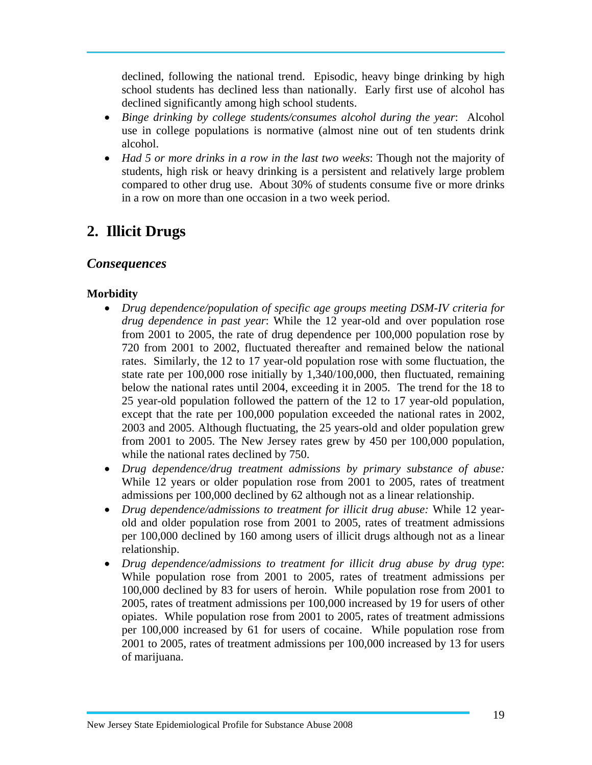declined, following the national trend. Episodic, heavy binge drinking by high school students has declined less than nationally. Early first use of alcohol has declined significantly among high school students.

- *Binge drinking by college students/consumes alcohol during the year*: Alcohol use in college populations is normative (almost nine out of ten students drink alcohol.
- *Had 5 or more drinks in a row in the last two weeks*: Though not the majority of students, high risk or heavy drinking is a persistent and relatively large problem compared to other drug use. About 30% of students consume five or more drinks in a row on more than one occasion in a two week period.

#### **2. Illicit Drugs**

#### *Consequences*

#### **Morbidity**

- *Drug dependence/population of specific age groups meeting DSM-IV criteria for drug dependence in past year*: While the 12 year-old and over population rose from 2001 to 2005, the rate of drug dependence per 100,000 population rose by 720 from 2001 to 2002, fluctuated thereafter and remained below the national rates. Similarly, the 12 to 17 year-old population rose with some fluctuation, the state rate per 100,000 rose initially by 1,340/100,000, then fluctuated, remaining below the national rates until 2004, exceeding it in 2005. The trend for the 18 to 25 year-old population followed the pattern of the 12 to 17 year-old population, except that the rate per 100,000 population exceeded the national rates in 2002, 2003 and 2005. Although fluctuating, the 25 years-old and older population grew from 2001 to 2005. The New Jersey rates grew by 450 per 100,000 population, while the national rates declined by 750.
- *Drug dependence/drug treatment admissions by primary substance of abuse:* While 12 years or older population rose from 2001 to 2005, rates of treatment admissions per 100,000 declined by 62 although not as a linear relationship.
- *Drug dependence/admissions to treatment for illicit drug abuse:* While 12 yearold and older population rose from 2001 to 2005, rates of treatment admissions per 100,000 declined by 160 among users of illicit drugs although not as a linear relationship.
- *Drug dependence/admissions to treatment for illicit drug abuse by drug type*: While population rose from 2001 to 2005, rates of treatment admissions per 100,000 declined by 83 for users of heroin. While population rose from 2001 to 2005, rates of treatment admissions per 100,000 increased by 19 for users of other opiates. While population rose from 2001 to 2005, rates of treatment admissions per 100,000 increased by 61 for users of cocaine. While population rose from 2001 to 2005, rates of treatment admissions per 100,000 increased by 13 for users of marijuana.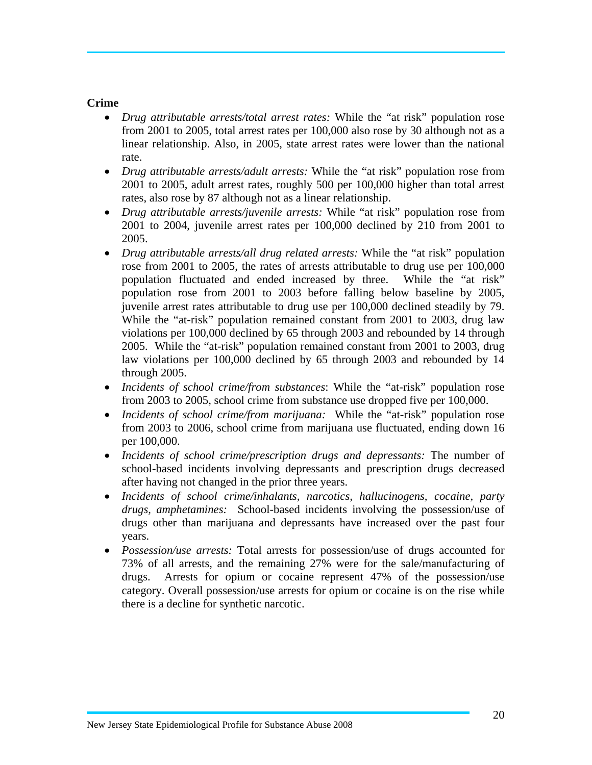#### **Crime**

- *Drug attributable arrests/total arrest rates:* While the "at risk" population rose from 2001 to 2005, total arrest rates per 100,000 also rose by 30 although not as a linear relationship. Also, in 2005, state arrest rates were lower than the national rate.
- *Drug attributable arrests/adult arrests:* While the "at risk" population rose from 2001 to 2005, adult arrest rates, roughly 500 per 100,000 higher than total arrest rates, also rose by 87 although not as a linear relationship.
- *Drug attributable arrests/juvenile arrests:* While "at risk" population rose from 2001 to 2004, juvenile arrest rates per 100,000 declined by 210 from 2001 to 2005.
- *Drug attributable arrests/all drug related arrests:* While the "at risk" population rose from 2001 to 2005, the rates of arrests attributable to drug use per 100,000 population fluctuated and ended increased by three. While the "at risk" population rose from 2001 to 2003 before falling below baseline by 2005, juvenile arrest rates attributable to drug use per 100,000 declined steadily by 79. While the "at-risk" population remained constant from 2001 to 2003, drug law violations per 100,000 declined by 65 through 2003 and rebounded by 14 through 2005. While the "at-risk" population remained constant from 2001 to 2003, drug law violations per 100,000 declined by 65 through 2003 and rebounded by 14 through 2005.
- *Incidents of school crime/from substances*: While the "at-risk" population rose from 2003 to 2005, school crime from substance use dropped five per 100,000.
- *Incidents of school crime/from marijuana:* While the "at-risk" population rose from 2003 to 2006, school crime from marijuana use fluctuated, ending down 16 per 100,000.
- *Incidents of school crime/prescription drugs and depressants:* The number of school-based incidents involving depressants and prescription drugs decreased after having not changed in the prior three years.
- *Incidents of school crime/inhalants, narcotics, hallucinogens, cocaine, party drugs, amphetamines:* School-based incidents involving the possession/use of drugs other than marijuana and depressants have increased over the past four years.
- *Possession/use arrests:* Total arrests for possession/use of drugs accounted for 73% of all arrests, and the remaining 27% were for the sale/manufacturing of drugs. Arrests for opium or cocaine represent 47% of the possession/use category. Overall possession/use arrests for opium or cocaine is on the rise while there is a decline for synthetic narcotic.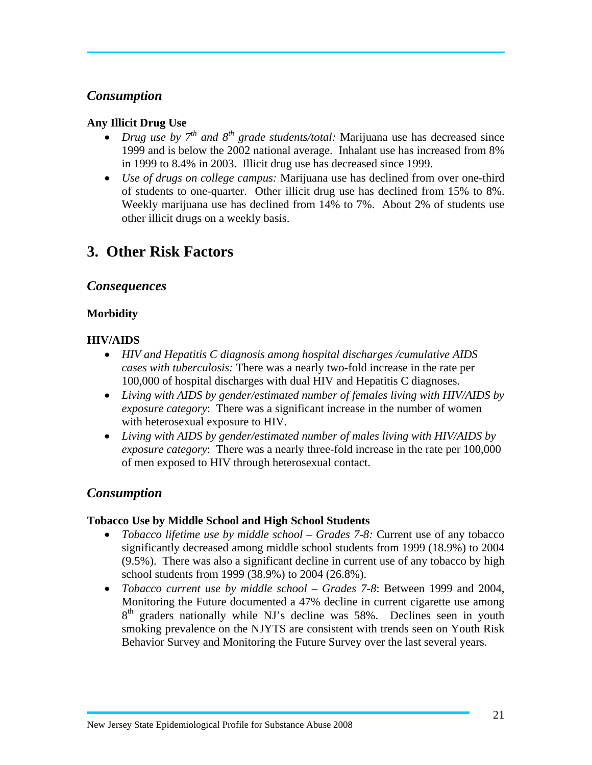#### *Consumption*

#### **Any Illicit Drug Use**

- *Drug use by*  $7<sup>th</sup>$  *and*  $8<sup>th</sup>$  *grade students/total:* Marijuana use has decreased since 1999 and is below the 2002 national average. Inhalant use has increased from 8% in 1999 to 8.4% in 2003. Illicit drug use has decreased since 1999.
- *Use of drugs on college campus:* Marijuana use has declined from over one-third of students to one-quarter. Other illicit drug use has declined from 15% to 8%. Weekly marijuana use has declined from 14% to 7%. About 2% of students use other illicit drugs on a weekly basis.

#### **3. Other Risk Factors**

#### *Consequences*

#### **Morbidity**

#### **HIV/AIDS**

- *HIV and Hepatitis C diagnosis among hospital discharges /cumulative AIDS cases with tuberculosis:* There was a nearly two-fold increase in the rate per 100,000 of hospital discharges with dual HIV and Hepatitis C diagnoses.
- *Living with AIDS by gender/estimated number of females living with HIV/AIDS by exposure category*: There was a significant increase in the number of women with heterosexual exposure to HIV.
- *Living with AIDS by gender/estimated number of males living with HIV/AIDS by exposure category*: There was a nearly three-fold increase in the rate per 100,000 of men exposed to HIV through heterosexual contact.

#### *Consumption*

#### **Tobacco Use by Middle School and High School Students**

- *Tobacco lifetime use by middle school Grades 7-8:* Current use of any tobacco significantly decreased among middle school students from 1999 (18.9%) to 2004 (9.5%). There was also a significant decline in current use of any tobacco by high school students from 1999 (38.9%) to 2004 (26.8%).
- *Tobacco current use by middle school Grades 7-8*: Between 1999 and 2004, Monitoring the Future documented a 47% decline in current cigarette use among 8<sup>th</sup> graders nationally while NJ's decline was 58%. Declines seen in youth smoking prevalence on the NJYTS are consistent with trends seen on Youth Risk Behavior Survey and Monitoring the Future Survey over the last several years.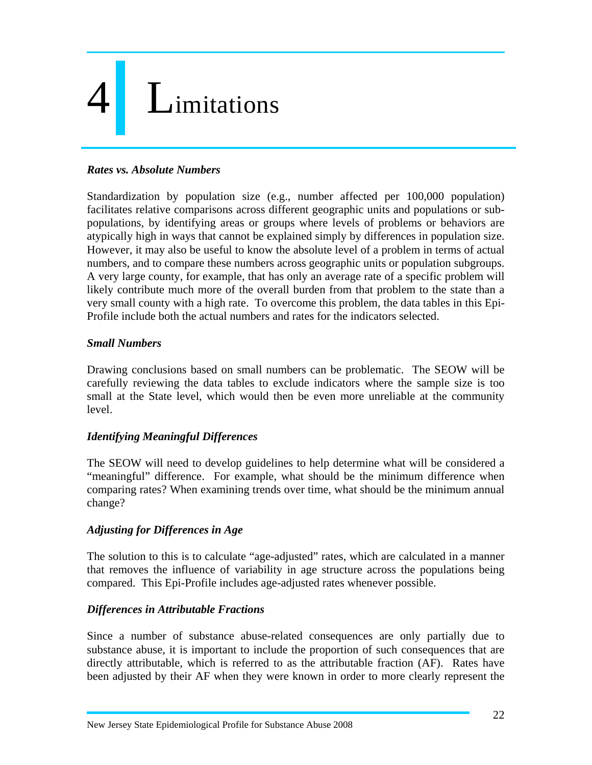# I imitations

#### *Rates vs. Absolute Numbers*

Standardization by population size (e.g., number affected per 100,000 population) facilitates relative comparisons across different geographic units and populations or subpopulations, by identifying areas or groups where levels of problems or behaviors are atypically high in ways that cannot be explained simply by differences in population size. However, it may also be useful to know the absolute level of a problem in terms of actual numbers, and to compare these numbers across geographic units or population subgroups. A very large county, for example, that has only an average rate of a specific problem will likely contribute much more of the overall burden from that problem to the state than a very small county with a high rate. To overcome this problem, the data tables in this Epi-Profile include both the actual numbers and rates for the indicators selected.

#### *Small Numbers*

Drawing conclusions based on small numbers can be problematic. The SEOW will be carefully reviewing the data tables to exclude indicators where the sample size is too small at the State level, which would then be even more unreliable at the community level.

#### *Identifying Meaningful Differences*

The SEOW will need to develop guidelines to help determine what will be considered a "meaningful" difference. For example, what should be the minimum difference when comparing rates? When examining trends over time, what should be the minimum annual change?

#### *Adjusting for Differences in Age*

The solution to this is to calculate "age-adjusted" rates, which are calculated in a manner that removes the influence of variability in age structure across the populations being compared. This Epi-Profile includes age-adjusted rates whenever possible.

#### *Differences in Attributable Fractions*

Since a number of substance abuse-related consequences are only partially due to substance abuse, it is important to include the proportion of such consequences that are directly attributable, which is referred to as the attributable fraction (AF). Rates have been adjusted by their AF when they were known in order to more clearly represent the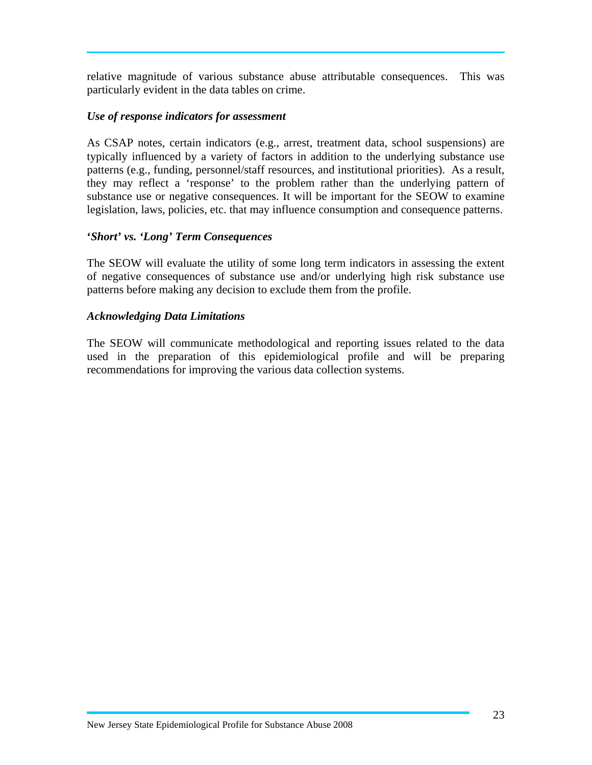relative magnitude of various substance abuse attributable consequences. This was particularly evident in the data tables on crime.

#### *Use of response indicators for assessment*

As CSAP notes, certain indicators (e.g., arrest, treatment data, school suspensions) are typically influenced by a variety of factors in addition to the underlying substance use patterns (e.g., funding, personnel/staff resources, and institutional priorities). As a result, they may reflect a 'response' to the problem rather than the underlying pattern of substance use or negative consequences. It will be important for the SEOW to examine legislation, laws, policies, etc. that may influence consumption and consequence patterns.

#### **'***Short' vs. 'Long' Term Consequences*

The SEOW will evaluate the utility of some long term indicators in assessing the extent of negative consequences of substance use and/or underlying high risk substance use patterns before making any decision to exclude them from the profile.

#### *Acknowledging Data Limitations*

The SEOW will communicate methodological and reporting issues related to the data used in the preparation of this epidemiological profile and will be preparing recommendations for improving the various data collection systems.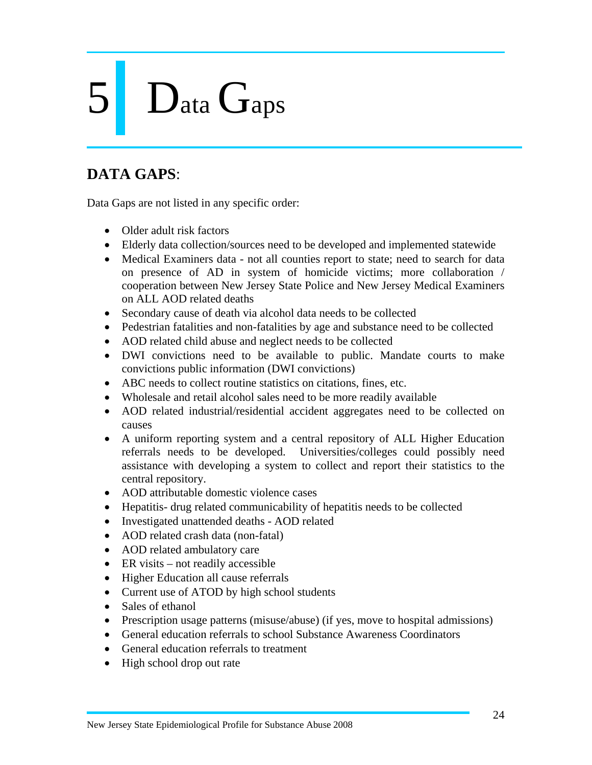# Data Gaps

#### **DATA GAPS**:

Data Gaps are not listed in any specific order:

- Older adult risk factors
- Elderly data collection/sources need to be developed and implemented statewide
- Medical Examiners data not all counties report to state; need to search for data on presence of AD in system of homicide victims; more collaboration / cooperation between New Jersey State Police and New Jersey Medical Examiners on ALL AOD related deaths
- Secondary cause of death via alcohol data needs to be collected
- Pedestrian fatalities and non-fatalities by age and substance need to be collected
- AOD related child abuse and neglect needs to be collected
- DWI convictions need to be available to public. Mandate courts to make convictions public information (DWI convictions)
- ABC needs to collect routine statistics on citations, fines, etc.
- Wholesale and retail alcohol sales need to be more readily available
- AOD related industrial/residential accident aggregates need to be collected on causes
- A uniform reporting system and a central repository of ALL Higher Education referrals needs to be developed. Universities/colleges could possibly need assistance with developing a system to collect and report their statistics to the central repository.
- AOD attributable domestic violence cases
- Hepatitis- drug related communicability of hepatitis needs to be collected
- Investigated unattended deaths AOD related
- AOD related crash data (non-fatal)
- AOD related ambulatory care
- ER visits not readily accessible
- Higher Education all cause referrals
- Current use of ATOD by high school students
- Sales of ethanol
- Prescription usage patterns (misuse/abuse) (if yes, move to hospital admissions)
- General education referrals to school Substance Awareness Coordinators
- General education referrals to treatment
- High school drop out rate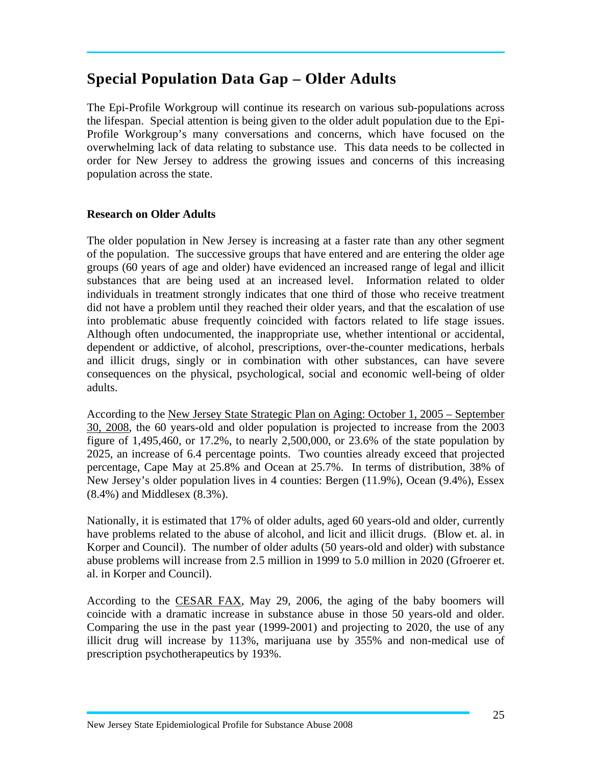#### **Special Population Data Gap – Older Adults**

The Epi-Profile Workgroup will continue its research on various sub-populations across the lifespan. Special attention is being given to the older adult population due to the Epi-Profile Workgroup's many conversations and concerns, which have focused on the overwhelming lack of data relating to substance use. This data needs to be collected in order for New Jersey to address the growing issues and concerns of this increasing population across the state.

#### **Research on Older Adults**

The older population in New Jersey is increasing at a faster rate than any other segment of the population. The successive groups that have entered and are entering the older age groups (60 years of age and older) have evidenced an increased range of legal and illicit substances that are being used at an increased level. Information related to older individuals in treatment strongly indicates that one third of those who receive treatment did not have a problem until they reached their older years, and that the escalation of use into problematic abuse frequently coincided with factors related to life stage issues. Although often undocumented, the inappropriate use, whether intentional or accidental, dependent or addictive, of alcohol, prescriptions, over-the-counter medications, herbals and illicit drugs, singly or in combination with other substances, can have severe consequences on the physical, psychological, social and economic well-being of older adults.

According to the New Jersey State Strategic Plan on Aging: October 1, 2005 – September 30, 2008, the 60 years-old and older population is projected to increase from the 2003 figure of 1,495,460, or 17.2%, to nearly 2,500,000, or 23.6% of the state population by 2025, an increase of 6.4 percentage points. Two counties already exceed that projected percentage, Cape May at 25.8% and Ocean at 25.7%. In terms of distribution, 38% of New Jersey's older population lives in 4 counties: Bergen (11.9%), Ocean (9.4%), Essex (8.4%) and Middlesex (8.3%).

Nationally, it is estimated that 17% of older adults, aged 60 years-old and older, currently have problems related to the abuse of alcohol, and licit and illicit drugs. (Blow et. al. in Korper and Council). The number of older adults (50 years-old and older) with substance abuse problems will increase from 2.5 million in 1999 to 5.0 million in 2020 (Gfroerer et. al. in Korper and Council).

According to the CESAR FAX, May 29, 2006, the aging of the baby boomers will coincide with a dramatic increase in substance abuse in those 50 years-old and older. Comparing the use in the past year (1999-2001) and projecting to 2020, the use of any illicit drug will increase by 113%, marijuana use by 355% and non-medical use of prescription psychotherapeutics by 193%.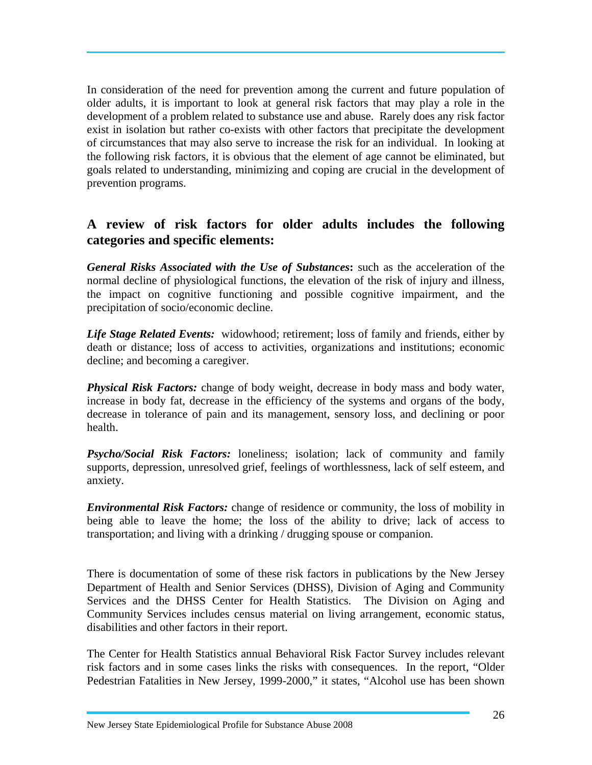In consideration of the need for prevention among the current and future population of older adults, it is important to look at general risk factors that may play a role in the development of a problem related to substance use and abuse. Rarely does any risk factor exist in isolation but rather co-exists with other factors that precipitate the development of circumstances that may also serve to increase the risk for an individual. In looking at the following risk factors, it is obvious that the element of age cannot be eliminated, but goals related to understanding, minimizing and coping are crucial in the development of prevention programs.

#### **A review of risk factors for older adults includes the following categories and specific elements:**

*General Risks Associated with the Use of Substances***:** such as the acceleration of the normal decline of physiological functions, the elevation of the risk of injury and illness, the impact on cognitive functioning and possible cognitive impairment, and the precipitation of socio/economic decline.

*Life Stage Related Events:* widowhood; retirement; loss of family and friends, either by death or distance; loss of access to activities, organizations and institutions; economic decline; and becoming a caregiver.

*Physical Risk Factors:* change of body weight, decrease in body mass and body water, increase in body fat, decrease in the efficiency of the systems and organs of the body, decrease in tolerance of pain and its management, sensory loss, and declining or poor health.

*Psycho/Social Risk Factors:* loneliness; isolation; lack of community and family supports, depression, unresolved grief, feelings of worthlessness, lack of self esteem, and anxiety.

*Environmental Risk Factors:* change of residence or community, the loss of mobility in being able to leave the home; the loss of the ability to drive; lack of access to transportation; and living with a drinking / drugging spouse or companion.

There is documentation of some of these risk factors in publications by the New Jersey Department of Health and Senior Services (DHSS), Division of Aging and Community Services and the DHSS Center for Health Statistics. The Division on Aging and Community Services includes census material on living arrangement, economic status, disabilities and other factors in their report.

The Center for Health Statistics annual Behavioral Risk Factor Survey includes relevant risk factors and in some cases links the risks with consequences. In the report, "Older Pedestrian Fatalities in New Jersey, 1999-2000," it states, "Alcohol use has been shown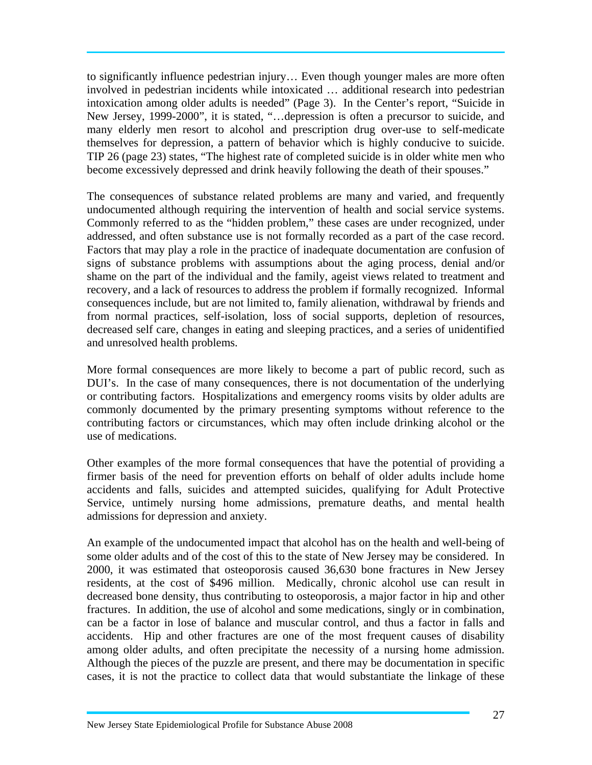to significantly influence pedestrian injury… Even though younger males are more often involved in pedestrian incidents while intoxicated … additional research into pedestrian intoxication among older adults is needed" (Page 3). In the Center's report, "Suicide in New Jersey, 1999-2000", it is stated, "…depression is often a precursor to suicide, and many elderly men resort to alcohol and prescription drug over-use to self-medicate themselves for depression, a pattern of behavior which is highly conducive to suicide. TIP 26 (page 23) states, "The highest rate of completed suicide is in older white men who become excessively depressed and drink heavily following the death of their spouses."

The consequences of substance related problems are many and varied, and frequently undocumented although requiring the intervention of health and social service systems. Commonly referred to as the "hidden problem," these cases are under recognized, under addressed, and often substance use is not formally recorded as a part of the case record. Factors that may play a role in the practice of inadequate documentation are confusion of signs of substance problems with assumptions about the aging process, denial and/or shame on the part of the individual and the family, ageist views related to treatment and recovery, and a lack of resources to address the problem if formally recognized. Informal consequences include, but are not limited to, family alienation, withdrawal by friends and from normal practices, self-isolation, loss of social supports, depletion of resources, decreased self care, changes in eating and sleeping practices, and a series of unidentified and unresolved health problems.

More formal consequences are more likely to become a part of public record, such as DUI's. In the case of many consequences, there is not documentation of the underlying or contributing factors. Hospitalizations and emergency rooms visits by older adults are commonly documented by the primary presenting symptoms without reference to the contributing factors or circumstances, which may often include drinking alcohol or the use of medications.

Other examples of the more formal consequences that have the potential of providing a firmer basis of the need for prevention efforts on behalf of older adults include home accidents and falls, suicides and attempted suicides, qualifying for Adult Protective Service, untimely nursing home admissions, premature deaths, and mental health admissions for depression and anxiety.

An example of the undocumented impact that alcohol has on the health and well-being of some older adults and of the cost of this to the state of New Jersey may be considered. In 2000, it was estimated that osteoporosis caused 36,630 bone fractures in New Jersey residents, at the cost of \$496 million. Medically, chronic alcohol use can result in decreased bone density, thus contributing to osteoporosis, a major factor in hip and other fractures. In addition, the use of alcohol and some medications, singly or in combination, can be a factor in lose of balance and muscular control, and thus a factor in falls and accidents. Hip and other fractures are one of the most frequent causes of disability among older adults, and often precipitate the necessity of a nursing home admission. Although the pieces of the puzzle are present, and there may be documentation in specific cases, it is not the practice to collect data that would substantiate the linkage of these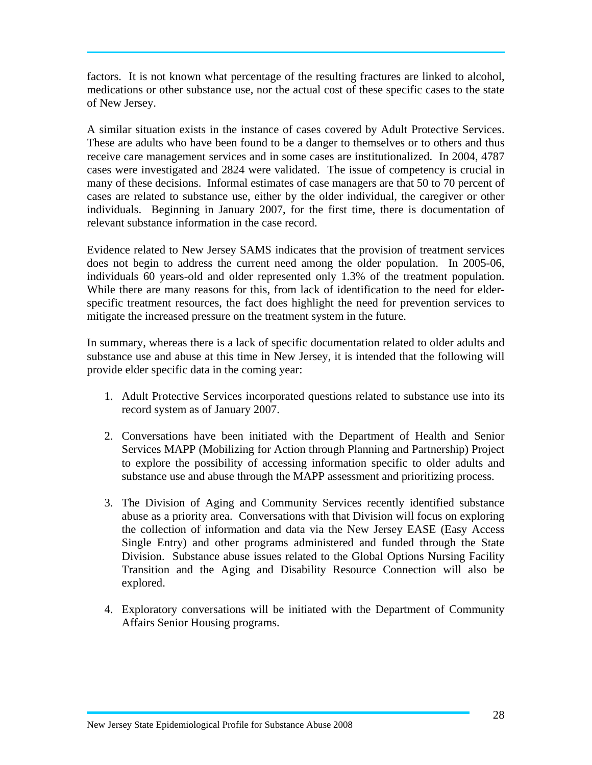factors. It is not known what percentage of the resulting fractures are linked to alcohol, medications or other substance use, nor the actual cost of these specific cases to the state of New Jersey.

A similar situation exists in the instance of cases covered by Adult Protective Services. These are adults who have been found to be a danger to themselves or to others and thus receive care management services and in some cases are institutionalized. In 2004, 4787 cases were investigated and 2824 were validated. The issue of competency is crucial in many of these decisions. Informal estimates of case managers are that 50 to 70 percent of cases are related to substance use, either by the older individual, the caregiver or other individuals. Beginning in January 2007, for the first time, there is documentation of relevant substance information in the case record.

Evidence related to New Jersey SAMS indicates that the provision of treatment services does not begin to address the current need among the older population. In 2005-06, individuals 60 years-old and older represented only 1.3% of the treatment population. While there are many reasons for this, from lack of identification to the need for elderspecific treatment resources, the fact does highlight the need for prevention services to mitigate the increased pressure on the treatment system in the future.

In summary, whereas there is a lack of specific documentation related to older adults and substance use and abuse at this time in New Jersey, it is intended that the following will provide elder specific data in the coming year:

- 1. Adult Protective Services incorporated questions related to substance use into its record system as of January 2007.
- 2. Conversations have been initiated with the Department of Health and Senior Services MAPP (Mobilizing for Action through Planning and Partnership) Project to explore the possibility of accessing information specific to older adults and substance use and abuse through the MAPP assessment and prioritizing process.
- 3. The Division of Aging and Community Services recently identified substance abuse as a priority area. Conversations with that Division will focus on exploring the collection of information and data via the New Jersey EASE (Easy Access Single Entry) and other programs administered and funded through the State Division. Substance abuse issues related to the Global Options Nursing Facility Transition and the Aging and Disability Resource Connection will also be explored.
- 4. Exploratory conversations will be initiated with the Department of Community Affairs Senior Housing programs.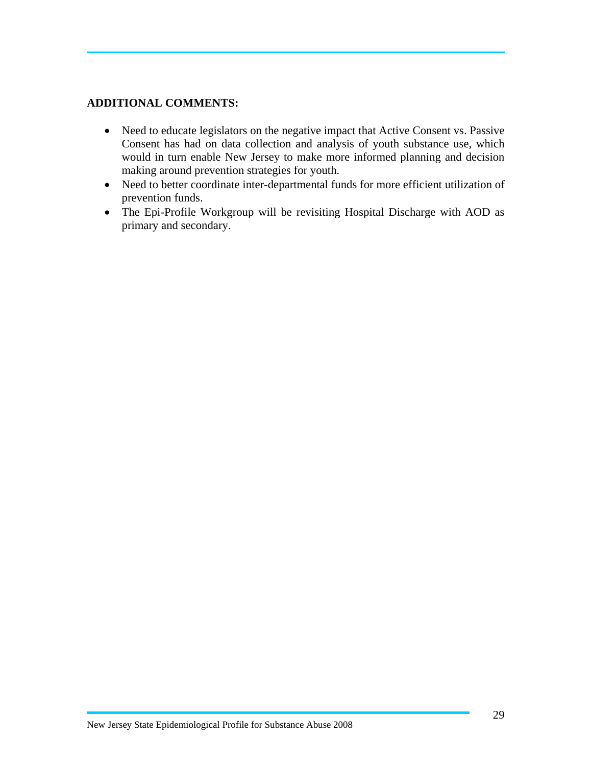#### **ADDITIONAL COMMENTS:**

- Need to educate legislators on the negative impact that Active Consent vs. Passive Consent has had on data collection and analysis of youth substance use, which would in turn enable New Jersey to make more informed planning and decision making around prevention strategies for youth.
- Need to better coordinate inter-departmental funds for more efficient utilization of prevention funds.
- The Epi-Profile Workgroup will be revisiting Hospital Discharge with AOD as primary and secondary.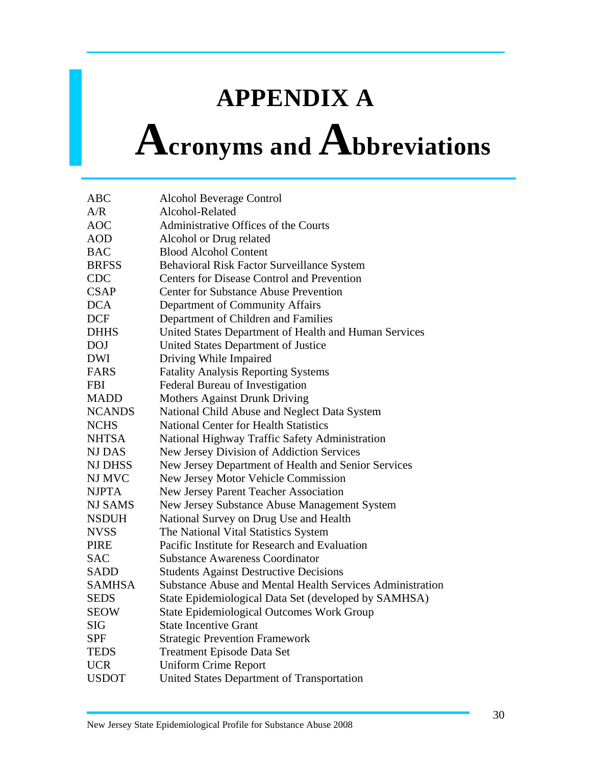### **APPENDIX A**

### **Acronyms and Abbreviations**

| <b>ABC</b>     | Alcohol Beverage Control                                  |
|----------------|-----------------------------------------------------------|
| A/R            | Alcohol-Related                                           |
| <b>AOC</b>     | Administrative Offices of the Courts                      |
| <b>AOD</b>     | Alcohol or Drug related                                   |
| <b>BAC</b>     | <b>Blood Alcohol Content</b>                              |
| <b>BRFSS</b>   | Behavioral Risk Factor Surveillance System                |
| <b>CDC</b>     | Centers for Disease Control and Prevention                |
| <b>CSAP</b>    | <b>Center for Substance Abuse Prevention</b>              |
| <b>DCA</b>     | Department of Community Affairs                           |
| <b>DCF</b>     | Department of Children and Families                       |
| <b>DHHS</b>    | United States Department of Health and Human Services     |
| <b>DOJ</b>     | United States Department of Justice                       |
| <b>DWI</b>     | Driving While Impaired                                    |
| <b>FARS</b>    | <b>Fatality Analysis Reporting Systems</b>                |
| <b>FBI</b>     | Federal Bureau of Investigation                           |
| <b>MADD</b>    | <b>Mothers Against Drunk Driving</b>                      |
| <b>NCANDS</b>  | National Child Abuse and Neglect Data System              |
| <b>NCHS</b>    | <b>National Center for Health Statistics</b>              |
| <b>NHTSA</b>   | National Highway Traffic Safety Administration            |
| <b>NJ DAS</b>  | New Jersey Division of Addiction Services                 |
| <b>NJ DHSS</b> | New Jersey Department of Health and Senior Services       |
| NJ MVC         | New Jersey Motor Vehicle Commission                       |
| <b>NJPTA</b>   | New Jersey Parent Teacher Association                     |
| <b>NJ SAMS</b> | New Jersey Substance Abuse Management System              |
| <b>NSDUH</b>   | National Survey on Drug Use and Health                    |
| <b>NVSS</b>    | The National Vital Statistics System                      |
| <b>PIRE</b>    | Pacific Institute for Research and Evaluation             |
| <b>SAC</b>     | <b>Substance Awareness Coordinator</b>                    |
| <b>SADD</b>    | <b>Students Against Destructive Decisions</b>             |
| <b>SAMHSA</b>  | Substance Abuse and Mental Health Services Administration |
| <b>SEDS</b>    | State Epidemiological Data Set (developed by SAMHSA)      |
| <b>SEOW</b>    | <b>State Epidemiological Outcomes Work Group</b>          |
| <b>SIG</b>     | <b>State Incentive Grant</b>                              |
| <b>SPF</b>     | <b>Strategic Prevention Framework</b>                     |
| <b>TEDS</b>    | <b>Treatment Episode Data Set</b>                         |
| <b>UCR</b>     | <b>Uniform Crime Report</b>                               |
| <b>USDOT</b>   | United States Department of Transportation                |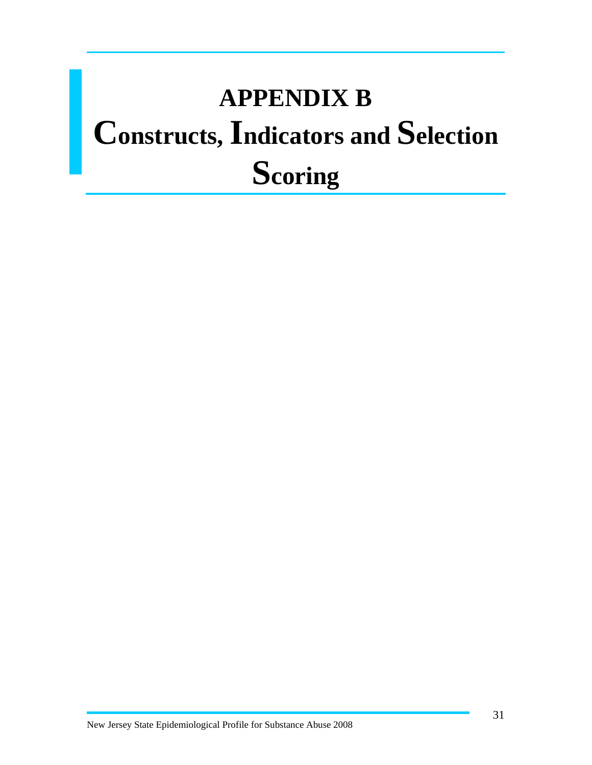### **APPENDIX B Constructs, Indicators and Selection Scoring**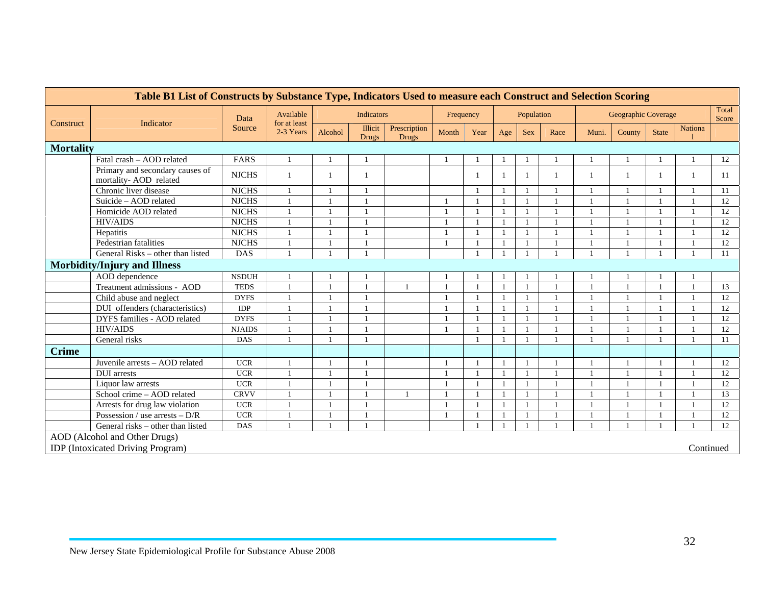| Table B1 List of Constructs by Substance Type, Indicators Used to measure each Construct and Selection Scoring |                                                                |               |                           |         |                         |                              |           |      |                |            |              |       |                     |                |           |                |
|----------------------------------------------------------------------------------------------------------------|----------------------------------------------------------------|---------------|---------------------------|---------|-------------------------|------------------------------|-----------|------|----------------|------------|--------------|-------|---------------------|----------------|-----------|----------------|
| Construct                                                                                                      | Indicator                                                      | Data          | Available<br>for at least |         | Indicators              |                              | Frequency |      |                | Population |              |       | Geographic Coverage |                |           | Total<br>Score |
|                                                                                                                |                                                                | Source        | 2-3 Years                 | Alcohol | Illicit<br><b>Drugs</b> | Prescription<br><b>Drugs</b> | Month     | Year | Age            | <b>Sex</b> | Race         | Muni. | County              | <b>State</b>   | Nationa   |                |
| <b>Mortality</b>                                                                                               |                                                                |               |                           |         |                         |                              |           |      |                |            |              |       |                     |                |           |                |
|                                                                                                                | Fatal crash - AOD related                                      | FARS          | $\mathbf{1}$              |         |                         |                              |           |      |                |            |              |       |                     | $\overline{1}$ |           | 12             |
|                                                                                                                | Primary and secondary causes of<br>mortality-AOD related       | <b>NJCHS</b>  | $\mathbf{1}$              |         |                         |                              |           |      | -1             |            |              |       |                     | -1             |           | 11             |
|                                                                                                                | Chronic liver disease                                          | <b>NJCHS</b>  | $\mathbf{1}$              |         |                         |                              |           |      | $\overline{1}$ |            |              |       |                     | $\overline{1}$ |           | 11             |
|                                                                                                                | Suicide - AOD related                                          | <b>NJCHS</b>  | $\overline{1}$            |         |                         |                              |           |      | $\overline{1}$ |            |              |       |                     | $\mathbf{1}$   |           | 12             |
|                                                                                                                | Homicide AOD related                                           | <b>NJCHS</b>  | $\mathbf{1}$              |         |                         |                              |           |      |                |            |              |       |                     |                |           | 12             |
|                                                                                                                | <b>HIV/AIDS</b>                                                | <b>NJCHS</b>  |                           |         |                         |                              |           |      |                |            |              |       |                     |                |           | 12             |
|                                                                                                                | Hepatitis                                                      | <b>NJCHS</b>  | 1                         |         |                         |                              |           |      |                |            |              |       |                     | -1             |           | 12             |
|                                                                                                                | Pedestrian fatalities                                          | <b>NJCHS</b>  | 1                         |         |                         |                              |           |      |                |            |              |       |                     | $\overline{1}$ |           | 12             |
|                                                                                                                | General Risks - other than listed                              | <b>DAS</b>    | $\mathbf{1}$              |         |                         |                              |           |      |                |            |              |       |                     |                |           | 11             |
|                                                                                                                | <b>Morbidity/Injury and Illness</b>                            |               |                           |         |                         |                              |           |      |                |            |              |       |                     |                |           |                |
|                                                                                                                | AOD dependence                                                 | <b>NSDUH</b>  |                           |         |                         |                              |           |      |                |            |              |       |                     |                |           |                |
|                                                                                                                | Treatment admissions - AOD                                     | <b>TEDS</b>   | 1                         |         |                         | $\overline{1}$               |           |      | $\overline{1}$ |            | $\mathbf{1}$ |       |                     | $\mathbf{1}$   |           | 13             |
|                                                                                                                | Child abuse and neglect                                        | <b>DYFS</b>   | 1                         |         |                         |                              |           |      |                |            |              |       |                     | -1             |           | 12             |
|                                                                                                                | DUI offenders (characteristics)                                | IDP           |                           |         |                         |                              |           |      |                |            |              |       |                     | $\overline{1}$ |           | 12             |
|                                                                                                                | DYFS families - AOD related                                    | <b>DYFS</b>   | $\mathbf{1}$              |         |                         |                              |           |      |                |            |              |       |                     | $\mathbf{1}$   |           | 12             |
|                                                                                                                | <b>HIV/AIDS</b>                                                | <b>NJAIDS</b> | $\overline{1}$            |         |                         |                              |           |      |                |            |              |       |                     | $\overline{1}$ |           | 12             |
|                                                                                                                | General risks                                                  | <b>DAS</b>    | $\mathbf{1}$              |         |                         |                              |           |      |                |            |              |       |                     | $\overline{1}$ |           | 11             |
| <b>Crime</b>                                                                                                   |                                                                |               |                           |         |                         |                              |           |      |                |            |              |       |                     |                |           |                |
|                                                                                                                | Juvenile arrests - AOD related                                 | <b>UCR</b>    |                           |         |                         |                              |           |      | $\overline{1}$ |            |              |       |                     |                |           | 12             |
|                                                                                                                | <b>DUI</b> arrests                                             | <b>UCR</b>    |                           |         |                         |                              |           |      |                |            |              |       |                     | $\overline{1}$ |           | 12             |
|                                                                                                                | Liquor law arrests                                             | <b>UCR</b>    |                           |         |                         |                              |           |      |                |            |              |       |                     |                |           | 12             |
|                                                                                                                | School crime - AOD related                                     | <b>CRVV</b>   |                           |         |                         |                              |           |      |                |            |              |       |                     |                |           | 13             |
|                                                                                                                | Arrests for drug law violation                                 | <b>UCR</b>    |                           |         |                         |                              |           |      | $\overline{1}$ |            |              |       |                     | -1             |           | 12             |
|                                                                                                                | Possession / use arrests $- D/R$                               | <b>UCR</b>    | $\mathbf{1}$              |         |                         |                              |           |      |                |            |              |       |                     | $\overline{1}$ |           | 12             |
|                                                                                                                | General risks – other than listed<br>DAS<br>12<br>$\mathbf{1}$ |               |                           |         |                         |                              |           |      |                |            |              |       |                     |                |           |                |
|                                                                                                                | AOD (Alcohol and Other Drugs)                                  |               |                           |         |                         |                              |           |      |                |            |              |       |                     |                |           |                |
|                                                                                                                | <b>IDP</b> (Intoxicated Driving Program)                       |               |                           |         |                         |                              |           |      |                |            |              |       |                     |                | Continued |                |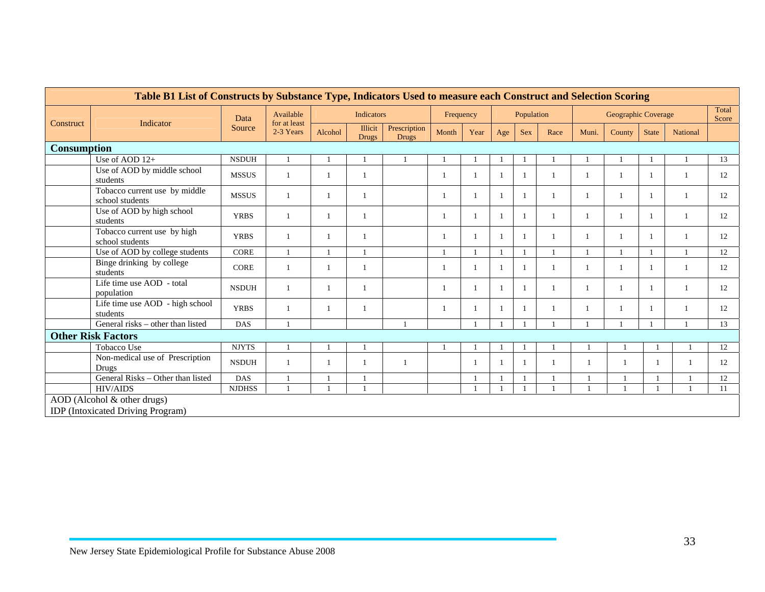|                                                        | Table B1 List of Constructs by Substance Type, Indicators Used to measure each Construct and Selection Scoring |              |                           |         |                         |                              |           |      |     |            |      |       |                     |                |          |                |
|--------------------------------------------------------|----------------------------------------------------------------------------------------------------------------|--------------|---------------------------|---------|-------------------------|------------------------------|-----------|------|-----|------------|------|-------|---------------------|----------------|----------|----------------|
|                                                        | Indicator                                                                                                      | Data         | Available<br>for at least |         | Indicators              |                              | Frequency |      |     | Population |      |       | Geographic Coverage |                |          | Total<br>Score |
| Construct                                              |                                                                                                                | Source       | 2-3 Years                 | Alcohol | Illicit<br><b>Drugs</b> | Prescription<br><b>Drugs</b> | Month     | Year | Age | <b>Sex</b> | Race | Muni. | County              | <b>State</b>   | National |                |
|                                                        | <b>Consumption</b>                                                                                             |              |                           |         |                         |                              |           |      |     |            |      |       |                     |                |          |                |
|                                                        | Use of AOD 12+                                                                                                 | <b>NSDUH</b> | $\mathbf{1}$              |         |                         |                              |           |      |     |            |      |       |                     |                |          | 13             |
|                                                        | Use of AOD by middle school<br>students                                                                        | <b>MSSUS</b> | $\overline{1}$            | -1      |                         |                              |           | -1   | -1  |            |      |       |                     | $\overline{1}$ |          | 12             |
|                                                        | Tobacco current use by middle<br>school students                                                               | <b>MSSUS</b> | $\mathbf{1}$              |         |                         |                              |           |      |     |            |      |       |                     | $\mathbf{1}$   |          | 12             |
|                                                        | Use of AOD by high school<br>students                                                                          | <b>YRBS</b>  | $\mathbf{1}$              |         |                         |                              |           |      |     |            |      |       |                     | $\mathbf{1}$   |          | 12             |
|                                                        | Tobacco current use by high<br>school students                                                                 | <b>YRBS</b>  | $\mathbf{1}$              |         |                         |                              |           |      |     |            |      |       |                     | $\overline{1}$ |          | 12             |
|                                                        | Use of AOD by college students                                                                                 | <b>CORE</b>  | $\mathbf{1}$              |         |                         |                              |           |      |     |            |      |       |                     |                |          | 12             |
|                                                        | Binge drinking by college<br>students                                                                          | <b>CORE</b>  | $\overline{1}$            |         |                         |                              |           |      |     |            |      |       |                     |                |          | 12             |
|                                                        | Life time use AOD - total<br>population                                                                        | <b>NSDUH</b> | $\mathbf{1}$              |         |                         |                              |           | -1   | -1  |            |      |       |                     | $\overline{1}$ |          | 12             |
|                                                        | Life time use AOD - high school<br>students                                                                    | <b>YRBS</b>  | $\overline{1}$            |         |                         |                              |           |      |     |            |      |       |                     | $\mathbf{1}$   |          | 12             |
|                                                        | General risks – other than listed                                                                              | DAS          | $\overline{1}$            |         |                         |                              |           |      |     |            |      |       |                     |                |          | 13             |
|                                                        | <b>Other Risk Factors</b>                                                                                      |              |                           |         |                         |                              |           |      |     |            |      |       |                     |                |          |                |
|                                                        | Tobacco Use                                                                                                    | <b>NJYTS</b> | $\mathbf{1}$              |         |                         |                              |           |      |     |            |      |       |                     |                |          | 12             |
|                                                        | Non-medical use of Prescription<br>Drugs                                                                       | <b>NSDUH</b> | $\mathbf{1}$              |         |                         |                              |           |      |     |            |      |       |                     |                |          | 12             |
|                                                        | General Risks - Other than listed                                                                              | <b>DAS</b>   | $\mathbf{1}$              |         |                         |                              |           |      |     |            |      |       |                     |                |          | 12             |
| <b>HIV/AIDS</b><br><b>NJDHSS</b><br>$\mathbf{1}$<br>11 |                                                                                                                |              |                           |         |                         |                              |           |      |     |            |      |       |                     |                |          |                |
|                                                        | AOD (Alcohol & other drugs)<br><b>IDP</b> (Intoxicated Driving Program)                                        |              |                           |         |                         |                              |           |      |     |            |      |       |                     |                |          |                |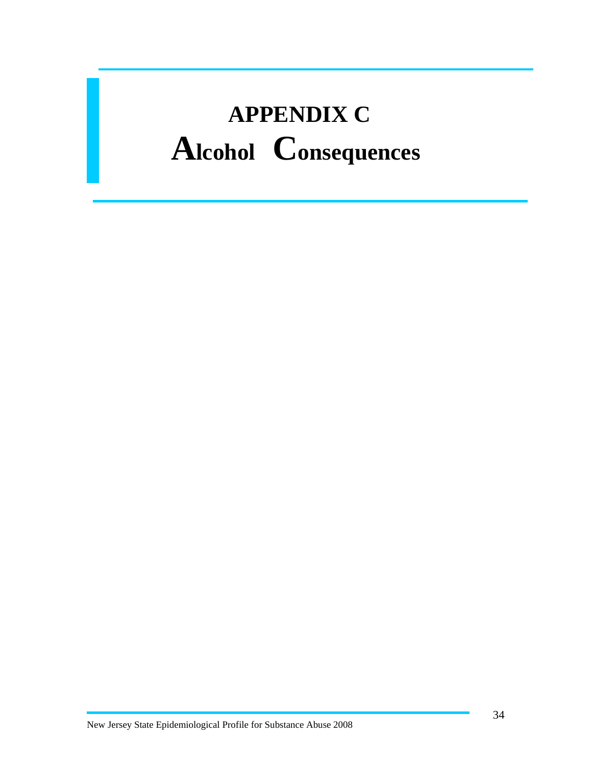## **APPENDIX C Alcohol Consequences**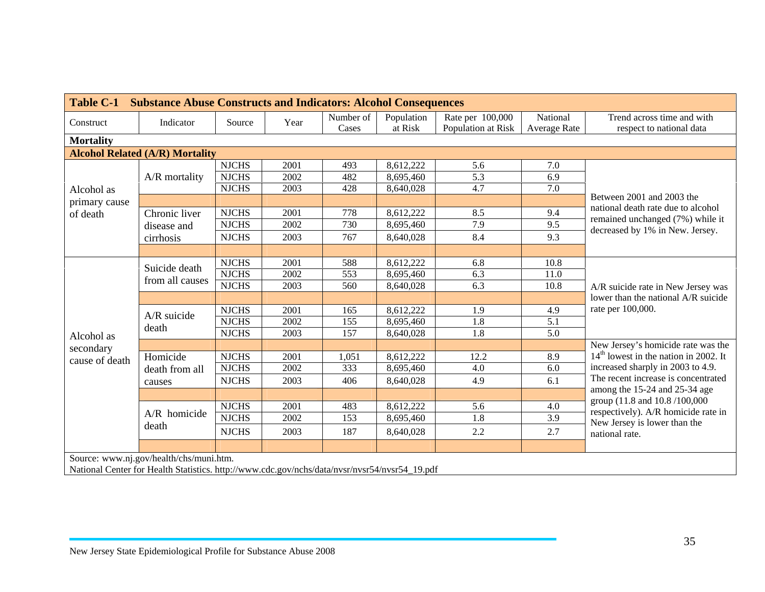|                  | Table C-1 Substance Abuse Constructs and Indicators: Alcohol Consequences                     |              |      |           |            |                    |              |                                                                        |  |
|------------------|-----------------------------------------------------------------------------------------------|--------------|------|-----------|------------|--------------------|--------------|------------------------------------------------------------------------|--|
| Construct        | Indicator                                                                                     | Source       | Year | Number of | Population | Rate per 100,000   | National     | Trend across time and with                                             |  |
|                  |                                                                                               |              |      | Cases     | at Risk    | Population at Risk | Average Rate | respect to national data                                               |  |
| <b>Mortality</b> |                                                                                               |              |      |           |            |                    |              |                                                                        |  |
|                  | <b>Alcohol Related (A/R) Mortality</b>                                                        |              |      |           |            |                    |              |                                                                        |  |
|                  |                                                                                               | <b>NJCHS</b> | 2001 | 493       | 8,612,222  | 5.6                | 7.0          |                                                                        |  |
|                  | A/R mortality                                                                                 | <b>NJCHS</b> | 2002 | 482       | 8,695,460  | 5.3                | 6.9          |                                                                        |  |
| Alcohol as       |                                                                                               | <b>NJCHS</b> | 2003 | 428       | 8,640,028  | 4.7                | 7.0          |                                                                        |  |
| primary cause    |                                                                                               |              |      |           |            |                    |              | Between 2001 and 2003 the                                              |  |
| of death         | Chronic liver                                                                                 | <b>NJCHS</b> | 2001 | 778       | 8,612,222  | 8.5                | 9.4          | national death rate due to alcohol<br>remained unchanged (7%) while it |  |
|                  | disease and                                                                                   | <b>NJCHS</b> | 2002 | 730       | 8,695,460  | 7.9                | 9.5          | decreased by 1% in New. Jersey.                                        |  |
|                  | cirrhosis                                                                                     | <b>NJCHS</b> | 2003 | 767       | 8,640,028  | 8.4                | 9.3          |                                                                        |  |
|                  |                                                                                               |              |      |           |            |                    |              |                                                                        |  |
|                  |                                                                                               | <b>NJCHS</b> | 2001 | 588       | 8,612,222  | 6.8                | 10.8         |                                                                        |  |
|                  | Suicide death<br>from all causes                                                              | <b>NJCHS</b> | 2002 | 553       | 8,695,460  | 6.3                | 11.0         |                                                                        |  |
|                  |                                                                                               | <b>NJCHS</b> | 2003 | 560       | 8,640,028  | 6.3                | 10.8         | A/R suicide rate in New Jersey was                                     |  |
|                  |                                                                                               |              |      |           |            |                    |              | lower than the national A/R suicide                                    |  |
|                  | A/R suicide                                                                                   | <b>NJCHS</b> | 2001 | 165       | 8,612,222  | 1.9                | 4.9          | rate per 100,000.                                                      |  |
|                  |                                                                                               | <b>NJCHS</b> | 2002 | 155       | 8,695,460  | 1.8                | 5.1          |                                                                        |  |
| Alcohol as       | death                                                                                         | <b>NJCHS</b> | 2003 | 157       | 8,640,028  | 1.8                | 5.0          |                                                                        |  |
| secondary        |                                                                                               |              |      |           |            |                    |              | New Jersey's homicide rate was the                                     |  |
| cause of death   | Homicide                                                                                      | <b>NJCHS</b> | 2001 | 1,051     | 8,612,222  | 12.2               | 8.9          | $14th$ lowest in the nation in 2002. It                                |  |
|                  | death from all                                                                                | <b>NJCHS</b> | 2002 | 333       | 8,695,460  | 4.0                | 6.0          | increased sharply in 2003 to 4.9.                                      |  |
|                  | causes                                                                                        | <b>NJCHS</b> | 2003 | 406       | 8,640,028  | 4.9                | 6.1          | The recent increase is concentrated                                    |  |
|                  |                                                                                               |              |      |           |            |                    |              | among the 15-24 and 25-34 age                                          |  |
|                  |                                                                                               | <b>NJCHS</b> | 2001 | 483       | 8,612,222  | 5.6                | 4.0          | group (11.8 and 10.8 /100,000                                          |  |
|                  | $A/R$ homicide                                                                                | <b>NJCHS</b> | 2002 | 153       | 8,695,460  | 1.8                | 3.9          | respectively). A/R homicide rate in                                    |  |
|                  | death                                                                                         | <b>NJCHS</b> | 2003 | 187       | 8,640,028  | 2.2                | 2.7          | New Jersey is lower than the<br>national rate.                         |  |
|                  |                                                                                               |              |      |           |            |                    |              |                                                                        |  |
|                  | Source: www.nj.gov/health/chs/muni.htm.                                                       |              |      |           |            |                    |              |                                                                        |  |
|                  | National Center for Health Statistics. http://www.cdc.gov/nchs/data/nvsr/nvsr54/nvsr54_19.pdf |              |      |           |            |                    |              |                                                                        |  |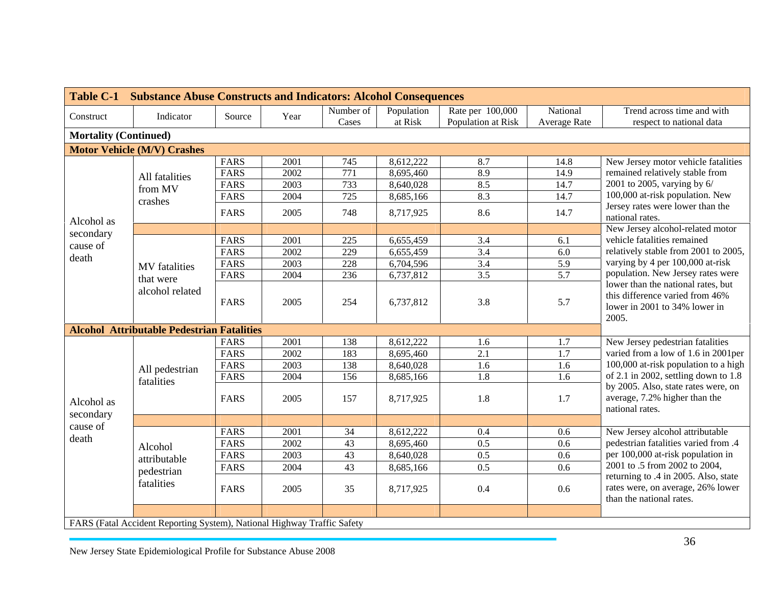| <b>Table C-1</b>             | <b>Substance Abuse Constructs and Indicators: Alcohol Consequences</b>  |             |      |                  |            |                    |                  |                                                                                                                 |
|------------------------------|-------------------------------------------------------------------------|-------------|------|------------------|------------|--------------------|------------------|-----------------------------------------------------------------------------------------------------------------|
| Construct                    | Indicator                                                               | Source      | Year | Number of        | Population | Rate per 100,000   | National         | Trend across time and with                                                                                      |
|                              |                                                                         |             |      | Cases            | at Risk    | Population at Risk | Average Rate     | respect to national data                                                                                        |
| <b>Mortality (Continued)</b> |                                                                         |             |      |                  |            |                    |                  |                                                                                                                 |
|                              | <b>Motor Vehicle (M/V) Crashes</b>                                      |             |      |                  |            |                    |                  |                                                                                                                 |
|                              |                                                                         | <b>FARS</b> | 2001 | 745              | 8,612,222  | 8.7                | 14.8             | New Jersey motor vehicle fatalities                                                                             |
|                              | All fatalities                                                          | <b>FARS</b> | 2002 | $\overline{771}$ | 8,695,460  | 8.9                | 14.9             | remained relatively stable from                                                                                 |
|                              | from MV                                                                 | <b>FARS</b> | 2003 | 733              | 8,640,028  | 8.5                | 14.7             | 2001 to 2005, varying by 6/                                                                                     |
|                              | crashes                                                                 | FARS        | 2004 | $\overline{725}$ | 8,685,166  | 8.3                | 14.7             | 100,000 at-risk population. New                                                                                 |
| Alcohol as                   |                                                                         | <b>FARS</b> | 2005 | 748              | 8,717,925  | 8.6                | 14.7             | Jersey rates were lower than the<br>national rates.                                                             |
| secondary                    |                                                                         |             |      |                  |            |                    |                  | New Jersey alcohol-related motor                                                                                |
|                              |                                                                         | <b>FARS</b> | 2001 | 225              | 6,655,459  | 3.4                | 6.1              | vehicle fatalities remained                                                                                     |
| cause of                     |                                                                         | <b>FARS</b> | 2002 | 229              | 6,655,459  | $\overline{3.4}$   | $6.0\,$          | relatively stable from 2001 to 2005,                                                                            |
| death                        | <b>MV</b> fatalities                                                    | <b>FARS</b> | 2003 | 228              | 6,704,596  | $\overline{3.4}$   | 5.9              | varying by 4 per 100,000 at-risk                                                                                |
|                              | that were                                                               | <b>FARS</b> | 2004 | 236              | 6,737,812  | $\overline{3.5}$   | $\overline{5.7}$ | population. New Jersey rates were                                                                               |
|                              | alcohol related                                                         | <b>FARS</b> | 2005 | 254              | 6,737,812  | 3.8                | 5.7              | lower than the national rates, but<br>this difference varied from 46%<br>lower in 2001 to 34% lower in<br>2005. |
|                              | <b>Alcohol Attributable Pedestrian Fatalities</b>                       |             |      |                  |            |                    |                  |                                                                                                                 |
|                              |                                                                         | <b>FARS</b> | 2001 | 138              | 8,612,222  | 1.6                | 1.7              | New Jersey pedestrian fatalities                                                                                |
|                              |                                                                         | <b>FARS</b> | 2002 | 183              | 8,695,460  | $\overline{2.1}$   | 1.7              | varied from a low of 1.6 in 2001per                                                                             |
|                              | All pedestrian                                                          | <b>FARS</b> | 2003 | 138              | 8,640,028  | 1.6                | 1.6              | 100,000 at-risk population to a high                                                                            |
|                              | fatalities                                                              | <b>FARS</b> | 2004 | 156              | 8,685,166  | 1.8                | 1.6              | of 2.1 in 2002, settling down to 1.8                                                                            |
| Alcohol as<br>secondary      |                                                                         | <b>FARS</b> | 2005 | 157              | 8,717,925  | 1.8                | 1.7              | by 2005. Also, state rates were, on<br>average, 7.2% higher than the<br>national rates.                         |
| cause of                     |                                                                         |             |      |                  |            |                    |                  |                                                                                                                 |
| death                        |                                                                         | <b>FARS</b> | 2001 | 34               | 8,612,222  | 0.4                | 0.6              | New Jersey alcohol attributable                                                                                 |
|                              | Alcohol                                                                 | <b>FARS</b> | 2002 | 43               | 8,695,460  | 0.5                | 0.6              | pedestrian fatalities varied from .4                                                                            |
|                              | attributable                                                            | <b>FARS</b> | 2003 | 43               | 8,640,028  | 0.5                | 0.6              | per 100,000 at-risk population in                                                                               |
|                              |                                                                         | <b>FARS</b> | 2004 | 43               | 8,685,166  | 0.5                | 0.6              | 2001 to .5 from 2002 to 2004,                                                                                   |
|                              | pedestrian<br>fatalities                                                | <b>FARS</b> | 2005 | 35               | 8,717,925  | 0.4                | 0.6              | returning to .4 in 2005. Also, state<br>rates were, on average, 26% lower<br>than the national rates.           |
|                              | FARS (Fatal Accident Reporting System), National Highway Traffic Safety |             |      |                  |            |                    |                  |                                                                                                                 |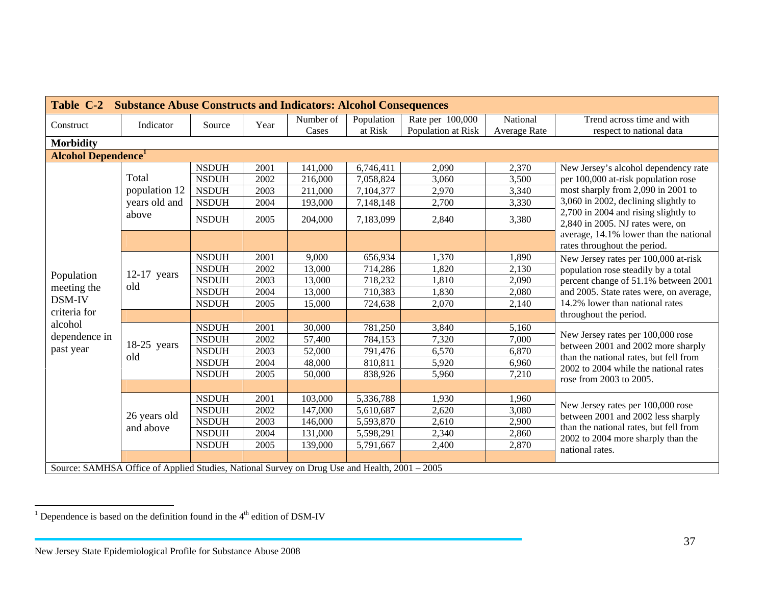|                                                                                               | Table C-2 Substance Abuse Constructs and Indicators: Alcohol Consequences |              |      |                    |                       |                                        |                          |                                                                              |  |  |  |  |  |
|-----------------------------------------------------------------------------------------------|---------------------------------------------------------------------------|--------------|------|--------------------|-----------------------|----------------------------------------|--------------------------|------------------------------------------------------------------------------|--|--|--|--|--|
| Construct                                                                                     | Indicator                                                                 | Source       | Year | Number of<br>Cases | Population<br>at Risk | Rate per 100,000<br>Population at Risk | National<br>Average Rate | Trend across time and with<br>respect to national data                       |  |  |  |  |  |
| <b>Morbidity</b>                                                                              |                                                                           |              |      |                    |                       |                                        |                          |                                                                              |  |  |  |  |  |
| <b>Alcohol Dependence</b> <sup>1</sup>                                                        |                                                                           |              |      |                    |                       |                                        |                          |                                                                              |  |  |  |  |  |
|                                                                                               |                                                                           | <b>NSDUH</b> | 2001 | 141,000            | 6,746,411             | 2,090                                  | 2,370                    | New Jersey's alcohol dependency rate                                         |  |  |  |  |  |
|                                                                                               | Total                                                                     | <b>NSDUH</b> | 2002 | 216,000            | 7,058,824             | 3,060                                  | 3,500                    | per 100,000 at-risk population rose                                          |  |  |  |  |  |
|                                                                                               | population 12                                                             | <b>NSDUH</b> | 2003 | 211,000            | 7,104,377             | 2,970                                  | 3,340                    | most sharply from 2,090 in 2001 to                                           |  |  |  |  |  |
|                                                                                               | years old and                                                             | <b>NSDUH</b> | 2004 | 193,000            | 7,148,148             | 2,700                                  | 3,330                    | 3,060 in 2002, declining slightly to                                         |  |  |  |  |  |
|                                                                                               | above                                                                     | <b>NSDUH</b> | 2005 | 204,000            | 7,183,099             | 2,840                                  | 3,380                    | 2,700 in 2004 and rising slightly to<br>2,840 in 2005. NJ rates were, on     |  |  |  |  |  |
|                                                                                               |                                                                           |              |      |                    |                       |                                        |                          | average, 14.1% lower than the national<br>rates throughout the period.       |  |  |  |  |  |
|                                                                                               |                                                                           | <b>NSDUH</b> | 2001 | 9,000              | 656,934               | 1,370                                  | 1,890                    | New Jersey rates per 100,000 at-risk                                         |  |  |  |  |  |
|                                                                                               |                                                                           | <b>NSDUH</b> | 2002 | 13,000             | 714,286               | 1,820                                  | 2,130                    | population rose steadily by a total                                          |  |  |  |  |  |
| Population                                                                                    | $12-17$ years                                                             | <b>NSDUH</b> | 2003 | 13,000             | 718,232               | 1,810                                  | 2,090                    | percent change of 51.1% between 2001                                         |  |  |  |  |  |
| meeting the                                                                                   | old                                                                       | <b>NSDUH</b> | 2004 | 13,000             | 710,383               | 1,830                                  | 2,080                    | and 2005. State rates were, on average,                                      |  |  |  |  |  |
| DSM-IV                                                                                        |                                                                           | <b>NSDUH</b> | 2005 | 15,000             | 724,638               | 2,070                                  | 2,140                    | 14.2% lower than national rates                                              |  |  |  |  |  |
| criteria for                                                                                  |                                                                           |              |      |                    |                       |                                        |                          | throughout the period.                                                       |  |  |  |  |  |
| alcohol                                                                                       |                                                                           | <b>NSDUH</b> | 2001 | 30,000             | 781,250               | 3,840                                  | 5,160                    |                                                                              |  |  |  |  |  |
| dependence in                                                                                 | $18-25$ years                                                             | <b>NSDUH</b> | 2002 | 57,400             | 784,153               | 7,320                                  | 7,000                    | New Jersey rates per 100,000 rose                                            |  |  |  |  |  |
| past year                                                                                     |                                                                           | <b>NSDUH</b> | 2003 | 52,000             | 791,476               | 6,570                                  | 6,870                    | between 2001 and 2002 more sharply<br>than the national rates, but fell from |  |  |  |  |  |
|                                                                                               | old                                                                       | <b>NSDUH</b> | 2004 | 48,000             | 810,811               | 5,920                                  | 6,960                    | 2002 to 2004 while the national rates                                        |  |  |  |  |  |
|                                                                                               |                                                                           | <b>NSDUH</b> | 2005 | 50,000             | 838,926               | 5,960                                  | 7,210                    | rose from 2003 to 2005.                                                      |  |  |  |  |  |
|                                                                                               |                                                                           |              |      |                    |                       |                                        |                          |                                                                              |  |  |  |  |  |
|                                                                                               |                                                                           | <b>NSDUH</b> | 2001 | 103,000            | 5,336,788             | 1,930                                  | 1,960                    |                                                                              |  |  |  |  |  |
|                                                                                               | 26 years old                                                              | <b>NSDUH</b> | 2002 | 147,000            | 5,610,687             | 2,620                                  | 3,080                    | New Jersey rates per 100,000 rose                                            |  |  |  |  |  |
|                                                                                               |                                                                           | <b>NSDUH</b> | 2003 | 146,000            | 5,593,870             | 2,610                                  | 2,900                    | between 2001 and 2002 less sharply<br>than the national rates, but fell from |  |  |  |  |  |
|                                                                                               | and above                                                                 | <b>NSDUH</b> | 2004 | 131,000            | 5,598,291             | 2,340                                  | 2,860                    | 2002 to 2004 more sharply than the                                           |  |  |  |  |  |
|                                                                                               |                                                                           | <b>NSDUH</b> | 2005 | 139,000            | 5,791,667             | 2,400                                  | 2,870                    | national rates.                                                              |  |  |  |  |  |
|                                                                                               |                                                                           |              |      |                    |                       |                                        |                          |                                                                              |  |  |  |  |  |
| Source: SAMHSA Office of Applied Studies, National Survey on Drug Use and Health, 2001 – 2005 |                                                                           |              |      |                    |                       |                                        |                          |                                                                              |  |  |  |  |  |

 $^{\rm 1}$  Dependence is based on the definition found in the  $4^{\rm th}$  edition of DSM-IV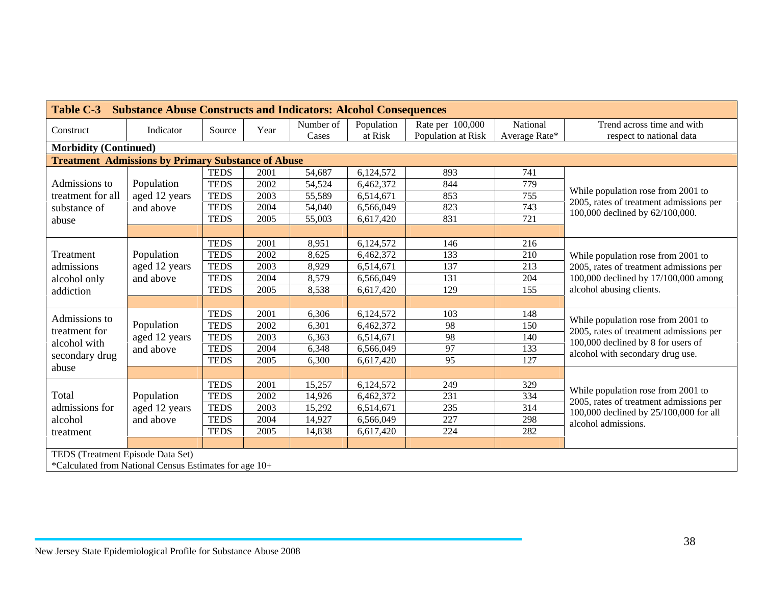| Table C-3<br><b>Substance Abuse Constructs and Indicators: Alcohol Consequences</b> |               |             |      |           |            |                    |               |                                                                               |  |  |  |  |
|-------------------------------------------------------------------------------------|---------------|-------------|------|-----------|------------|--------------------|---------------|-------------------------------------------------------------------------------|--|--|--|--|
| Construct                                                                           | Indicator     | Source      | Year | Number of | Population | Rate per 100,000   | National      | Trend across time and with                                                    |  |  |  |  |
|                                                                                     |               |             |      | Cases     | at Risk    | Population at Risk | Average Rate* | respect to national data                                                      |  |  |  |  |
| <b>Morbidity (Continued)</b>                                                        |               |             |      |           |            |                    |               |                                                                               |  |  |  |  |
| <b>Treatment Admissions by Primary Substance of Abuse</b>                           |               |             |      |           |            |                    |               |                                                                               |  |  |  |  |
|                                                                                     |               | <b>TEDS</b> | 2001 | 54,687    | 6,124,572  | 893                | 741           |                                                                               |  |  |  |  |
| Admissions to                                                                       | Population    | <b>TEDS</b> | 2002 | 54,524    | 6,462,372  | 844                | 779           |                                                                               |  |  |  |  |
| treatment for all                                                                   | aged 12 years | <b>TEDS</b> | 2003 | 55,589    | 6,514,671  | 853                | 755           | While population rose from 2001 to<br>2005, rates of treatment admissions per |  |  |  |  |
| substance of                                                                        | and above     | <b>TEDS</b> | 2004 | 54,040    | 6,566,049  | 823                | 743           | 100,000 declined by 62/100,000.                                               |  |  |  |  |
| abuse                                                                               |               | <b>TEDS</b> | 2005 | 55,003    | 6,617,420  | 831                | 721           |                                                                               |  |  |  |  |
|                                                                                     |               |             |      |           |            |                    |               |                                                                               |  |  |  |  |
|                                                                                     |               | <b>TEDS</b> | 2001 | 8,951     | 6,124,572  | 146                | 216           |                                                                               |  |  |  |  |
| Treatment                                                                           | Population    | <b>TEDS</b> | 2002 | 8,625     | 6,462,372  | 133                | 210           | While population rose from 2001 to                                            |  |  |  |  |
| admissions                                                                          | aged 12 years | <b>TEDS</b> | 2003 | 8,929     | 6,514,671  | 137                | 213           | 2005, rates of treatment admissions per                                       |  |  |  |  |
| alcohol only                                                                        | and above     | <b>TEDS</b> | 2004 | 8,579     | 6,566,049  | 131                | 204           | 100,000 declined by 17/100,000 among                                          |  |  |  |  |
| addiction                                                                           |               | <b>TEDS</b> | 2005 | 8,538     | 6,617,420  | 129                | 155           | alcohol abusing clients.                                                      |  |  |  |  |
|                                                                                     |               |             |      |           |            |                    |               |                                                                               |  |  |  |  |
| Admissions to                                                                       |               | <b>TEDS</b> | 2001 | 6,306     | 6,124,572  | 103                | 148           |                                                                               |  |  |  |  |
| treatment for                                                                       | Population    | <b>TEDS</b> | 2002 | 6,301     | 6,462,372  | 98                 | 150           | While population rose from 2001 to                                            |  |  |  |  |
|                                                                                     | aged 12 years | <b>TEDS</b> | 2003 | 6,363     | 6,514,671  | 98                 | 140           | 2005, rates of treatment admissions per<br>100,000 declined by 8 for users of |  |  |  |  |
| alcohol with                                                                        | and above     | <b>TEDS</b> | 2004 | 6,348     | 6,566,049  | 97                 | 133           | alcohol with secondary drug use.                                              |  |  |  |  |
| secondary drug                                                                      |               | <b>TEDS</b> | 2005 | 6,300     | 6,617,420  | 95                 | 127           |                                                                               |  |  |  |  |
| abuse                                                                               |               |             |      |           |            |                    |               |                                                                               |  |  |  |  |
|                                                                                     |               | <b>TEDS</b> | 2001 | 15,257    | 6,124,572  | 249                | 329           |                                                                               |  |  |  |  |
| Total                                                                               | Population    | <b>TEDS</b> | 2002 | 14,926    | 6,462,372  | 231                | 334           | While population rose from 2001 to<br>2005, rates of treatment admissions per |  |  |  |  |
| admissions for                                                                      | aged 12 years | <b>TEDS</b> | 2003 | 15,292    | 6,514,671  | 235                | 314           | 100,000 declined by 25/100,000 for all                                        |  |  |  |  |
| alcohol                                                                             | and above     | <b>TEDS</b> | 2004 | 14,927    | 6,566,049  | 227                | 298           | alcohol admissions.                                                           |  |  |  |  |
| treatment                                                                           |               | <b>TEDS</b> | 2005 | 14,838    | 6,617,420  | 224                | 282           |                                                                               |  |  |  |  |
|                                                                                     |               |             |      |           |            |                    |               |                                                                               |  |  |  |  |
| TEDS (Treatment Episode Data Set)                                                   |               |             |      |           |            |                    |               |                                                                               |  |  |  |  |
| *Calculated from National Census Estimates for age 10+                              |               |             |      |           |            |                    |               |                                                                               |  |  |  |  |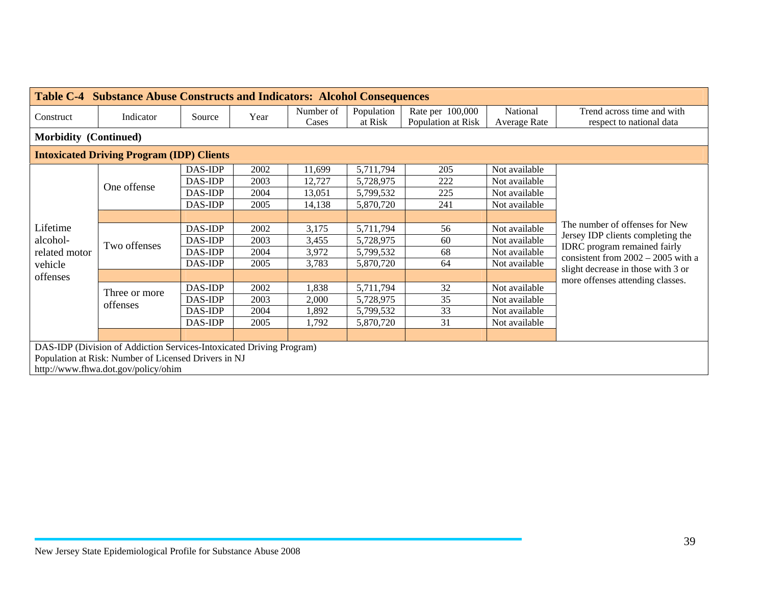| <b>Table C-4 Substance Abuse Constructs and Indicators: Alcohol Consequences</b> |                                                  |         |      |                    |                       |                                        |                          |                                                                             |  |  |  |
|----------------------------------------------------------------------------------|--------------------------------------------------|---------|------|--------------------|-----------------------|----------------------------------------|--------------------------|-----------------------------------------------------------------------------|--|--|--|
| Construct                                                                        | Indicator                                        | Source  | Year | Number of<br>Cases | Population<br>at Risk | Rate per 100,000<br>Population at Risk | National<br>Average Rate | Trend across time and with<br>respect to national data                      |  |  |  |
| <b>Morbidity (Continued)</b>                                                     |                                                  |         |      |                    |                       |                                        |                          |                                                                             |  |  |  |
|                                                                                  | <b>Intoxicated Driving Program (IDP) Clients</b> |         |      |                    |                       |                                        |                          |                                                                             |  |  |  |
|                                                                                  |                                                  | DAS-IDP | 2002 | 11,699             | 5,711,794             | 205                                    | Not available            |                                                                             |  |  |  |
|                                                                                  | One offense                                      | DAS-IDP | 2003 | 12,727             | 5,728,975             | 222                                    | Not available            |                                                                             |  |  |  |
|                                                                                  |                                                  | DAS-IDP | 2004 | 13,051             | 5,799,532             | 225                                    | Not available            |                                                                             |  |  |  |
|                                                                                  |                                                  | DAS-IDP | 2005 | 14,138             | 5,870,720             | 241                                    | Not available            |                                                                             |  |  |  |
|                                                                                  |                                                  |         |      |                    |                       |                                        |                          |                                                                             |  |  |  |
| Lifetime                                                                         |                                                  | DAS-IDP | 2002 | 3,175              | 5,711,794             | 56                                     | Not available            | The number of offenses for New                                              |  |  |  |
| alcohol-                                                                         | Two offenses                                     | DAS-IDP | 2003 | 3,455              | 5,728,975             | 60                                     | Not available            | Jersey IDP clients completing the                                           |  |  |  |
| related motor                                                                    |                                                  | DAS-IDP | 2004 | 3,972              | 5,799,532             | 68                                     | Not available            | <b>IDRC</b> program remained fairly<br>consistent from $2002 - 2005$ with a |  |  |  |
| vehicle                                                                          |                                                  | DAS-IDP | 2005 | 3,783              | 5,870,720             | 64                                     | Not available            | slight decrease in those with 3 or                                          |  |  |  |
| offenses                                                                         |                                                  |         |      |                    |                       |                                        |                          | more offenses attending classes.                                            |  |  |  |
|                                                                                  | Three or more                                    | DAS-IDP | 2002 | 1,838              | 5,711,794             | 32                                     | Not available            |                                                                             |  |  |  |
|                                                                                  | offenses                                         | DAS-IDP | 2003 | 2,000              | 5,728,975             | 35                                     | Not available            |                                                                             |  |  |  |
|                                                                                  |                                                  | DAS-IDP | 2004 | 1,892              | 5,799,532             | 33                                     | Not available            |                                                                             |  |  |  |
|                                                                                  |                                                  | DAS-IDP | 2005 | 1,792              | 5,870,720             | 31                                     | Not available            |                                                                             |  |  |  |
|                                                                                  |                                                  |         |      |                    |                       |                                        |                          |                                                                             |  |  |  |
| DAS-IDP (Division of Addiction Services-Intoxicated Driving Program)             |                                                  |         |      |                    |                       |                                        |                          |                                                                             |  |  |  |
| Population at Risk: Number of Licensed Drivers in NJ                             |                                                  |         |      |                    |                       |                                        |                          |                                                                             |  |  |  |
|                                                                                  | http://www.fhwa.dot.gov/policy/ohim              |         |      |                    |                       |                                        |                          |                                                                             |  |  |  |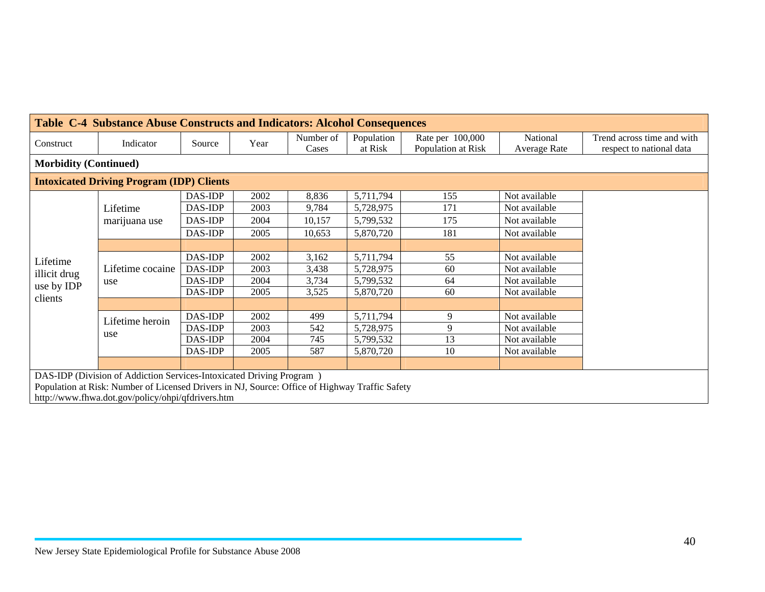|                                                                           | <b>Table C-4 Substance Abuse Constructs and Indicators: Alcohol Consequences</b>               |         |      |                    |                       |                                        |                          |                                                        |  |  |  |  |  |
|---------------------------------------------------------------------------|------------------------------------------------------------------------------------------------|---------|------|--------------------|-----------------------|----------------------------------------|--------------------------|--------------------------------------------------------|--|--|--|--|--|
| Construct                                                                 | Indicator                                                                                      | Source  | Year | Number of<br>Cases | Population<br>at Risk | Rate per 100,000<br>Population at Risk | National<br>Average Rate | Trend across time and with<br>respect to national data |  |  |  |  |  |
| <b>Morbidity (Continued)</b>                                              |                                                                                                |         |      |                    |                       |                                        |                          |                                                        |  |  |  |  |  |
|                                                                           | <b>Intoxicated Driving Program (IDP) Clients</b>                                               |         |      |                    |                       |                                        |                          |                                                        |  |  |  |  |  |
|                                                                           |                                                                                                | DAS-IDP | 2002 | 8,836              | 5,711,794             | 155                                    | Not available            |                                                        |  |  |  |  |  |
| DAS-IDP<br>2003<br>9,784<br>171<br>Not available<br>5,728,975<br>Lifetime |                                                                                                |         |      |                    |                       |                                        |                          |                                                        |  |  |  |  |  |
|                                                                           | marijuana use                                                                                  | DAS-IDP | 2004 | 10,157             | 5,799,532             | 175                                    | Not available            |                                                        |  |  |  |  |  |
|                                                                           |                                                                                                | DAS-IDP | 2005 | 10,653             | 5,870,720             | 181                                    | Not available            |                                                        |  |  |  |  |  |
|                                                                           |                                                                                                |         |      |                    |                       |                                        |                          |                                                        |  |  |  |  |  |
| Lifetime                                                                  |                                                                                                | DAS-IDP | 2002 | 3,162              | 5,711,794             | 55                                     | Not available            |                                                        |  |  |  |  |  |
| illicit drug                                                              | Lifetime cocaine                                                                               | DAS-IDP | 2003 | 3,438              | 5,728,975             | 60                                     | Not available            |                                                        |  |  |  |  |  |
| use by IDP                                                                | use                                                                                            | DAS-IDP | 2004 | 3,734              | 5,799,532             | 64                                     | Not available            |                                                        |  |  |  |  |  |
| clients                                                                   |                                                                                                | DAS-IDP | 2005 | 3,525              | 5,870,720             | 60                                     | Not available            |                                                        |  |  |  |  |  |
|                                                                           |                                                                                                |         |      |                    |                       |                                        |                          |                                                        |  |  |  |  |  |
|                                                                           | Lifetime heroin                                                                                | DAS-IDP | 2002 | 499                | 5,711,794             | 9                                      | Not available            |                                                        |  |  |  |  |  |
|                                                                           | use                                                                                            | DAS-IDP | 2003 | 542                | 5,728,975             | 9                                      | Not available            |                                                        |  |  |  |  |  |
|                                                                           |                                                                                                | DAS-IDP | 2004 | 745                | 5,799,532             | 13                                     | Not available            |                                                        |  |  |  |  |  |
|                                                                           |                                                                                                | DAS-IDP | 2005 | 587                | 5,870,720             | 10                                     | Not available            |                                                        |  |  |  |  |  |
|                                                                           |                                                                                                |         |      |                    |                       |                                        |                          |                                                        |  |  |  |  |  |
| DAS-IDP (Division of Addiction Services-Intoxicated Driving Program)      |                                                                                                |         |      |                    |                       |                                        |                          |                                                        |  |  |  |  |  |
|                                                                           | Population at Risk: Number of Licensed Drivers in NJ, Source: Office of Highway Traffic Safety |         |      |                    |                       |                                        |                          |                                                        |  |  |  |  |  |
|                                                                           | http://www.fhwa.dot.gov/policy/ohpi/qfdrivers.htm                                              |         |      |                    |                       |                                        |                          |                                                        |  |  |  |  |  |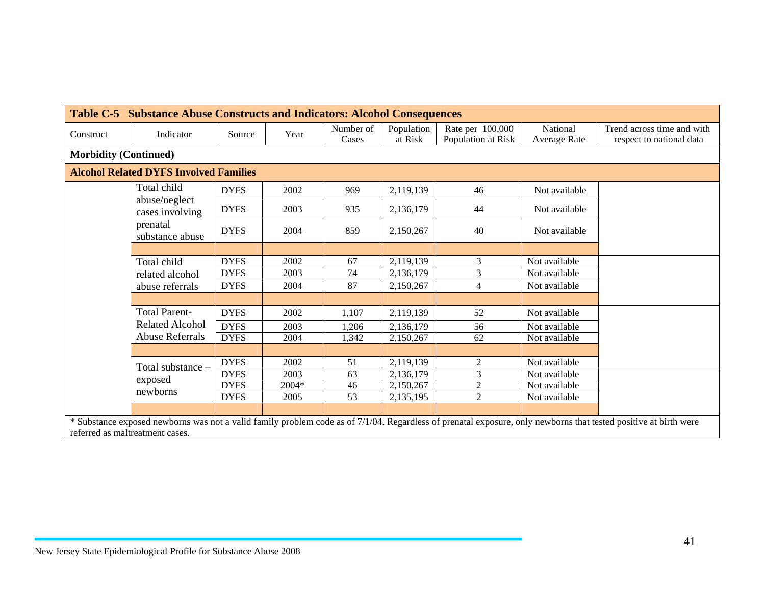| <b>Table C-5 Substance Abuse Constructs and Indicators: Alcohol Consequences</b> |                                               |             |       |                    |                       |                                        |                          |                                                                                                                                                                  |  |  |  |
|----------------------------------------------------------------------------------|-----------------------------------------------|-------------|-------|--------------------|-----------------------|----------------------------------------|--------------------------|------------------------------------------------------------------------------------------------------------------------------------------------------------------|--|--|--|
| Construct                                                                        | Indicator                                     | Source      | Year  | Number of<br>Cases | Population<br>at Risk | Rate per 100,000<br>Population at Risk | National<br>Average Rate | Trend across time and with<br>respect to national data                                                                                                           |  |  |  |
| <b>Morbidity (Continued)</b>                                                     |                                               |             |       |                    |                       |                                        |                          |                                                                                                                                                                  |  |  |  |
|                                                                                  | <b>Alcohol Related DYFS Involved Families</b> |             |       |                    |                       |                                        |                          |                                                                                                                                                                  |  |  |  |
|                                                                                  | Total child                                   | <b>DYFS</b> | 2002  | 969                | 2,119,139             | 46                                     | Not available            |                                                                                                                                                                  |  |  |  |
|                                                                                  | abuse/neglect<br>cases involving              | <b>DYFS</b> | 2003  | 935                | 2,136,179             | 44                                     | Not available            |                                                                                                                                                                  |  |  |  |
|                                                                                  | prenatal<br>substance abuse                   | <b>DYFS</b> | 2004  | 859                | 2,150,267             | 40                                     | Not available            |                                                                                                                                                                  |  |  |  |
|                                                                                  |                                               |             |       |                    |                       |                                        |                          |                                                                                                                                                                  |  |  |  |
|                                                                                  | Total child                                   | <b>DYFS</b> | 2002  | 67                 | 2,119,139             | 3                                      | Not available            |                                                                                                                                                                  |  |  |  |
|                                                                                  | related alcohol                               | <b>DYFS</b> | 2003  | 74                 | 2,136,179             | 3                                      | Not available            |                                                                                                                                                                  |  |  |  |
|                                                                                  | abuse referrals                               | <b>DYFS</b> | 2004  | 87                 | 2,150,267             | 4                                      | Not available            |                                                                                                                                                                  |  |  |  |
|                                                                                  |                                               |             |       |                    |                       |                                        |                          |                                                                                                                                                                  |  |  |  |
|                                                                                  | <b>Total Parent-</b>                          | <b>DYFS</b> | 2002  | 1,107              | 2,119,139             | 52                                     | Not available            |                                                                                                                                                                  |  |  |  |
|                                                                                  | <b>Related Alcohol</b>                        | <b>DYFS</b> | 2003  | 1,206              | 2,136,179             | 56                                     | Not available            |                                                                                                                                                                  |  |  |  |
|                                                                                  | <b>Abuse Referrals</b>                        | <b>DYFS</b> | 2004  | 1,342              | 2,150,267             | 62                                     | Not available            |                                                                                                                                                                  |  |  |  |
|                                                                                  |                                               |             |       |                    |                       |                                        |                          |                                                                                                                                                                  |  |  |  |
|                                                                                  | Total substance -                             | <b>DYFS</b> | 2002  | 51                 | 2,119,139             | $\overline{2}$                         | Not available            |                                                                                                                                                                  |  |  |  |
|                                                                                  |                                               | <b>DYFS</b> | 2003  | 63                 | 2,136,179             | 3                                      | Not available            |                                                                                                                                                                  |  |  |  |
|                                                                                  | exposed                                       | <b>DYFS</b> | 2004* | 46                 | 2,150,267             | $\overline{2}$                         | Not available            |                                                                                                                                                                  |  |  |  |
|                                                                                  | newborns                                      | <b>DYFS</b> | 2005  | 53                 | 2,135,195             | $\overline{2}$                         | Not available            |                                                                                                                                                                  |  |  |  |
|                                                                                  |                                               |             |       |                    |                       |                                        |                          |                                                                                                                                                                  |  |  |  |
|                                                                                  |                                               |             |       |                    |                       |                                        |                          | * Substance exposed newborns was not a valid family problem code as of 7/1/04. Regardless of prenatal exposure, only newborns that tested positive at birth were |  |  |  |
| referred as maltreatment cases.                                                  |                                               |             |       |                    |                       |                                        |                          |                                                                                                                                                                  |  |  |  |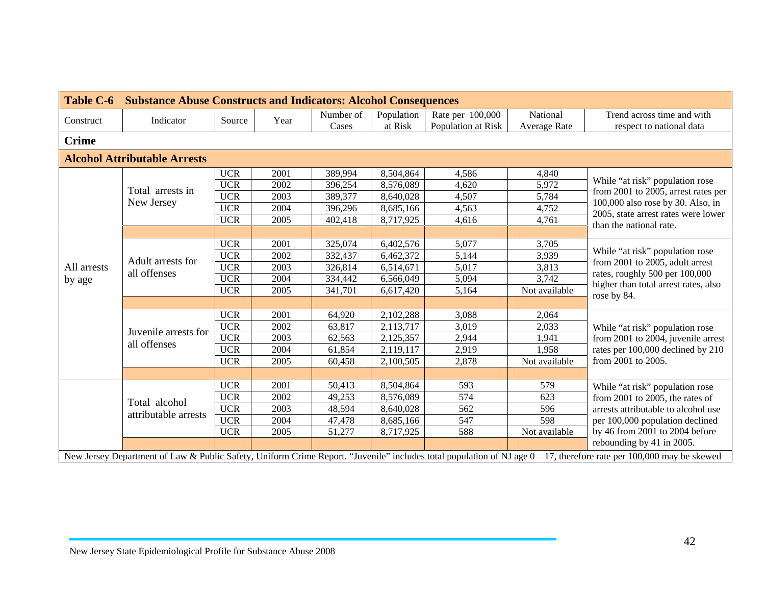| <b>Table C-6</b> | <b>Substance Abuse Constructs and Indicators: Alcohol Consequences</b> |            |      |                    |            |                    |                     |                                                                                                                                                                      |  |
|------------------|------------------------------------------------------------------------|------------|------|--------------------|------------|--------------------|---------------------|----------------------------------------------------------------------------------------------------------------------------------------------------------------------|--|
| Construct        | Indicator                                                              | Source     | Year | Number of<br>Cases | Population | Rate per 100,000   | National            | Trend across time and with                                                                                                                                           |  |
|                  |                                                                        |            |      |                    | at Risk    | Population at Risk | <b>Average Rate</b> | respect to national data                                                                                                                                             |  |
| <b>Crime</b>     |                                                                        |            |      |                    |            |                    |                     |                                                                                                                                                                      |  |
|                  | <b>Alcohol Attributable Arrests</b>                                    |            |      |                    |            |                    |                     |                                                                                                                                                                      |  |
|                  |                                                                        | <b>UCR</b> | 2001 | 389,994            | 8,504,864  | 4,586              | 4,840               |                                                                                                                                                                      |  |
|                  | Total arrests in                                                       | <b>UCR</b> | 2002 | 396,254            | 8,576,089  | 4,620              | 5,972               | While "at risk" population rose                                                                                                                                      |  |
|                  | New Jersey                                                             | <b>UCR</b> | 2003 | 389,377            | 8,640,028  | 4,507              | 5,784               | from 2001 to 2005, arrest rates per<br>100,000 also rose by 30. Also, in                                                                                             |  |
|                  |                                                                        | <b>UCR</b> | 2004 | 396,296            | 8,685,166  | 4,563              | 4,752               | 2005, state arrest rates were lower                                                                                                                                  |  |
|                  |                                                                        | $UCR$      | 2005 | 402,418            | 8,717,925  | 4,616              | 4,761               | than the national rate.                                                                                                                                              |  |
|                  |                                                                        |            |      |                    |            |                    |                     |                                                                                                                                                                      |  |
|                  |                                                                        | <b>UCR</b> | 2001 | 325,074            | 6,402,576  | 5,077              | 3,705               |                                                                                                                                                                      |  |
|                  |                                                                        | <b>UCR</b> | 2002 | 332,437            | 6,462,372  | 5,144              | 3,939               | While "at risk" population rose                                                                                                                                      |  |
| All arrests      | Adult arrests for<br>all offenses                                      | <b>UCR</b> | 2003 | 326,814            | 6,514,671  | 5,017              | 3,813               | from 2001 to 2005, adult arrest                                                                                                                                      |  |
| by age           |                                                                        | <b>UCR</b> | 2004 | 334,442            | 6,566,049  | 5,094              | 3,742               | rates, roughly 500 per 100,000                                                                                                                                       |  |
|                  |                                                                        | <b>UCR</b> | 2005 | 341,701            | 6,617,420  | 5,164              | Not available       | higher than total arrest rates, also                                                                                                                                 |  |
|                  |                                                                        |            |      |                    |            |                    |                     | rose by 84.                                                                                                                                                          |  |
|                  |                                                                        | <b>UCR</b> | 2001 | 64,920             | 2,102,288  | 3,088              | 2,064               |                                                                                                                                                                      |  |
|                  | Juvenile arrests for                                                   | <b>UCR</b> | 2002 | 63,817             | 2,113,717  | 3,019              | 2,033               | While "at risk" population rose                                                                                                                                      |  |
|                  | all offenses                                                           | <b>UCR</b> | 2003 | 62,563             | 2,125,357  | 2,944              | 1,941               | from 2001 to 2004, juvenile arrest                                                                                                                                   |  |
|                  |                                                                        | <b>UCR</b> | 2004 | 61,854             | 2,119,117  | 2,919              | 1,958               | rates per 100,000 declined by 210                                                                                                                                    |  |
|                  |                                                                        | <b>UCR</b> | 2005 | 60,458             | 2,100,505  | 2,878              | Not available       | from 2001 to 2005.                                                                                                                                                   |  |
|                  |                                                                        |            |      |                    |            |                    |                     |                                                                                                                                                                      |  |
|                  |                                                                        | <b>UCR</b> | 2001 | 50,413             | 8,504,864  | 593                | 579                 | While "at risk" population rose                                                                                                                                      |  |
|                  | Total alcohol                                                          | <b>UCR</b> | 2002 | 49,253             | 8,576,089  | 574                | 623                 | from $2001$ to $2005$ , the rates of                                                                                                                                 |  |
|                  |                                                                        | <b>UCR</b> | 2003 | 48,594             | 8,640,028  | 562                | 596                 | arrests attributable to alcohol use                                                                                                                                  |  |
|                  | attributable arrests                                                   | <b>UCR</b> | 2004 | 47,478             | 8,685,166  | 547                | 598                 | per 100,000 population declined                                                                                                                                      |  |
|                  |                                                                        | <b>UCR</b> | 2005 | 51,277             | 8,717,925  | 588                | Not available       | by 46 from 2001 to 2004 before                                                                                                                                       |  |
|                  |                                                                        |            |      |                    |            |                    |                     | rebounding by 41 in 2005.                                                                                                                                            |  |
|                  |                                                                        |            |      |                    |            |                    |                     | New Jersey Department of Law & Public Safety, Uniform Crime Report. "Juvenile" includes total population of NJ age $0-17$ , therefore rate per 100,000 may be skewed |  |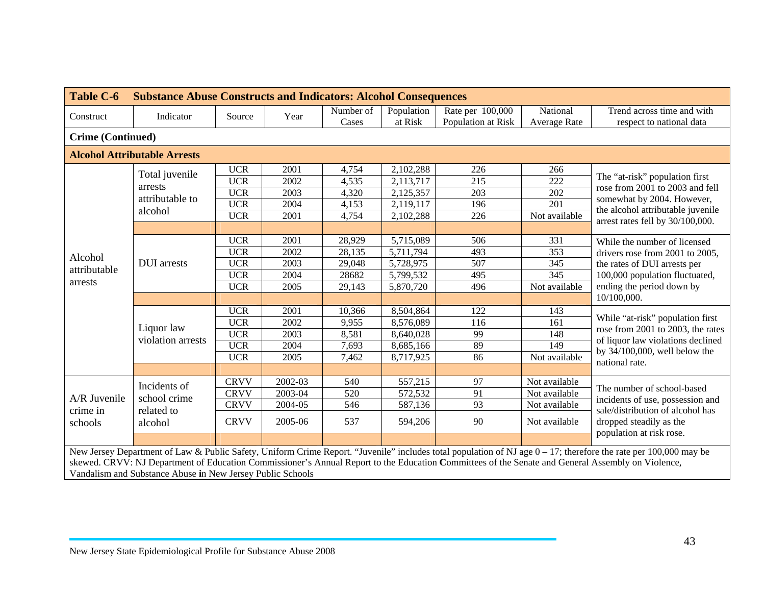| <b>Table C-6</b>         | <b>Substance Abuse Constructs and Indicators: Alcohol Consequences</b> |             |         |           |            |                    |                  |                                                                                                                                                                                                                                                                                                                       |  |  |  |  |  |
|--------------------------|------------------------------------------------------------------------|-------------|---------|-----------|------------|--------------------|------------------|-----------------------------------------------------------------------------------------------------------------------------------------------------------------------------------------------------------------------------------------------------------------------------------------------------------------------|--|--|--|--|--|
| Construct                | Indicator                                                              | Source      | Year    | Number of | Population | Rate per 100,000   | National         | Trend across time and with                                                                                                                                                                                                                                                                                            |  |  |  |  |  |
|                          |                                                                        |             |         | Cases     | at Risk    | Population at Risk | Average Rate     | respect to national data                                                                                                                                                                                                                                                                                              |  |  |  |  |  |
| <b>Crime (Continued)</b> |                                                                        |             |         |           |            |                    |                  |                                                                                                                                                                                                                                                                                                                       |  |  |  |  |  |
|                          | <b>Alcohol Attributable Arrests</b>                                    |             |         |           |            |                    |                  |                                                                                                                                                                                                                                                                                                                       |  |  |  |  |  |
|                          | Total juvenile                                                         | <b>UCR</b>  | 2001    | 4,754     | 2,102,288  | 226                | 266              |                                                                                                                                                                                                                                                                                                                       |  |  |  |  |  |
|                          | arrests                                                                | <b>UCR</b>  | 2002    | 4,535     | 2,113,717  | 215                | $\overline{222}$ | The "at-risk" population first                                                                                                                                                                                                                                                                                        |  |  |  |  |  |
|                          | attributable to                                                        | <b>UCR</b>  | 2003    | 4,320     | 2,125,357  | 203                | 202              | rose from 2001 to 2003 and fell                                                                                                                                                                                                                                                                                       |  |  |  |  |  |
|                          |                                                                        | <b>UCR</b>  | 2004    | 4,153     | 2,119,117  | 196                | 201              | somewhat by 2004. However,<br>the alcohol attributable juvenile                                                                                                                                                                                                                                                       |  |  |  |  |  |
|                          | alcohol                                                                | <b>UCR</b>  | 2001    | 4,754     | 2,102,288  | 226                | Not available    | arrest rates fell by 30/100,000.                                                                                                                                                                                                                                                                                      |  |  |  |  |  |
|                          |                                                                        |             |         |           |            |                    |                  |                                                                                                                                                                                                                                                                                                                       |  |  |  |  |  |
|                          |                                                                        | <b>UCR</b>  | 2001    | 28,929    | 5,715,089  | 506                | 331              | While the number of licensed                                                                                                                                                                                                                                                                                          |  |  |  |  |  |
|                          |                                                                        | <b>UCR</b>  | 2002    | 28,135    | 5,711,794  | 493                | 353              | drivers rose from 2001 to 2005,                                                                                                                                                                                                                                                                                       |  |  |  |  |  |
| Alcohol                  | <b>DUI</b> arrests                                                     | <b>UCR</b>  | 2003    | 29,048    | 5,728,975  | 507                | 345              | the rates of DUI arrests per                                                                                                                                                                                                                                                                                          |  |  |  |  |  |
| attributable             |                                                                        | <b>UCR</b>  | 2004    | 28682     | 5,799,532  | 495                | 345              | 100,000 population fluctuated,                                                                                                                                                                                                                                                                                        |  |  |  |  |  |
| arrests                  |                                                                        | <b>UCR</b>  | 2005    | 29,143    | 5,870,720  | 496                | Not available    | ending the period down by                                                                                                                                                                                                                                                                                             |  |  |  |  |  |
|                          |                                                                        |             |         |           |            |                    |                  | 10/100,000.                                                                                                                                                                                                                                                                                                           |  |  |  |  |  |
|                          |                                                                        | <b>UCR</b>  | 2001    | 10,366    | 8,504,864  | 122                | 143              |                                                                                                                                                                                                                                                                                                                       |  |  |  |  |  |
|                          |                                                                        | <b>UCR</b>  | 2002    | 9,955     | 8,576,089  | 116                | 161              | While "at-risk" population first                                                                                                                                                                                                                                                                                      |  |  |  |  |  |
|                          | Liquor law                                                             | <b>UCR</b>  | 2003    | 8,581     | 8,640,028  | 99                 | 148              | rose from 2001 to 2003, the rates                                                                                                                                                                                                                                                                                     |  |  |  |  |  |
|                          | violation arrests                                                      | <b>UCR</b>  | 2004    | 7,693     | 8,685,166  | 89                 | 149              | of liquor law violations declined                                                                                                                                                                                                                                                                                     |  |  |  |  |  |
|                          |                                                                        | <b>UCR</b>  | 2005    | 7,462     | 8,717,925  | 86                 | Not available    | by $34/100,000$ , well below the<br>national rate.                                                                                                                                                                                                                                                                    |  |  |  |  |  |
|                          |                                                                        |             |         |           |            |                    |                  |                                                                                                                                                                                                                                                                                                                       |  |  |  |  |  |
|                          | Incidents of                                                           | <b>CRVV</b> | 2002-03 | 540       | 557,215    | 97                 | Not available    |                                                                                                                                                                                                                                                                                                                       |  |  |  |  |  |
| A/R Juvenile             | school crime                                                           | <b>CRVV</b> | 2003-04 | 520       | 572,532    | 91                 | Not available    | The number of school-based                                                                                                                                                                                                                                                                                            |  |  |  |  |  |
|                          |                                                                        | <b>CRVV</b> | 2004-05 | 546       | 587,136    | 93                 | Not available    | incidents of use, possession and                                                                                                                                                                                                                                                                                      |  |  |  |  |  |
| crime in<br>schools      | related to<br>alcohol                                                  | <b>CRVV</b> | 2005-06 | 537       | 594,206    | 90                 | Not available    | sale/distribution of alcohol has<br>dropped steadily as the<br>population at risk rose.                                                                                                                                                                                                                               |  |  |  |  |  |
|                          |                                                                        |             |         |           |            |                    |                  |                                                                                                                                                                                                                                                                                                                       |  |  |  |  |  |
|                          |                                                                        |             |         |           |            |                    |                  | New Jersey Department of Law & Public Safety, Uniform Crime Report. "Juvenile" includes total population of NJ age 0 - 17; therefore the rate per 100,000 may be<br>skewed. CRVV: NJ Department of Education Commissioner's Annual Report to the Education Committees of the Senate and General Assembly on Violence, |  |  |  |  |  |

Vandalism and Substance Abuse **i**n New Jersey Public Schools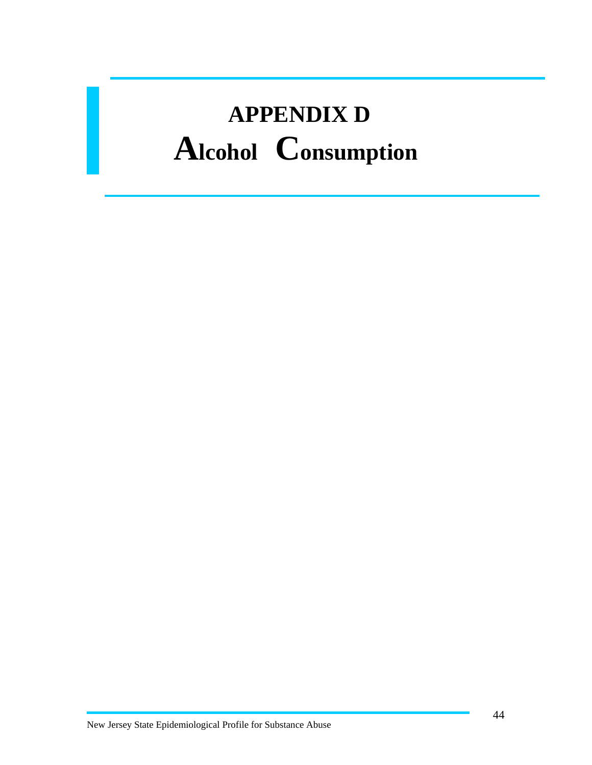## **APPENDIX D Alcohol Consumption**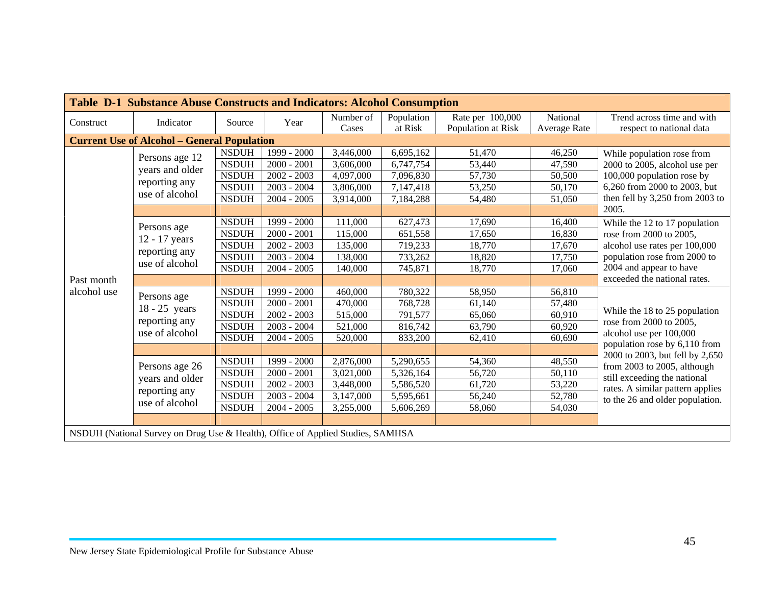| Table D-1 Substance Abuse Constructs and Indicators: Alcohol Consumption |                                                                                 |              |               |           |            |                    |                     |                                                          |  |  |  |  |
|--------------------------------------------------------------------------|---------------------------------------------------------------------------------|--------------|---------------|-----------|------------|--------------------|---------------------|----------------------------------------------------------|--|--|--|--|
|                                                                          | Indicator                                                                       | Source       |               | Number of | Population | Rate per 100,000   | National            | Trend across time and with                               |  |  |  |  |
| Construct                                                                |                                                                                 |              | Year          | Cases     | at Risk    | Population at Risk | <b>Average Rate</b> | respect to national data                                 |  |  |  |  |
|                                                                          | <b>Current Use of Alcohol - General Population</b>                              |              |               |           |            |                    |                     |                                                          |  |  |  |  |
|                                                                          | Persons age 12                                                                  | <b>NSDUH</b> | 1999 - 2000   | 3,446,000 | 6,695,162  | 51,470             | 46,250              | While population rose from                               |  |  |  |  |
|                                                                          | years and older                                                                 | <b>NSDUH</b> | $2000 - 2001$ | 3,606,000 | 6,747,754  | 53,440             | 47,590              | 2000 to 2005, alcohol use per                            |  |  |  |  |
|                                                                          |                                                                                 | <b>NSDUH</b> | $2002 - 2003$ | 4,097,000 | 7,096,830  | 57,730             | 50,500              | 100,000 population rose by                               |  |  |  |  |
|                                                                          | reporting any                                                                   | <b>NSDUH</b> | $2003 - 2004$ | 3,806,000 | 7,147,418  | 53,250             | 50,170              | 6,260 from 2000 to 2003, but                             |  |  |  |  |
|                                                                          | use of alcohol                                                                  | <b>NSDUH</b> | $2004 - 2005$ | 3,914,000 | 7,184,288  | 54,480             | 51,050              | then fell by 3,250 from 2003 to                          |  |  |  |  |
|                                                                          |                                                                                 |              |               |           |            |                    |                     | 2005.                                                    |  |  |  |  |
|                                                                          | Persons age                                                                     | <b>NSDUH</b> | 1999 - 2000   | 111,000   | 627,473    | 17,690             | 16,400              | While the 12 to 17 population                            |  |  |  |  |
|                                                                          | 12 - 17 years                                                                   | <b>NSDUH</b> | $2000 - 2001$ | 115,000   | 651,558    | 17,650             | 16,830              | rose from 2000 to 2005,                                  |  |  |  |  |
|                                                                          |                                                                                 | <b>NSDUH</b> | $2002 - 2003$ | 135,000   | 719,233    | 18,770             | 17,670              | alcohol use rates per 100,000                            |  |  |  |  |
|                                                                          | reporting any<br>use of alcohol                                                 | <b>NSDUH</b> | $2003 - 2004$ | 138,000   | 733,262    | 18,820             | 17,750              | population rose from 2000 to                             |  |  |  |  |
|                                                                          |                                                                                 | <b>NSDUH</b> | $2004 - 2005$ | 140,000   | 745,871    | 18,770             | 17,060              | 2004 and appear to have                                  |  |  |  |  |
| Past month                                                               |                                                                                 |              |               |           |            |                    |                     | exceeded the national rates.                             |  |  |  |  |
| alcohol use                                                              | Persons age                                                                     | <b>NSDUH</b> | 1999 - 2000   | 460,000   | 780,322    | 58,950             | 56,810              |                                                          |  |  |  |  |
|                                                                          | $18 - 25$ years                                                                 | <b>NSDUH</b> | $2000 - 2001$ | 470,000   | 768,728    | 61,140             | 57,480              |                                                          |  |  |  |  |
|                                                                          |                                                                                 | <b>NSDUH</b> | $2002 - 2003$ | 515,000   | 791,577    | 65,060             | 60,910              | While the 18 to 25 population                            |  |  |  |  |
|                                                                          | reporting any                                                                   | <b>NSDUH</b> | $2003 - 2004$ | 521,000   | 816,742    | 63,790             | 60,920              | rose from 2000 to 2005,                                  |  |  |  |  |
|                                                                          | use of alcohol                                                                  | <b>NSDUH</b> | $2004 - 2005$ | 520,000   | 833,200    | 62,410             | 60,690              | alcohol use per 100,000<br>population rose by 6,110 from |  |  |  |  |
|                                                                          |                                                                                 |              |               |           |            |                    |                     | 2000 to 2003, but fell by 2,650                          |  |  |  |  |
|                                                                          | Persons age 26                                                                  | <b>NSDUH</b> | 1999 - 2000   | 2,876,000 | 5,290,655  | 54,360             | 48,550              | from 2003 to 2005, although                              |  |  |  |  |
|                                                                          | years and older                                                                 | <b>NSDUH</b> | $2000 - 2001$ | 3,021,000 | 5,326,164  | 56,720             | 50,110              | still exceeding the national                             |  |  |  |  |
|                                                                          | reporting any                                                                   | <b>NSDUH</b> | $2002 - 2003$ | 3,448,000 | 5,586,520  | 61,720             | 53,220              | rates. A similar pattern applies                         |  |  |  |  |
|                                                                          |                                                                                 | <b>NSDUH</b> | $2003 - 2004$ | 3,147,000 | 5,595,661  | 56,240             | 52,780              | to the 26 and older population.                          |  |  |  |  |
|                                                                          | use of alcohol                                                                  | <b>NSDUH</b> | $2004 - 2005$ | 3,255,000 | 5,606,269  | 58,060             | 54,030              |                                                          |  |  |  |  |
|                                                                          |                                                                                 |              |               |           |            |                    |                     |                                                          |  |  |  |  |
|                                                                          | NSDUH (National Survey on Drug Use & Health), Office of Applied Studies, SAMHSA |              |               |           |            |                    |                     |                                                          |  |  |  |  |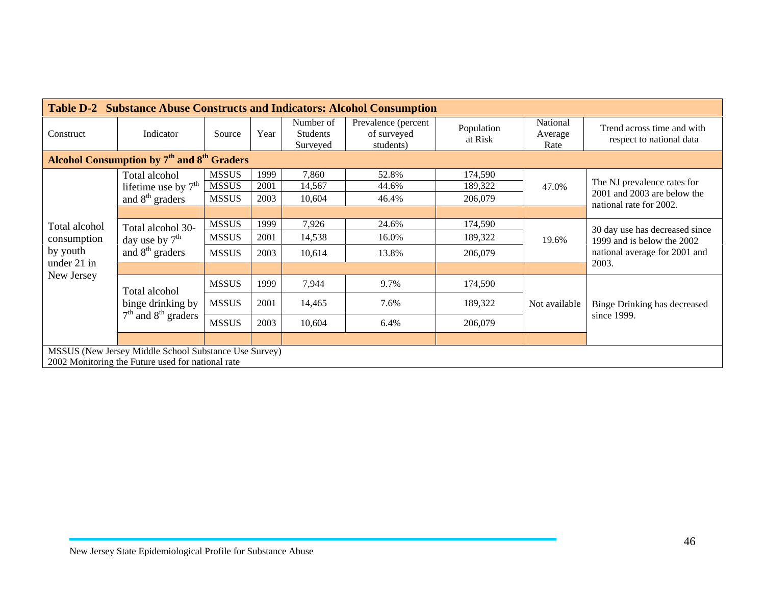|                                                                                                            |                                                                    |              |      |                                          | <b>Table D-2 Substance Abuse Constructs and Indicators: Alcohol Consumption</b> |                       |                             |                                                        |  |
|------------------------------------------------------------------------------------------------------------|--------------------------------------------------------------------|--------------|------|------------------------------------------|---------------------------------------------------------------------------------|-----------------------|-----------------------------|--------------------------------------------------------|--|
| Construct                                                                                                  | Indicator                                                          | Source       | Year | Number of<br><b>Students</b><br>Surveyed | Prevalence (percent<br>of surveyed<br>students)                                 | Population<br>at Risk | National<br>Average<br>Rate | Trend across time and with<br>respect to national data |  |
|                                                                                                            | Alcohol Consumption by 7 <sup>th</sup> and 8 <sup>th</sup> Graders |              |      |                                          |                                                                                 |                       |                             |                                                        |  |
|                                                                                                            | Total alcohol                                                      | <b>MSSUS</b> | 1999 | 7,860                                    | 52.8%                                                                           | 174,590               |                             |                                                        |  |
|                                                                                                            | lifetime use by $7th$                                              | <b>MSSUS</b> | 2001 | 14,567                                   | 44.6%                                                                           | 189,322               | 47.0%                       | The NJ prevalence rates for                            |  |
|                                                                                                            | and $8th$ graders                                                  | <b>MSSUS</b> | 2003 | 10,604                                   | 46.4%                                                                           | 206,079               |                             | 2001 and 2003 are below the<br>national rate for 2002. |  |
| Total alcohol                                                                                              |                                                                    |              |      |                                          |                                                                                 |                       |                             |                                                        |  |
|                                                                                                            | Total alcohol 30-<br>day use by $7th$<br>and $8th$ graders         | <b>MSSUS</b> | 1999 | 7,926                                    | 24.6%                                                                           | 174,590               |                             | 30 day use has decreased since                         |  |
| consumption                                                                                                |                                                                    | <b>MSSUS</b> | 2001 | 14,538                                   | 16.0%                                                                           | 189,322               | 19.6%                       | 1999 and is below the 2002                             |  |
| by youth                                                                                                   |                                                                    | <b>MSSUS</b> | 2003 | 10,614                                   | 13.8%                                                                           | 206,079               |                             | national average for 2001 and                          |  |
| under 21 in                                                                                                |                                                                    |              |      |                                          |                                                                                 |                       |                             | 2003.                                                  |  |
| New Jersey                                                                                                 | Total alcohol                                                      | <b>MSSUS</b> | 1999 | 7,944                                    | 9.7%                                                                            | 174,590               |                             |                                                        |  |
|                                                                                                            | binge drinking by                                                  | <b>MSSUS</b> | 2001 | 14,465                                   | 7.6%                                                                            | 189,322               | Not available               | <b>Binge Drinking has decreased</b>                    |  |
|                                                                                                            | $7th$ and $8th$ graders                                            | <b>MSSUS</b> | 2003 | 10,604                                   | 6.4%                                                                            | 206,079               |                             | since 1999.                                            |  |
|                                                                                                            |                                                                    |              |      |                                          |                                                                                 |                       |                             |                                                        |  |
| MSSUS (New Jersey Middle School Substance Use Survey)<br>2002 Monitoring the Future used for national rate |                                                                    |              |      |                                          |                                                                                 |                       |                             |                                                        |  |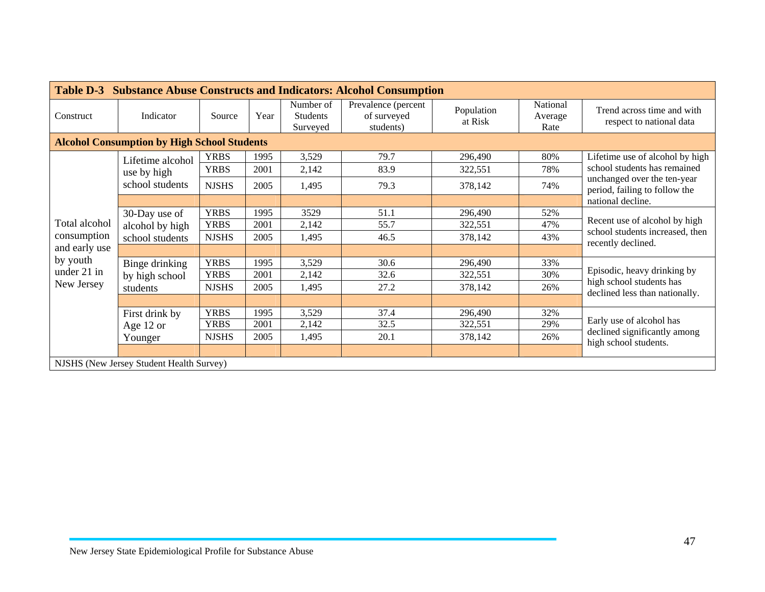| <b>Table D-3</b> |                                                     |              |      |                                          | <b>Substance Abuse Constructs and Indicators: Alcohol Consumption</b> |                       |                             |                                                                                        |  |
|------------------|-----------------------------------------------------|--------------|------|------------------------------------------|-----------------------------------------------------------------------|-----------------------|-----------------------------|----------------------------------------------------------------------------------------|--|
| Construct        | Indicator                                           | Source       | Year | Number of<br><b>Students</b><br>Surveyed | Prevalence (percent<br>of surveyed<br>students)                       | Population<br>at Risk | National<br>Average<br>Rate | Trend across time and with<br>respect to national data                                 |  |
|                  | <b>Alcohol Consumption by High School Students</b>  |              |      |                                          |                                                                       |                       |                             |                                                                                        |  |
|                  | Lifetime alcohol                                    | <b>YRBS</b>  | 1995 | 3,529                                    | 79.7                                                                  | 296,490               | 80%                         | Lifetime use of alcohol by high                                                        |  |
|                  | use by high                                         | <b>YRBS</b>  | 2001 | 2,142                                    | 83.9                                                                  | 322,551               | 78%                         | school students has remained                                                           |  |
|                  | school students                                     | <b>NJSHS</b> | 2005 | 1,495                                    | 79.3                                                                  | 378,142               | 74%                         | unchanged over the ten-year<br>period, failing to follow the                           |  |
|                  |                                                     |              |      |                                          |                                                                       |                       |                             | national decline.                                                                      |  |
|                  | 30-Day use of<br>alcohol by high<br>school students | <b>YRBS</b>  | 1995 | 3529                                     | 51.1                                                                  | 296,490               | 52%                         |                                                                                        |  |
| Total alcohol    |                                                     | <b>YRBS</b>  | 2001 | 2,142                                    | 55.7                                                                  | 322,551               | 47%                         | Recent use of alcohol by high<br>school students increased, then<br>recently declined. |  |
| consumption      |                                                     | <b>NJSHS</b> | 2005 | 1,495                                    | 46.5                                                                  | 378,142               | 43%                         |                                                                                        |  |
| and early use    |                                                     |              |      |                                          |                                                                       |                       |                             |                                                                                        |  |
| by youth         | Binge drinking                                      | <b>YRBS</b>  | 1995 | 3,529                                    | 30.6                                                                  | 296,490               | 33%                         |                                                                                        |  |
| under 21 in      | by high school                                      | <b>YRBS</b>  | 2001 | 2,142                                    | 32.6                                                                  | 322,551               | 30%                         | Episodic, heavy drinking by                                                            |  |
| New Jersey       | students                                            | <b>NJSHS</b> | 2005 | 1,495                                    | 27.2                                                                  | 378,142               | 26%                         | high school students has<br>declined less than nationally.                             |  |
|                  |                                                     |              |      |                                          |                                                                       |                       |                             |                                                                                        |  |
|                  | First drink by                                      | <b>YRBS</b>  | 1995 | 3,529                                    | 37.4                                                                  | 296,490               | 32%                         |                                                                                        |  |
|                  | Age 12 or                                           | <b>YRBS</b>  | 2001 | 2,142                                    | 32.5                                                                  | 322,551               | 29%                         | Early use of alcohol has                                                               |  |
|                  | Younger                                             | <b>NJSHS</b> | 2005 | 1,495                                    | 20.1                                                                  | 378,142               | 26%                         | declined significantly among<br>high school students.                                  |  |
|                  |                                                     |              |      |                                          |                                                                       |                       |                             |                                                                                        |  |
|                  | NJSHS (New Jersey Student Health Survey)            |              |      |                                          |                                                                       |                       |                             |                                                                                        |  |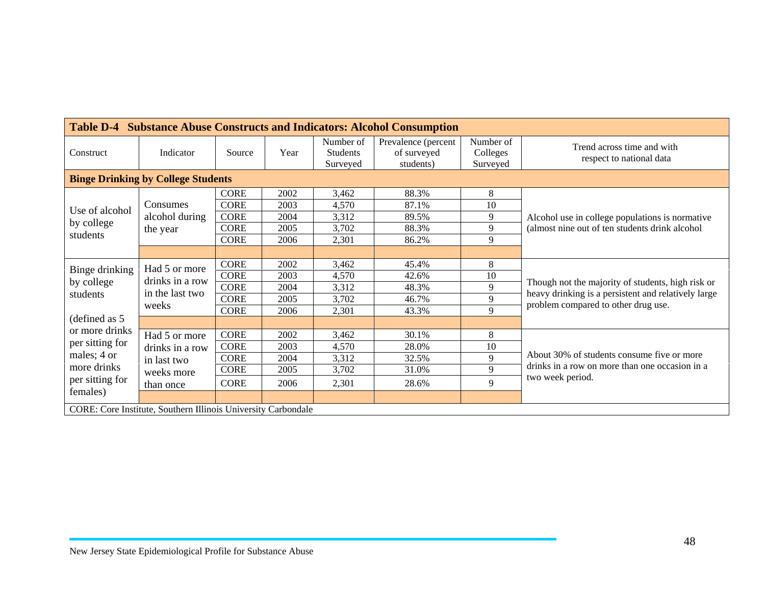|                                |                                                               |             |      |                                          | <b>Table D-4 Substance Abuse Constructs and Indicators: Alcohol Consumption</b> |                                   |                                                        |  |  |  |
|--------------------------------|---------------------------------------------------------------|-------------|------|------------------------------------------|---------------------------------------------------------------------------------|-----------------------------------|--------------------------------------------------------|--|--|--|
| Construct                      | Indicator                                                     | Source      | Year | Number of<br><b>Students</b><br>Surveyed | Prevalence (percent<br>of surveyed<br>students)                                 | Number of<br>Colleges<br>Surveyed | Trend across time and with<br>respect to national data |  |  |  |
|                                | <b>Binge Drinking by College Students</b>                     |             |      |                                          |                                                                                 |                                   |                                                        |  |  |  |
|                                |                                                               | <b>CORE</b> | 2002 | 3,462                                    | 88.3%                                                                           | 8                                 |                                                        |  |  |  |
| Use of alcohol                 | Consumes<br>alcohol during                                    | <b>CORE</b> | 2003 | 4,570                                    | 87.1%                                                                           | 10                                |                                                        |  |  |  |
| by college<br>students         |                                                               | <b>CORE</b> | 2004 | 3,312                                    | 89.5%                                                                           | 9                                 | Alcohol use in college populations is normative        |  |  |  |
|                                | the year                                                      | <b>CORE</b> | 2005 | 3,702                                    | 88.3%                                                                           | 9                                 | (almost nine out of ten students drink alcohol         |  |  |  |
|                                |                                                               | <b>CORE</b> | 2006 | 2,301                                    | 86.2%                                                                           | 9                                 |                                                        |  |  |  |
|                                |                                                               |             |      |                                          |                                                                                 |                                   |                                                        |  |  |  |
| Binge drinking                 | Had 5 or more<br>drinks in a row<br>in the last two           | <b>CORE</b> | 2002 | 3,462                                    | 45.4%                                                                           | 8                                 | Though not the majority of students, high risk or      |  |  |  |
| by college                     |                                                               | <b>CORE</b> | 2003 | 4,570                                    | 42.6%                                                                           | 10                                |                                                        |  |  |  |
| students                       |                                                               | <b>CORE</b> | 2004 | 3,312                                    | 48.3%                                                                           | 9                                 | heavy drinking is a persistent and relatively large    |  |  |  |
|                                | weeks                                                         | <b>CORE</b> | 2005 | 3,702                                    | 46.7%                                                                           | 9                                 | problem compared to other drug use.                    |  |  |  |
| (defined as 5                  |                                                               | <b>CORE</b> | 2006 | 2,301                                    | 43.3%                                                                           | 9                                 |                                                        |  |  |  |
| or more drinks                 |                                                               |             |      |                                          |                                                                                 |                                   |                                                        |  |  |  |
|                                | Had 5 or more                                                 | <b>CORE</b> | 2002 | 3,462                                    | 30.1%                                                                           | 8                                 |                                                        |  |  |  |
| per sitting for                | drinks in a row                                               | <b>CORE</b> | 2003 | 4,570                                    | 28.0%                                                                           | 10                                |                                                        |  |  |  |
| males; 4 or                    | in last two                                                   | <b>CORE</b> | 2004 | 3,312                                    | 32.5%                                                                           | 9                                 | About 30% of students consume five or more             |  |  |  |
| more drinks<br>per sitting for | weeks more                                                    | <b>CORE</b> | 2005 | 3,702                                    | 31.0%                                                                           | 9                                 | drinks in a row on more than one occasion in a         |  |  |  |
|                                | than once                                                     | <b>CORE</b> | 2006 | 2,301                                    | 28.6%                                                                           | 9                                 | two week period.                                       |  |  |  |
| females)                       |                                                               |             |      |                                          |                                                                                 |                                   |                                                        |  |  |  |
|                                | CORE: Core Institute, Southern Illinois University Carbondale |             |      |                                          |                                                                                 |                                   |                                                        |  |  |  |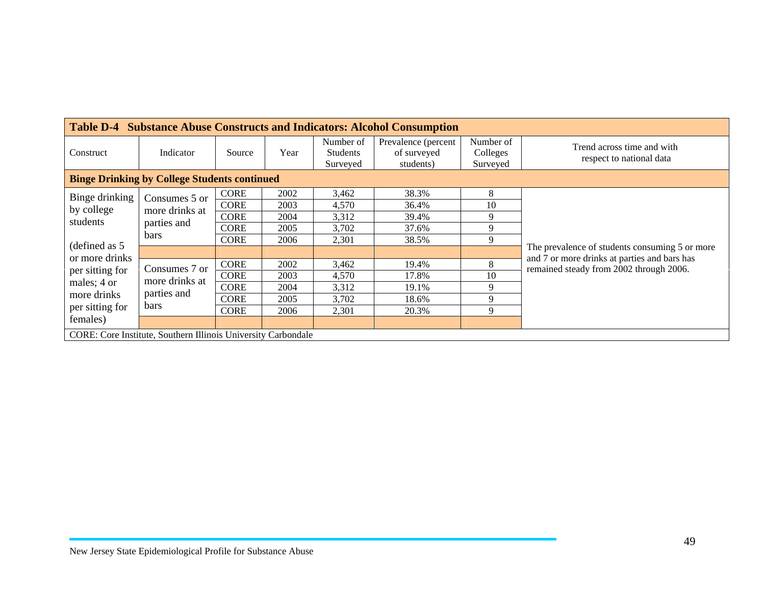|                                                     |                                                                      |             |      |                                          | <b>Table D-4 Substance Abuse Constructs and Indicators: Alcohol Consumption</b> |                                   |                                                                                         |  |  |  |
|-----------------------------------------------------|----------------------------------------------------------------------|-------------|------|------------------------------------------|---------------------------------------------------------------------------------|-----------------------------------|-----------------------------------------------------------------------------------------|--|--|--|
| Construct                                           | Indicator                                                            | Source      | Year | Number of<br><b>Students</b><br>Surveyed | Prevalence (percent<br>of surveyed<br>students)                                 | Number of<br>Colleges<br>Surveyed | Trend across time and with<br>respect to national data                                  |  |  |  |
| <b>Binge Drinking by College Students continued</b> |                                                                      |             |      |                                          |                                                                                 |                                   |                                                                                         |  |  |  |
| Binge drinking                                      | Consumes 5 or                                                        | <b>CORE</b> | 2002 | 3,462                                    | 38.3%                                                                           | 8                                 |                                                                                         |  |  |  |
| by college<br>students                              | more drinks at                                                       | <b>CORE</b> | 2003 | 4,570                                    | 36.4%                                                                           | 10                                |                                                                                         |  |  |  |
|                                                     | parties and<br>bars                                                  | <b>CORE</b> | 2004 | 3,312                                    | 39.4%                                                                           | 9                                 |                                                                                         |  |  |  |
|                                                     |                                                                      | CORE        | 2005 | 3,702                                    | 37.6%                                                                           | 9                                 |                                                                                         |  |  |  |
| (defined as 5                                       |                                                                      | <b>CORE</b> | 2006 | 2,301                                    | 38.5%                                                                           | 9                                 |                                                                                         |  |  |  |
|                                                     |                                                                      |             |      |                                          |                                                                                 |                                   | The prevalence of students consuming 5 or more                                          |  |  |  |
| or more drinks                                      | Consumes 7 or                                                        | <b>CORE</b> | 2002 | 3,462                                    | 19.4%                                                                           | 8                                 | and 7 or more drinks at parties and bars has<br>remained steady from 2002 through 2006. |  |  |  |
| per sitting for                                     | more drinks at                                                       | <b>CORE</b> | 2003 | 4,570                                    | 17.8%                                                                           | 10                                |                                                                                         |  |  |  |
| males; 4 or                                         |                                                                      | <b>CORE</b> | 2004 | 3,312                                    | 19.1%                                                                           | 9                                 |                                                                                         |  |  |  |
| more drinks                                         | parties and                                                          | <b>CORE</b> | 2005 | 3,702                                    | 18.6%                                                                           | 9                                 |                                                                                         |  |  |  |
| per sitting for                                     | <b>bars</b>                                                          | <b>CORE</b> | 2006 | 2,301                                    | 20.3%                                                                           | 9                                 |                                                                                         |  |  |  |
| females)                                            |                                                                      |             |      |                                          |                                                                                 |                                   |                                                                                         |  |  |  |
|                                                     | <b>CORE:</b> Core Institute, Southern Illinois University Carbondale |             |      |                                          |                                                                                 |                                   |                                                                                         |  |  |  |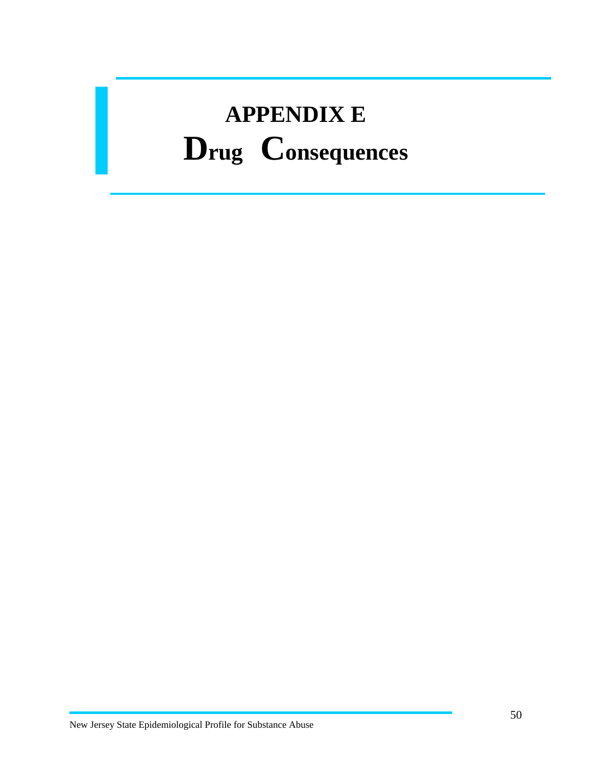# **APPENDIX E Drug Consequences**

 $\overline{a}$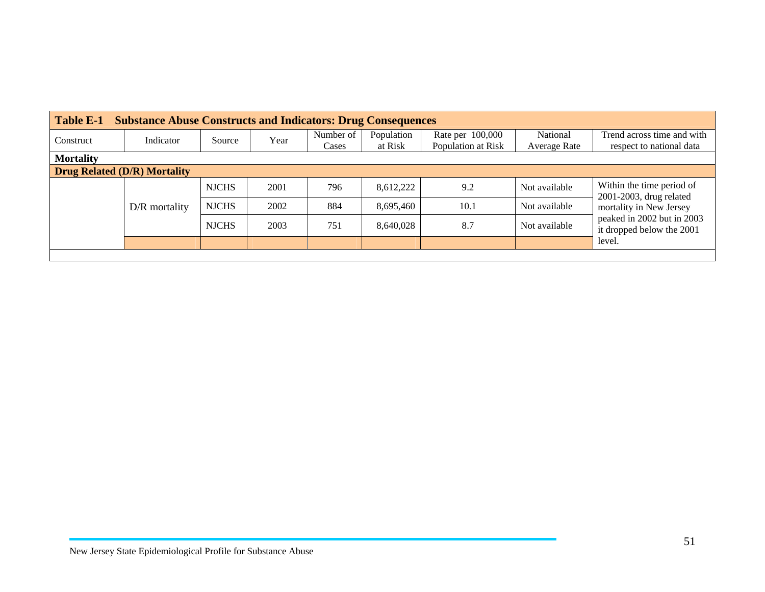| Table E-1<br><b>Substance Abuse Constructs and Indicators: Drug Consequences</b> |                 |              |      |           |            |                    |               |                                                         |  |  |  |
|----------------------------------------------------------------------------------|-----------------|--------------|------|-----------|------------|--------------------|---------------|---------------------------------------------------------|--|--|--|
| Construct                                                                        | Indicator       | Source       | Year | Number of | Population | Rate per 100,000   | National      | Trend across time and with                              |  |  |  |
|                                                                                  |                 |              |      | Cases     | at Risk    | Population at Risk | Average Rate  | respect to national data                                |  |  |  |
| <b>Mortality</b>                                                                 |                 |              |      |           |            |                    |               |                                                         |  |  |  |
| <b>Drug Related (D/R) Mortality</b>                                              |                 |              |      |           |            |                    |               |                                                         |  |  |  |
|                                                                                  |                 | <b>NJCHS</b> | 2001 | 796       | 8,612,222  | 9.2                | Not available | Within the time period of<br>2001-2003, drug related    |  |  |  |
|                                                                                  | $D/R$ mortality | <b>NJCHS</b> | 2002 | 884       | 8,695,460  | 10.1               | Not available | mortality in New Jersey                                 |  |  |  |
|                                                                                  |                 | <b>NJCHS</b> | 2003 | 751       | 8.640.028  | 8.7                | Not available | peaked in 2002 but in 2003<br>it dropped below the 2001 |  |  |  |
|                                                                                  |                 |              |      |           |            |                    |               | level.                                                  |  |  |  |
|                                                                                  |                 |              |      |           |            |                    |               |                                                         |  |  |  |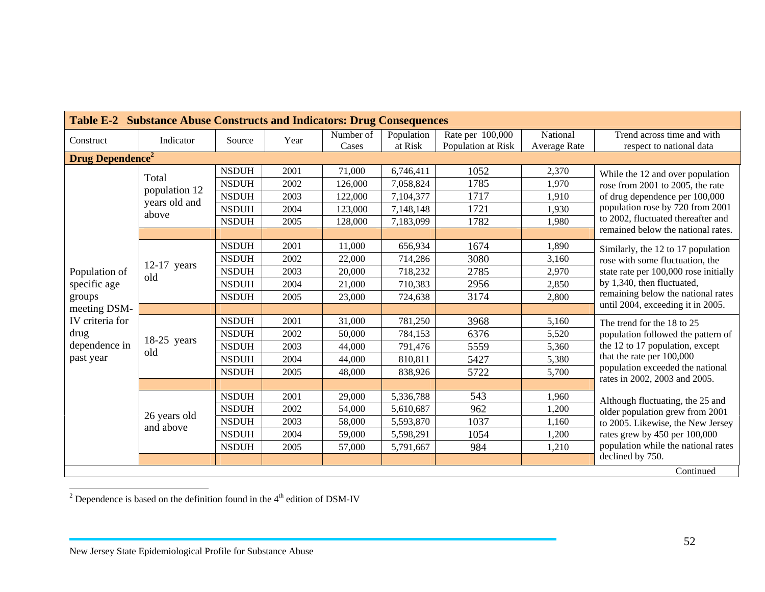| Table E-2 Substance Abuse Constructs and Indicators: Drug Consequences |                           |              |      |           |            |                    |                     |                                                                     |  |  |  |
|------------------------------------------------------------------------|---------------------------|--------------|------|-----------|------------|--------------------|---------------------|---------------------------------------------------------------------|--|--|--|
| Construct                                                              | Indicator                 | Source       | Year | Number of | Population | Rate per 100,000   | National            | Trend across time and with                                          |  |  |  |
|                                                                        |                           |              |      | Cases     | at Risk    | Population at Risk | <b>Average Rate</b> | respect to national data                                            |  |  |  |
| <b>Drug Dependence<sup>2</sup></b>                                     |                           |              |      |           |            |                    |                     |                                                                     |  |  |  |
|                                                                        | Total                     | <b>NSDUH</b> | 2001 | 71,000    | 6,746,411  | 1052               | 2,370               | While the 12 and over population                                    |  |  |  |
|                                                                        | population 12             | <b>NSDUH</b> | 2002 | 126,000   | 7,058,824  | 1785               | 1,970               | rose from 2001 to 2005, the rate                                    |  |  |  |
|                                                                        | years old and<br>above    | <b>NSDUH</b> | 2003 | 122,000   | 7,104,377  | 1717               | 1,910               | of drug dependence per 100,000                                      |  |  |  |
|                                                                        |                           | <b>NSDUH</b> | 2004 | 123,000   | 7,148,148  | 1721               | 1,930               | population rose by 720 from 2001                                    |  |  |  |
|                                                                        |                           | <b>NSDUH</b> | 2005 | 128,000   | 7,183,099  | 1782               | 1,980               | to 2002, fluctuated thereafter and                                  |  |  |  |
|                                                                        |                           |              |      |           |            |                    |                     | remained below the national rates.                                  |  |  |  |
|                                                                        |                           | <b>NSDUH</b> | 2001 | 11,000    | 656,934    | 1674               | 1,890               | Similarly, the 12 to 17 population                                  |  |  |  |
|                                                                        |                           | <b>NSDUH</b> | 2002 | 22,000    | 714,286    | 3080               | 3,160               | rose with some fluctuation, the                                     |  |  |  |
| Population of                                                          | $12-17$ years<br>old      | <b>NSDUH</b> | 2003 | 20,000    | 718,232    | 2785               | 2,970               | state rate per 100,000 rose initially<br>by 1,340, then fluctuated, |  |  |  |
| specific age                                                           |                           | <b>NSDUH</b> | 2004 | 21,000    | 710,383    | 2956               | 2,850               |                                                                     |  |  |  |
| groups                                                                 |                           | <b>NSDUH</b> | 2005 | 23,000    | 724,638    | 3174               | 2,800               | remaining below the national rates                                  |  |  |  |
| meeting DSM-                                                           |                           |              |      |           |            |                    |                     | until 2004, exceeding it in 2005.                                   |  |  |  |
| IV criteria for                                                        |                           | <b>NSDUH</b> | 2001 | 31,000    | 781,250    | 3968               | 5,160               | The trend for the 18 to 25                                          |  |  |  |
| drug                                                                   | $18-25$ years             | <b>NSDUH</b> | 2002 | 50,000    | 784,153    | 6376               | 5,520               | population followed the pattern of                                  |  |  |  |
| dependence in                                                          | old                       | <b>NSDUH</b> | 2003 | 44,000    | 791,476    | 5559               | 5,360               | the 12 to 17 population, except                                     |  |  |  |
| past year                                                              |                           | <b>NSDUH</b> | 2004 | 44,000    | 810,811    | 5427               | 5,380               | that the rate per 100,000                                           |  |  |  |
|                                                                        |                           | <b>NSDUH</b> | 2005 | 48,000    | 838,926    | 5722               | 5,700               | population exceeded the national                                    |  |  |  |
|                                                                        |                           |              |      |           |            |                    |                     | rates in 2002, 2003 and 2005.                                       |  |  |  |
|                                                                        |                           | <b>NSDUH</b> | 2001 | 29,000    | 5,336,788  | 543                | 1,960               | Although fluctuating, the 25 and                                    |  |  |  |
|                                                                        |                           | <b>NSDUH</b> | 2002 | 54,000    | 5,610,687  | 962                | 1,200               | older population grew from 2001                                     |  |  |  |
|                                                                        | 26 years old<br>and above | <b>NSDUH</b> | 2003 | 58,000    | 5,593,870  | 1037               | 1,160               | to 2005. Likewise, the New Jersey                                   |  |  |  |
|                                                                        |                           | <b>NSDUH</b> | 2004 | 59,000    | 5,598,291  | 1054               | 1,200               | rates grew by 450 per 100,000                                       |  |  |  |
|                                                                        |                           | <b>NSDUH</b> | 2005 | 57,000    | 5,791,667  | 984                | 1,210               | population while the national rates                                 |  |  |  |
|                                                                        |                           |              |      |           |            |                    |                     | declined by 750.                                                    |  |  |  |
|                                                                        |                           |              |      |           |            |                    |                     | Continued                                                           |  |  |  |

<sup>2</sup> Dependence is based on the definition found in the  $4<sup>th</sup>$  edition of DSM-IV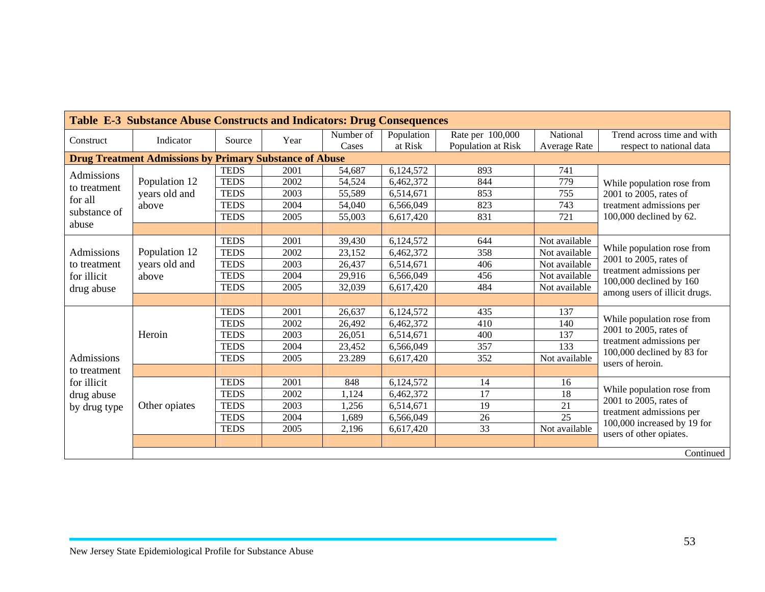|                       | Table E-3 Substance Abuse Constructs and Indicators: Drug Consequences |             |      |           |            |                    |                     |                                                                               |  |  |  |  |  |
|-----------------------|------------------------------------------------------------------------|-------------|------|-----------|------------|--------------------|---------------------|-------------------------------------------------------------------------------|--|--|--|--|--|
| Construct             | Indicator                                                              | Source      | Year | Number of | Population | Rate per 100,000   | National            | Trend across time and with                                                    |  |  |  |  |  |
|                       |                                                                        |             |      | Cases     | at Risk    | Population at Risk | <b>Average Rate</b> | respect to national data                                                      |  |  |  |  |  |
|                       | <b>Drug Treatment Admissions by Primary Substance of Abuse</b>         |             |      |           |            |                    |                     |                                                                               |  |  |  |  |  |
| Admissions            |                                                                        | <b>TEDS</b> | 2001 | 54,687    | 6,124,572  | 893                | 741                 |                                                                               |  |  |  |  |  |
| to treatment          | Population 12                                                          | <b>TEDS</b> | 2002 | 54,524    | 6,462,372  | 844                | 779                 | While population rose from                                                    |  |  |  |  |  |
| for all               | years old and                                                          | <b>TEDS</b> | 2003 | 55,589    | 6,514,671  | 853                | 755                 | 2001 to 2005, rates of                                                        |  |  |  |  |  |
| substance of<br>abuse | above                                                                  | <b>TEDS</b> | 2004 | 54,040    | 6,566,049  | 823                | 743                 | treatment admissions per                                                      |  |  |  |  |  |
|                       |                                                                        | <b>TEDS</b> | 2005 | 55,003    | 6,617,420  | 831                | 721                 | 100,000 declined by 62.                                                       |  |  |  |  |  |
|                       |                                                                        |             |      |           |            |                    |                     |                                                                               |  |  |  |  |  |
|                       |                                                                        | <b>TEDS</b> | 2001 | 39,430    | 6,124,572  | 644                | Not available       |                                                                               |  |  |  |  |  |
| Admissions            | Population 12                                                          | <b>TEDS</b> | 2002 | 23,152    | 6,462,372  | 358                | Not available       | While population rose from                                                    |  |  |  |  |  |
| to treatment          | years old and                                                          | <b>TEDS</b> | 2003 | 26,437    | 6,514,671  | 406                | Not available       | 2001 to 2005, rates of<br>treatment admissions per<br>100,000 declined by 160 |  |  |  |  |  |
| for illicit           | above                                                                  | <b>TEDS</b> | 2004 | 29,916    | 6,566,049  | 456                | Not available       |                                                                               |  |  |  |  |  |
| drug abuse            |                                                                        | <b>TEDS</b> | 2005 | 32,039    | 6,617,420  | 484                | Not available       | among users of illicit drugs.                                                 |  |  |  |  |  |
|                       |                                                                        |             |      |           |            |                    |                     |                                                                               |  |  |  |  |  |
|                       |                                                                        | <b>TEDS</b> | 2001 | 26,637    | 6,124,572  | 435                | 137                 |                                                                               |  |  |  |  |  |
|                       |                                                                        | <b>TEDS</b> | 2002 | 26,492    | 6,462,372  | 410                | 140                 | While population rose from                                                    |  |  |  |  |  |
|                       | Heroin                                                                 | <b>TEDS</b> | 2003 | 26,051    | 6,514,671  | 400                | 137                 | 2001 to 2005, rates of                                                        |  |  |  |  |  |
|                       |                                                                        | <b>TEDS</b> | 2004 | 23,452    | 6,566,049  | 357                | 133                 | treatment admissions per<br>100,000 declined by 83 for                        |  |  |  |  |  |
| Admissions            |                                                                        | <b>TEDS</b> | 2005 | 23.289    | 6,617,420  | 352                | Not available       | users of heroin.                                                              |  |  |  |  |  |
| to treatment          |                                                                        |             |      |           |            |                    |                     |                                                                               |  |  |  |  |  |
| for illicit           |                                                                        | <b>TEDS</b> | 2001 | 848       | 6,124,572  | 14                 | 16                  |                                                                               |  |  |  |  |  |
| drug abuse            |                                                                        | <b>TEDS</b> | 2002 | 1,124     | 6,462,372  | 17                 | 18                  | While population rose from                                                    |  |  |  |  |  |
| by drug type          | Other opiates                                                          | <b>TEDS</b> | 2003 | 1,256     | 6,514,671  | 19                 | 21                  | 2001 to 2005, rates of                                                        |  |  |  |  |  |
|                       |                                                                        | <b>TEDS</b> | 2004 | 1,689     | 6,566,049  | 26                 | $\overline{25}$     | treatment admissions per                                                      |  |  |  |  |  |
|                       |                                                                        | <b>TEDS</b> | 2005 | 2,196     | 6,617,420  | 33                 | Not available       | 100,000 increased by 19 for<br>users of other opiates.                        |  |  |  |  |  |
|                       |                                                                        |             |      |           |            |                    |                     |                                                                               |  |  |  |  |  |
|                       |                                                                        |             |      |           |            |                    |                     | Continued                                                                     |  |  |  |  |  |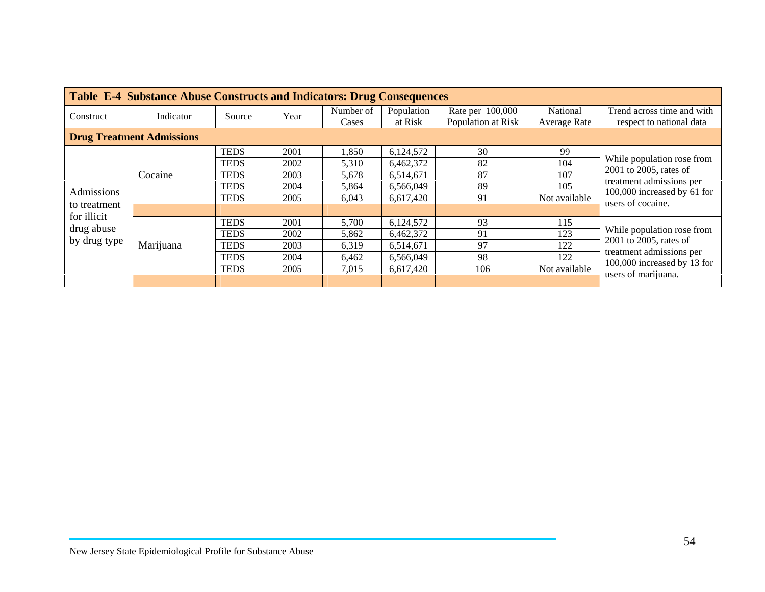|                                  | <b>Table E-4 Substance Abuse Constructs and Indicators: Drug Consequences</b> |             |      |           |            |                    |               |                                                                                                        |  |  |  |  |
|----------------------------------|-------------------------------------------------------------------------------|-------------|------|-----------|------------|--------------------|---------------|--------------------------------------------------------------------------------------------------------|--|--|--|--|
| Construct                        | Indicator                                                                     | Source      | Year | Number of | Population | Rate per 100,000   | National      | Trend across time and with                                                                             |  |  |  |  |
|                                  |                                                                               |             |      | Cases     | at Risk    | Population at Risk | Average Rate  | respect to national data                                                                               |  |  |  |  |
| <b>Drug Treatment Admissions</b> |                                                                               |             |      |           |            |                    |               |                                                                                                        |  |  |  |  |
|                                  |                                                                               | <b>TEDS</b> | 2001 | 1,850     | 6,124,572  | 30                 | 99            |                                                                                                        |  |  |  |  |
|                                  |                                                                               | <b>TEDS</b> | 2002 | 5,310     | 6,462,372  | 82                 | 104           | While population rose from                                                                             |  |  |  |  |
|                                  | Cocaine                                                                       | <b>TEDS</b> | 2003 | 5.678     | 6.514.671  | 87                 | 107           | 2001 to 2005, rates of<br>treatment admissions per<br>100,000 increased by 61 for<br>users of cocaine. |  |  |  |  |
| Admissions                       |                                                                               | <b>TEDS</b> | 2004 | 5,864     | 6.566.049  | 89                 | 105           |                                                                                                        |  |  |  |  |
|                                  |                                                                               | <b>TEDS</b> | 2005 | 6,043     | 6,617,420  | 91                 | Not available |                                                                                                        |  |  |  |  |
| to treatment<br>for illicit      |                                                                               |             |      |           |            |                    |               |                                                                                                        |  |  |  |  |
|                                  |                                                                               | <b>TEDS</b> | 2001 | 5,700     | 6,124,572  | 93                 | 115           |                                                                                                        |  |  |  |  |
| drug abuse                       |                                                                               | <b>TEDS</b> | 2002 | 5,862     | 6,462,372  | 91                 | 123           | While population rose from                                                                             |  |  |  |  |
| by drug type                     | Marijuana                                                                     | <b>TEDS</b> | 2003 | 6,319     | 6,514,671  | 97                 | 122           | 2001 to 2005, rates of                                                                                 |  |  |  |  |
|                                  |                                                                               | <b>TEDS</b> | 2004 | 6,462     | 6,566,049  | 98                 | 122           | treatment admissions per<br>100,000 increased by 13 for                                                |  |  |  |  |
|                                  |                                                                               | <b>TEDS</b> | 2005 | 7.015     | 6,617,420  | 106                | Not available | users of marijuana.                                                                                    |  |  |  |  |
|                                  |                                                                               |             |      |           |            |                    |               |                                                                                                        |  |  |  |  |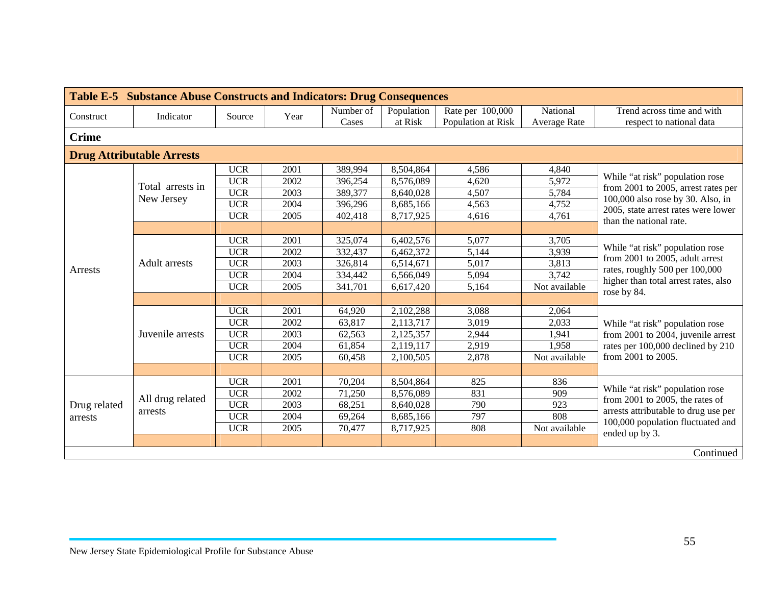| <b>Table E-5 Substance Abuse Constructs and Indicators: Drug Consequences</b> |                                  |            |      |                    |                       |                                        |                                 |                                                                          |  |  |  |
|-------------------------------------------------------------------------------|----------------------------------|------------|------|--------------------|-----------------------|----------------------------------------|---------------------------------|--------------------------------------------------------------------------|--|--|--|
| Construct                                                                     | Indicator                        | Source     | Year | Number of<br>Cases | Population<br>at Risk | Rate per 100,000<br>Population at Risk | National<br><b>Average Rate</b> | Trend across time and with<br>respect to national data                   |  |  |  |
| <b>Crime</b>                                                                  |                                  |            |      |                    |                       |                                        |                                 |                                                                          |  |  |  |
|                                                                               | <b>Drug Attributable Arrests</b> |            |      |                    |                       |                                        |                                 |                                                                          |  |  |  |
|                                                                               |                                  | <b>UCR</b> | 2001 | 389,994            | 8,504,864             | 4,586                                  | 4,840                           |                                                                          |  |  |  |
|                                                                               | Total arrests in                 | <b>UCR</b> | 2002 | 396,254            | 8,576,089             | 4,620                                  | 5,972                           | While "at risk" population rose                                          |  |  |  |
|                                                                               |                                  | <b>UCR</b> | 2003 | 389,377            | 8,640,028             | 4,507                                  | 5,784                           | from 2001 to 2005, arrest rates per<br>100,000 also rose by 30. Also, in |  |  |  |
|                                                                               | New Jersey                       | <b>UCR</b> | 2004 | 396,296            | 8,685,166             | 4,563                                  | 4,752                           | 2005, state arrest rates were lower                                      |  |  |  |
| Arrests                                                                       |                                  | <b>UCR</b> | 2005 | 402,418            | 8,717,925             | 4,616                                  | 4,761                           | than the national rate.                                                  |  |  |  |
|                                                                               |                                  |            |      |                    |                       |                                        |                                 |                                                                          |  |  |  |
|                                                                               | <b>Adult</b> arrests             | <b>UCR</b> | 2001 | 325,074            | 6,402,576             | 5,077                                  | 3,705                           |                                                                          |  |  |  |
|                                                                               |                                  | <b>UCR</b> | 2002 | 332,437            | 6,462,372             | 5,144                                  | 3,939                           | While "at risk" population rose<br>from 2001 to 2005, adult arrest       |  |  |  |
|                                                                               |                                  | <b>UCR</b> | 2003 | 326,814            | 6,514,671             | 5,017                                  | 3,813                           | rates, roughly 500 per 100,000                                           |  |  |  |
|                                                                               |                                  | <b>UCR</b> | 2004 | 334,442            | 6,566,049             | 5,094                                  | 3,742                           | higher than total arrest rates, also<br>rose by 84.                      |  |  |  |
|                                                                               |                                  | <b>UCR</b> | 2005 | 341,701            | 6,617,420             | 5,164                                  | Not available                   |                                                                          |  |  |  |
|                                                                               |                                  |            |      |                    |                       |                                        |                                 |                                                                          |  |  |  |
|                                                                               |                                  | <b>UCR</b> | 2001 | 64,920             | 2,102,288             | 3,088                                  | 2,064                           |                                                                          |  |  |  |
|                                                                               |                                  | <b>UCR</b> | 2002 | 63,817             | 2,113,717             | 3,019                                  | 2,033                           | While "at risk" population rose                                          |  |  |  |
|                                                                               | Juvenile arrests                 | <b>UCR</b> | 2003 | 62,563             | 2,125,357             | 2,944                                  | 1,941                           | from 2001 to 2004, juvenile arrest                                       |  |  |  |
|                                                                               |                                  | <b>UCR</b> | 2004 | 61,854             | 2,119,117             | 2,919                                  | 1,958                           | rates per 100,000 declined by 210                                        |  |  |  |
|                                                                               |                                  | <b>UCR</b> | 2005 | 60,458             | 2,100,505             | 2,878                                  | Not available                   | from 2001 to 2005.                                                       |  |  |  |
|                                                                               |                                  |            |      |                    |                       |                                        |                                 |                                                                          |  |  |  |
|                                                                               |                                  | <b>UCR</b> | 2001 | 70,204             | 8,504,864             | 825                                    | 836                             |                                                                          |  |  |  |
|                                                                               | All drug related                 | <b>UCR</b> | 2002 | 71,250             | 8,576,089             | 831                                    | 909                             | While "at risk" population rose<br>from 2001 to 2005, the rates of       |  |  |  |
| Drug related                                                                  | arrests                          | <b>UCR</b> | 2003 | 68,251             | 8,640,028             | 790                                    | 923                             | arrests attributable to drug use per                                     |  |  |  |
| arrests                                                                       |                                  | <b>UCR</b> | 2004 | 69,264             | 8,685,166             | 797                                    | 808                             | 100,000 population fluctuated and                                        |  |  |  |
|                                                                               |                                  | <b>UCR</b> | 2005 | 70,477             | 8,717,925             | 808                                    | Not available                   | ended up by 3.                                                           |  |  |  |
|                                                                               |                                  |            |      |                    |                       |                                        |                                 |                                                                          |  |  |  |
|                                                                               |                                  |            |      |                    |                       |                                        |                                 | Continued                                                                |  |  |  |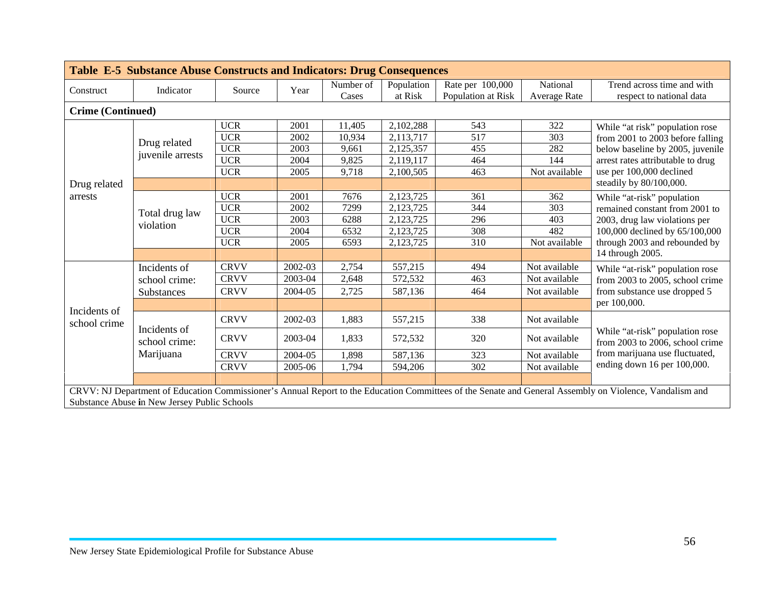|                          | <b>Table E-5 Substance Abuse Constructs and Indicators: Drug Consequences</b> |             |         |           |            |                    |               |                                                                                                                                                         |  |  |  |  |  |
|--------------------------|-------------------------------------------------------------------------------|-------------|---------|-----------|------------|--------------------|---------------|---------------------------------------------------------------------------------------------------------------------------------------------------------|--|--|--|--|--|
|                          |                                                                               | Source      |         | Number of | Population | Rate per 100,000   | National      | Trend across time and with                                                                                                                              |  |  |  |  |  |
| Construct                | Indicator                                                                     |             | Year    | Cases     | at Risk    | Population at Risk | Average Rate  | respect to national data                                                                                                                                |  |  |  |  |  |
| <b>Crime (Continued)</b> |                                                                               |             |         |           |            |                    |               |                                                                                                                                                         |  |  |  |  |  |
|                          |                                                                               | <b>UCR</b>  | 2001    | 11,405    | 2,102,288  | 543                | 322           | While "at risk" population rose                                                                                                                         |  |  |  |  |  |
|                          |                                                                               | <b>UCR</b>  | 2002    | 10,934    | 2,113,717  | 517                | 303           | from 2001 to 2003 before falling                                                                                                                        |  |  |  |  |  |
|                          | Drug related                                                                  | <b>UCR</b>  | 2003    | 9,661     | 2,125,357  | 455                | 282           | below baseline by 2005, juvenile                                                                                                                        |  |  |  |  |  |
| Drug related<br>arrests  | juvenile arrests                                                              | <b>UCR</b>  | 2004    | 9,825     | 2,119,117  | 464                | 144           | arrest rates attributable to drug                                                                                                                       |  |  |  |  |  |
|                          |                                                                               | <b>UCR</b>  | 2005    | 9,718     | 2,100,505  | 463                | Not available | use per 100,000 declined                                                                                                                                |  |  |  |  |  |
|                          |                                                                               |             |         |           |            |                    |               | steadily by 80/100,000.                                                                                                                                 |  |  |  |  |  |
|                          |                                                                               | <b>UCR</b>  | 2001    | 7676      | 2,123,725  | 361                | 362           | While "at-risk" population                                                                                                                              |  |  |  |  |  |
|                          | Total drug law                                                                | <b>UCR</b>  | 2002    | 7299      | 2,123,725  | 344                | 303           | remained constant from 2001 to                                                                                                                          |  |  |  |  |  |
|                          | violation                                                                     | <b>UCR</b>  | 2003    | 6288      | 2,123,725  | 296                | 403           | 2003, drug law violations per<br>100,000 declined by 65/100,000                                                                                         |  |  |  |  |  |
|                          |                                                                               | <b>UCR</b>  | 2004    | 6532      | 2,123,725  | 308                | 482           |                                                                                                                                                         |  |  |  |  |  |
|                          |                                                                               | <b>UCR</b>  | 2005    | 6593      | 2,123,725  | 310                | Not available | through 2003 and rebounded by                                                                                                                           |  |  |  |  |  |
|                          |                                                                               |             |         |           |            |                    |               | 14 through 2005.                                                                                                                                        |  |  |  |  |  |
|                          | Incidents of                                                                  | <b>CRVV</b> | 2002-03 | 2,754     | 557,215    | 494                | Not available | While "at-risk" population rose                                                                                                                         |  |  |  |  |  |
|                          | school crime:                                                                 | <b>CRVV</b> | 2003-04 | 2,648     | 572,532    | 463                | Not available | from 2003 to 2005, school crime                                                                                                                         |  |  |  |  |  |
|                          | Substances                                                                    | <b>CRVV</b> | 2004-05 | 2,725     | 587,136    | 464                | Not available | from substance use dropped 5                                                                                                                            |  |  |  |  |  |
| Incidents of             |                                                                               |             |         |           |            |                    |               | per 100,000.                                                                                                                                            |  |  |  |  |  |
| school crime             |                                                                               | <b>CRVV</b> | 2002-03 | 1,883     | 557,215    | 338                | Not available |                                                                                                                                                         |  |  |  |  |  |
|                          | Incidents of<br>school crime:                                                 | <b>CRVV</b> | 2003-04 | 1,833     | 572,532    | 320                | Not available | While "at-risk" population rose<br>from 2003 to 2006, school crime                                                                                      |  |  |  |  |  |
|                          | Marijuana                                                                     | <b>CRVV</b> | 2004-05 | 1,898     | 587,136    | 323                | Not available | from marijuana use fluctuated,                                                                                                                          |  |  |  |  |  |
|                          |                                                                               | <b>CRVV</b> | 2005-06 | 1,794     | 594,206    | 302                | Not available | ending down 16 per 100,000.                                                                                                                             |  |  |  |  |  |
|                          |                                                                               |             |         |           |            |                    |               |                                                                                                                                                         |  |  |  |  |  |
|                          |                                                                               |             |         |           |            |                    |               | CRVV: NJ Department of Education Commissioner's Annual Report to the Education Committees of the Senate and General Assembly on Violence, Vandalism and |  |  |  |  |  |
|                          | Substance Abuse in New Jersey Public Schools                                  |             |         |           |            |                    |               |                                                                                                                                                         |  |  |  |  |  |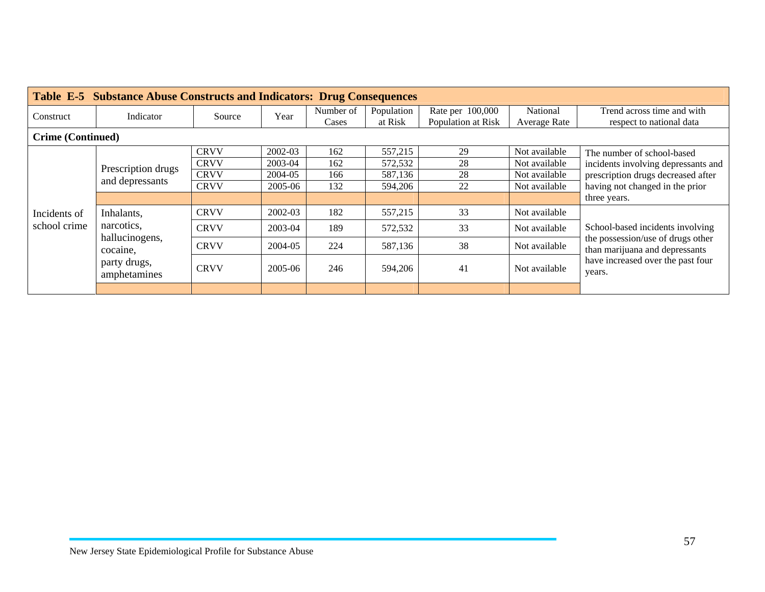|                          | <b>Table E-5 Substance Abuse Constructs and Indicators: Drug Consequences</b> |             |         |           |            |                    |               |                                                                       |  |  |  |  |
|--------------------------|-------------------------------------------------------------------------------|-------------|---------|-----------|------------|--------------------|---------------|-----------------------------------------------------------------------|--|--|--|--|
| Construct                | Indicator                                                                     | Source      | Year    | Number of | Population | Rate per 100,000   | National      | Trend across time and with                                            |  |  |  |  |
|                          |                                                                               |             |         | Cases     | at Risk    | Population at Risk | Average Rate  | respect to national data                                              |  |  |  |  |
| <b>Crime (Continued)</b> |                                                                               |             |         |           |            |                    |               |                                                                       |  |  |  |  |
|                          |                                                                               | <b>CRVV</b> | 2002-03 | 162       | 557,215    | 29                 | Not available | The number of school-based                                            |  |  |  |  |
|                          |                                                                               | <b>CRVV</b> | 2003-04 | 162       | 572,532    | 28                 | Not available | incidents involving depressants and                                   |  |  |  |  |
|                          | Prescription drugs<br>and depressants                                         | <b>CRVV</b> | 2004-05 | 166       | 587,136    | 28                 | Not available | prescription drugs decreased after<br>having not changed in the prior |  |  |  |  |
|                          |                                                                               | <b>CRVV</b> | 2005-06 | 132       | 594,206    | 22                 | Not available |                                                                       |  |  |  |  |
|                          |                                                                               |             |         |           |            |                    |               | three years.                                                          |  |  |  |  |
| Incidents of             | Inhalants,                                                                    | <b>CRVV</b> | 2002-03 | 182       | 557,215    | 33                 | Not available | School-based incidents involving                                      |  |  |  |  |
| school crime             | narcotics,                                                                    | <b>CRVV</b> | 2003-04 | 189       | 572,532    | 33                 | Not available |                                                                       |  |  |  |  |
|                          | hallucinogens,<br>cocaine,                                                    | <b>CRVV</b> | 2004-05 | 224       | 587,136    | 38                 | Not available | the possession/use of drugs other<br>than marijuana and depressants   |  |  |  |  |
|                          | party drugs,<br>amphetamines                                                  | <b>CRVV</b> | 2005-06 | 246       | 594,206    | 41                 | Not available | have increased over the past four<br>years.                           |  |  |  |  |
|                          |                                                                               |             |         |           |            |                    |               |                                                                       |  |  |  |  |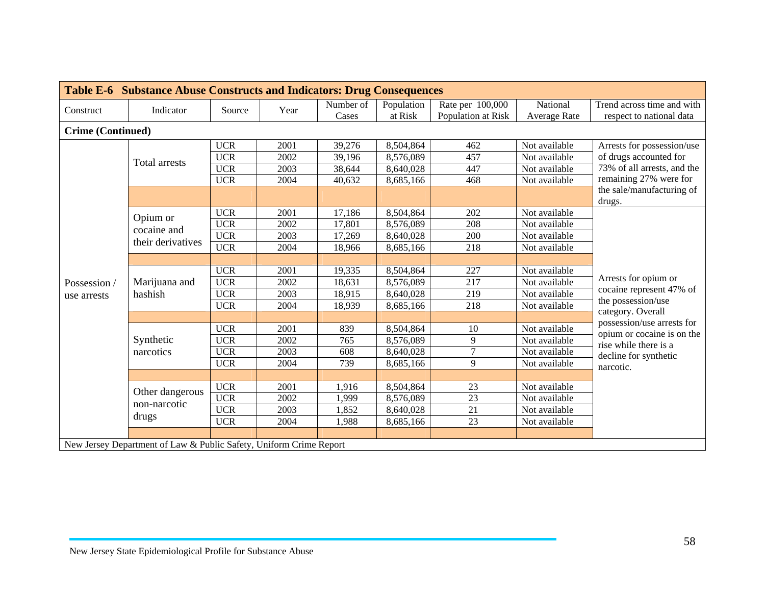|                   | <b>Table E-6 Substance Abuse Constructs and Indicators: Drug Consequences</b> |            |      |           |            |                    |                     |                                                |  |  |  |  |
|-------------------|-------------------------------------------------------------------------------|------------|------|-----------|------------|--------------------|---------------------|------------------------------------------------|--|--|--|--|
| Construct         | Indicator                                                                     | Source     | Year | Number of | Population | Rate per 100,000   | National            | Trend across time and with                     |  |  |  |  |
|                   |                                                                               |            |      | Cases     | at Risk    | Population at Risk | <b>Average Rate</b> | respect to national data                       |  |  |  |  |
| Crime (Continued) |                                                                               |            |      |           |            |                    |                     |                                                |  |  |  |  |
|                   |                                                                               | <b>UCR</b> | 2001 | 39,276    | 8,504,864  | 462                | Not available       | Arrests for possession/use                     |  |  |  |  |
|                   | <b>Total arrests</b>                                                          | <b>UCR</b> | 2002 | 39,196    | 8,576,089  | 457                | Not available       | of drugs accounted for                         |  |  |  |  |
|                   |                                                                               | <b>UCR</b> | 2003 | 38,644    | 8,640,028  | 447                | Not available       | 73% of all arrests, and the                    |  |  |  |  |
|                   |                                                                               | <b>UCR</b> | 2004 | 40,632    | 8,685,166  | 468                | Not available       | remaining 27% were for                         |  |  |  |  |
|                   |                                                                               |            |      |           |            |                    |                     | the sale/manufacturing of<br>drugs.            |  |  |  |  |
|                   | Opium or                                                                      | <b>UCR</b> | 2001 | 17,186    | 8,504,864  | 202                | Not available       |                                                |  |  |  |  |
|                   | cocaine and                                                                   | <b>UCR</b> | 2002 | 17,801    | 8,576,089  | 208                | Not available       |                                                |  |  |  |  |
|                   |                                                                               | <b>UCR</b> | 2003 | 17,269    | 8,640,028  | 200                | Not available       |                                                |  |  |  |  |
|                   | their derivatives                                                             | <b>UCR</b> | 2004 | 18,966    | 8,685,166  | 218                | Not available       |                                                |  |  |  |  |
|                   |                                                                               |            |      |           |            |                    |                     |                                                |  |  |  |  |
|                   | Marijuana and                                                                 | <b>UCR</b> | 2001 | 19,335    | 8,504,864  | 227                | Not available       | Arrests for opium or                           |  |  |  |  |
| Possession /      |                                                                               | <b>UCR</b> | 2002 | 18,631    | 8,576,089  | 217                | Not available       |                                                |  |  |  |  |
| use arrests       | hashish                                                                       | <b>UCR</b> | 2003 | 18,915    | 8,640,028  | 219                | Not available       | cocaine represent 47% of<br>the possession/use |  |  |  |  |
|                   |                                                                               | <b>UCR</b> | 2004 | 18,939    | 8,685,166  | 218                | Not available       | category. Overall                              |  |  |  |  |
|                   |                                                                               |            |      |           |            |                    |                     | possession/use arrests for                     |  |  |  |  |
|                   |                                                                               | <b>UCR</b> | 2001 | 839       | 8,504,864  | 10                 | Not available       | opium or cocaine is on the                     |  |  |  |  |
|                   | Synthetic                                                                     | <b>UCR</b> | 2002 | 765       | 8,576,089  | 9                  | Not available       | rise while there is a                          |  |  |  |  |
|                   | narcotics                                                                     | <b>UCR</b> | 2003 | 608       | 8,640,028  | $\tau$             | Not available       | decline for synthetic                          |  |  |  |  |
|                   |                                                                               | <b>UCR</b> | 2004 | 739       | 8,685,166  | 9                  | Not available       | narcotic.                                      |  |  |  |  |
|                   |                                                                               |            |      |           |            |                    |                     |                                                |  |  |  |  |
|                   | Other dangerous                                                               | <b>UCR</b> | 2001 | 1,916     | 8,504,864  | 23                 | Not available       |                                                |  |  |  |  |
|                   | non-narcotic                                                                  | <b>UCR</b> | 2002 | 1,999     | 8,576,089  | 23                 | Not available       |                                                |  |  |  |  |
|                   |                                                                               | <b>UCR</b> | 2003 | 1,852     | 8,640,028  | $\overline{21}$    | Not available       |                                                |  |  |  |  |
|                   | drugs                                                                         | <b>UCR</b> | 2004 | 1,988     | 8,685,166  | 23                 | Not available       |                                                |  |  |  |  |
|                   |                                                                               |            |      |           |            |                    |                     |                                                |  |  |  |  |
|                   | New Jersey Department of Law & Public Safety, Uniform Crime Report            |            |      |           |            |                    |                     |                                                |  |  |  |  |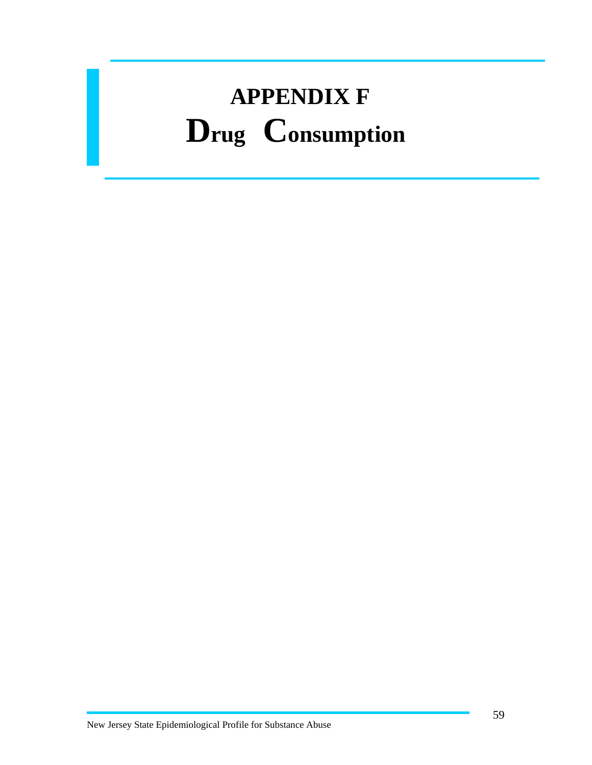## **APPENDIX F Drug Consumption**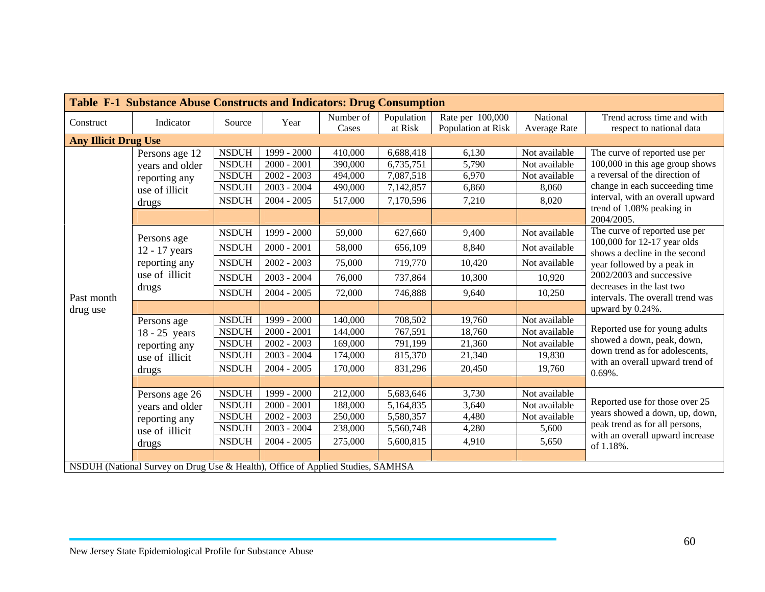| Table F-1 Substance Abuse Constructs and Indicators: Drug Consumption |                                                                                                                                                                  |                                                                              |                                                                                 |                                                     |                                                               |                                                |                                                                     |                                                                                                                                                                                                                                        |  |  |  |
|-----------------------------------------------------------------------|------------------------------------------------------------------------------------------------------------------------------------------------------------------|------------------------------------------------------------------------------|---------------------------------------------------------------------------------|-----------------------------------------------------|---------------------------------------------------------------|------------------------------------------------|---------------------------------------------------------------------|----------------------------------------------------------------------------------------------------------------------------------------------------------------------------------------------------------------------------------------|--|--|--|
| Construct                                                             | Indicator                                                                                                                                                        | Source                                                                       | Year                                                                            | Number of<br>Cases                                  | Population<br>at Risk                                         | Rate per 100,000<br>Population at Risk         | National<br>Average Rate                                            | Trend across time and with<br>respect to national data                                                                                                                                                                                 |  |  |  |
| <b>Any Illicit Drug Use</b>                                           |                                                                                                                                                                  |                                                                              |                                                                                 |                                                     |                                                               |                                                |                                                                     |                                                                                                                                                                                                                                        |  |  |  |
| Past month<br>drug use                                                | Persons age 12<br>years and older<br>reporting any<br>use of illicit<br>drugs                                                                                    | <b>NSDUH</b><br><b>NSDUH</b><br><b>NSDUH</b><br><b>NSDUH</b><br><b>NSDUH</b> | 1999 - 2000<br>$2000 - 2001$<br>$2002 - 2003$<br>$2003 - 2004$<br>$2004 - 2005$ | 410,000<br>390,000<br>494,000<br>490,000<br>517,000 | 6,688,418<br>6,735,751<br>7,087,518<br>7,142,857<br>7,170,596 | 6,130<br>5,790<br>6,970<br>6,860<br>7,210      | Not available<br>Not available<br>Not available<br>8,060<br>8,020   | The curve of reported use per<br>100,000 in this age group shows<br>a reversal of the direction of<br>change in each succeeding time<br>interval, with an overall upward<br>trend of 1.08% peaking in                                  |  |  |  |
|                                                                       | Persons age<br>12 - 17 years<br>reporting any<br>use of illicit<br>drugs                                                                                         | <b>NSDUH</b><br><b>NSDUH</b><br><b>NSDUH</b><br><b>NSDUH</b><br><b>NSDUH</b> | 1999 - 2000<br>$2000 - 2001$<br>$2002 - 2003$<br>$2003 - 2004$<br>$2004 - 2005$ | 59,000<br>58,000<br>75,000<br>76,000<br>72,000      | 627,660<br>656,109<br>719,770<br>737,864<br>746,888           | 9,400<br>8,840<br>10,420<br>10,300<br>9,640    | Not available<br>Not available<br>Not available<br>10,920<br>10,250 | 2004/2005.<br>The curve of reported use per<br>100,000 for 12-17 year olds<br>shows a decline in the second<br>year followed by a peak in<br>2002/2003 and successive<br>decreases in the last two<br>intervals. The overall trend was |  |  |  |
|                                                                       | Persons age<br>$18 - 25$ years<br>reporting any<br>use of illicit<br>drugs                                                                                       | <b>NSDUH</b><br><b>NSDUH</b><br><b>NSDUH</b><br><b>NSDUH</b><br><b>NSDUH</b> | 1999 - 2000<br>$2000 - 2001$<br>$2002 - 2003$<br>$2003 - 2004$<br>$2004 - 2005$ | 140,000<br>144,000<br>169,000<br>174,000<br>170,000 | 708,502<br>767,591<br>791,199<br>815,370<br>831,296           | 19,760<br>18,760<br>21,360<br>21,340<br>20,450 | Not available<br>Not available<br>Not available<br>19,830<br>19,760 | upward by 0.24%.<br>Reported use for young adults<br>showed a down, peak, down,<br>down trend as for adolescents,<br>with an overall upward trend of<br>$0.69\%$ .                                                                     |  |  |  |
|                                                                       | Persons age 26<br>years and older<br>reporting any<br>use of illicit<br>drugs<br>NSDUH (National Survey on Drug Use & Health), Office of Applied Studies, SAMHSA | <b>NSDUH</b><br><b>NSDUH</b><br><b>NSDUH</b><br><b>NSDUH</b><br><b>NSDUH</b> | 1999 - 2000<br>$2000 - 2001$<br>$2002 - 2003$<br>$2003 - 2004$<br>$2004 - 2005$ | 212,000<br>188,000<br>250,000<br>238,000<br>275,000 | 5,683,646<br>5,164,835<br>5,580,357<br>5,560,748<br>5,600,815 | 3,730<br>3,640<br>4,480<br>4,280<br>4,910      | Not available<br>Not available<br>Not available<br>5,600<br>5,650   | Reported use for those over 25<br>years showed a down, up, down,<br>peak trend as for all persons,<br>with an overall upward increase<br>of 1.18%.                                                                                     |  |  |  |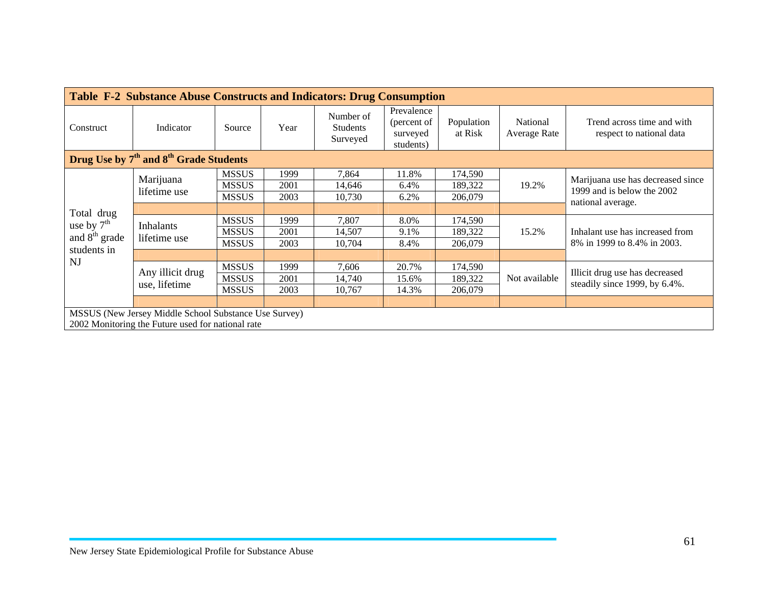| <b>Table F-2 Substance Abuse Constructs and Indicators: Drug Consumption</b> |                                                       |              |      |                                          |                                                    |                       |                          |                                                                                      |  |  |  |
|------------------------------------------------------------------------------|-------------------------------------------------------|--------------|------|------------------------------------------|----------------------------------------------------|-----------------------|--------------------------|--------------------------------------------------------------------------------------|--|--|--|
| Construct                                                                    | Indicator                                             | Source       | Year | Number of<br><b>Students</b><br>Surveyed | Prevalence<br>(percent of<br>surveyed<br>students) | Population<br>at Risk | National<br>Average Rate | Trend across time and with<br>respect to national data                               |  |  |  |
| Drug Use by 7 <sup>th</sup> and 8 <sup>th</sup> Grade Students               |                                                       |              |      |                                          |                                                    |                       |                          |                                                                                      |  |  |  |
|                                                                              | Marijuana                                             | <b>MSSUS</b> | 1999 | 7,864                                    | 11.8%                                              | 174,590               |                          |                                                                                      |  |  |  |
|                                                                              | lifetime use                                          | <b>MSSUS</b> | 2001 | 14,646                                   | 6.4%                                               | 189,322               | 19.2%                    | Marijuana use has decreased since<br>1999 and is below the 2002<br>national average. |  |  |  |
|                                                                              |                                                       | <b>MSSUS</b> | 2003 | 10,730                                   | 6.2%                                               | 206,079               |                          |                                                                                      |  |  |  |
| Total drug                                                                   |                                                       |              |      |                                          |                                                    |                       |                          |                                                                                      |  |  |  |
| use by $7th$                                                                 | <b>Inhalants</b><br>lifetime use                      | <b>MSSUS</b> | 1999 | 7,807                                    | 8.0%                                               | 174,590               | 15.2%                    | Inhalant use has increased from<br>8% in 1999 to 8.4% in 2003.                       |  |  |  |
| and $8th$ grade                                                              |                                                       | <b>MSSUS</b> | 2001 | 14,507                                   | 9.1%                                               | 189,322               |                          |                                                                                      |  |  |  |
| students in                                                                  |                                                       | <b>MSSUS</b> | 2003 | 10,704                                   | 8.4%                                               | 206,079               |                          |                                                                                      |  |  |  |
|                                                                              |                                                       |              |      |                                          |                                                    |                       |                          |                                                                                      |  |  |  |
| NJ                                                                           | Any illicit drug                                      | <b>MSSUS</b> | 1999 | 7,606                                    | 20.7%                                              | 174,590               |                          | Illicit drug use has decreased                                                       |  |  |  |
|                                                                              | use, lifetime                                         | <b>MSSUS</b> | 2001 | 14,740                                   | 15.6%                                              | 189,322               | Not available            | steadily since 1999, by 6.4%.                                                        |  |  |  |
|                                                                              |                                                       | <b>MSSUS</b> | 2003 | 10,767                                   | 14.3%                                              | 206,079               |                          |                                                                                      |  |  |  |
|                                                                              |                                                       |              |      |                                          |                                                    |                       |                          |                                                                                      |  |  |  |
|                                                                              | MSSUS (New Jersey Middle School Substance Use Survey) |              |      |                                          |                                                    |                       |                          |                                                                                      |  |  |  |
|                                                                              | 2002 Monitoring the Future used for national rate     |              |      |                                          |                                                    |                       |                          |                                                                                      |  |  |  |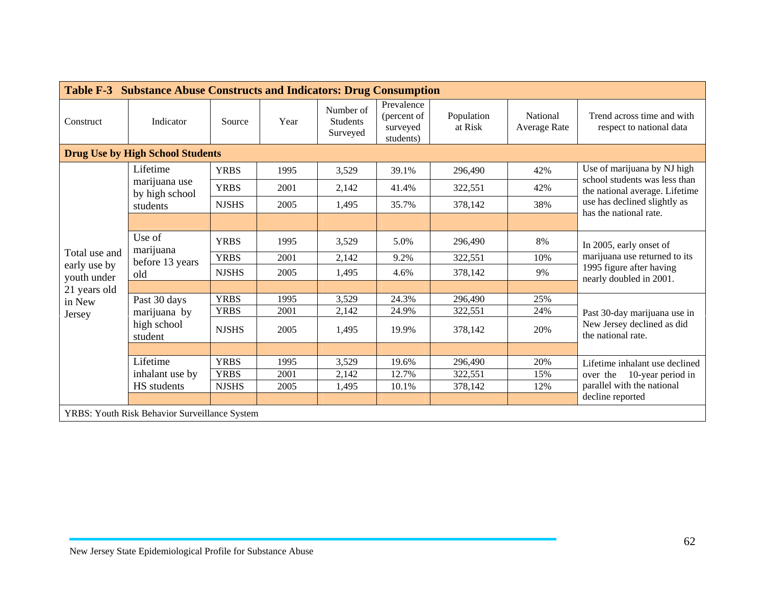| Table F-3 Substance Abuse Constructs and Indicators: Drug Consumption |                                               |              |      |                                          |                                                    |                       |                          |                                                                                                                 |  |  |  |
|-----------------------------------------------------------------------|-----------------------------------------------|--------------|------|------------------------------------------|----------------------------------------------------|-----------------------|--------------------------|-----------------------------------------------------------------------------------------------------------------|--|--|--|
| Construct                                                             | Indicator                                     | Source       | Year | Number of<br><b>Students</b><br>Surveyed | Prevalence<br>(percent of<br>surveyed<br>students) | Population<br>at Risk | National<br>Average Rate | Trend across time and with<br>respect to national data                                                          |  |  |  |
| <b>Drug Use by High School Students</b>                               |                                               |              |      |                                          |                                                    |                       |                          |                                                                                                                 |  |  |  |
|                                                                       | Lifetime                                      | <b>YRBS</b>  | 1995 | 3,529                                    | 39.1%                                              | 296,490               | 42%                      | Use of marijuana by NJ high                                                                                     |  |  |  |
|                                                                       | marijuana use<br>by high school               | <b>YRBS</b>  | 2001 | 2,142                                    | 41.4%                                              | 322,551               | 42%                      | school students was less than<br>the national average. Lifetime                                                 |  |  |  |
|                                                                       | students                                      | <b>NJSHS</b> | 2005 | 1,495                                    | 35.7%                                              | 378,142               | 38%                      | use has declined slightly as                                                                                    |  |  |  |
|                                                                       |                                               |              |      |                                          |                                                    |                       |                          | has the national rate.                                                                                          |  |  |  |
|                                                                       | Use of<br>marijuana<br>before 13 years<br>old | <b>YRBS</b>  | 1995 | 3,529                                    | 5.0%                                               | 296,490               | 8%                       | In 2005, early onset of<br>marijuana use returned to its<br>1995 figure after having<br>nearly doubled in 2001. |  |  |  |
| Total use and                                                         |                                               | <b>YRBS</b>  | 2001 | 2,142                                    | 9.2%                                               | 322,551               | 10%                      |                                                                                                                 |  |  |  |
| early use by<br>youth under                                           |                                               | <b>NJSHS</b> | 2005 | 1,495                                    | 4.6%                                               | 378,142               | 9%                       |                                                                                                                 |  |  |  |
| 21 years old                                                          |                                               |              |      |                                          |                                                    |                       |                          |                                                                                                                 |  |  |  |
| in New                                                                | Past 30 days                                  | <b>YRBS</b>  | 1995 | 3,529                                    | 24.3%                                              | 296,490               | 25%                      |                                                                                                                 |  |  |  |
| Jersey                                                                | marijuana by                                  | <b>YRBS</b>  | 2001 | 2,142                                    | 24.9%                                              | 322,551               | 24%                      | Past 30-day marijuana use in                                                                                    |  |  |  |
|                                                                       | high school<br>student                        | <b>NJSHS</b> | 2005 | 1,495                                    | 19.9%                                              | 378,142               | 20%                      | New Jersey declined as did<br>the national rate.                                                                |  |  |  |
|                                                                       |                                               |              |      |                                          |                                                    |                       |                          |                                                                                                                 |  |  |  |
|                                                                       | Lifetime                                      | <b>YRBS</b>  | 1995 | 3,529                                    | 19.6%                                              | 296,490               | 20%                      | Lifetime inhalant use declined                                                                                  |  |  |  |
|                                                                       | inhalant use by                               | <b>YRBS</b>  | 2001 | 2,142                                    | 12.7%                                              | 322,551               | 15%                      | over the 10-year period in                                                                                      |  |  |  |
|                                                                       | HS students                                   | <b>NJSHS</b> | 2005 | 1,495                                    | 10.1%                                              | 378,142               | 12%                      | parallel with the national                                                                                      |  |  |  |
|                                                                       |                                               |              |      |                                          |                                                    |                       |                          | decline reported                                                                                                |  |  |  |
|                                                                       | YRBS: Youth Risk Behavior Surveillance System |              |      |                                          |                                                    |                       |                          |                                                                                                                 |  |  |  |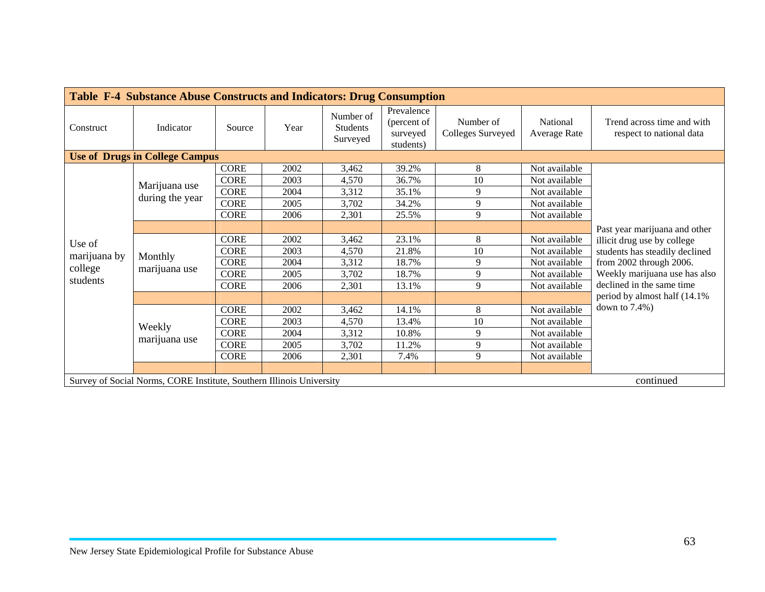| <b>Table F-4 Substance Abuse Constructs and Indicators: Drug Consumption</b> |                                                                      |             |      |                                   |                                                    |                                |                          |                                                                                                                           |  |  |
|------------------------------------------------------------------------------|----------------------------------------------------------------------|-------------|------|-----------------------------------|----------------------------------------------------|--------------------------------|--------------------------|---------------------------------------------------------------------------------------------------------------------------|--|--|
| Construct                                                                    | Indicator                                                            | Source      | Year | Number of<br>Students<br>Surveyed | Prevalence<br>(percent of<br>surveyed<br>students) | Number of<br>Colleges Surveyed | National<br>Average Rate | Trend across time and with<br>respect to national data                                                                    |  |  |
| <b>Use of Drugs in College Campus</b>                                        |                                                                      |             |      |                                   |                                                    |                                |                          |                                                                                                                           |  |  |
|                                                                              |                                                                      | <b>CORE</b> | 2002 | 3,462                             | 39.2%                                              | 8                              | Not available            |                                                                                                                           |  |  |
|                                                                              | Marijuana use                                                        | <b>CORE</b> | 2003 | 4,570                             | 36.7%                                              | 10                             | Not available            |                                                                                                                           |  |  |
|                                                                              |                                                                      | <b>CORE</b> | 2004 | 3,312                             | 35.1%                                              | 9                              | Not available            |                                                                                                                           |  |  |
|                                                                              | during the year                                                      | <b>CORE</b> | 2005 | 3,702                             | 34.2%                                              | 9                              | Not available            |                                                                                                                           |  |  |
|                                                                              |                                                                      | <b>CORE</b> | 2006 | 2,301                             | 25.5%                                              | 9                              | Not available            |                                                                                                                           |  |  |
|                                                                              |                                                                      |             |      |                                   |                                                    |                                |                          | Past year marijuana and other<br>illicit drug use by college<br>students has steadily declined<br>from 2002 through 2006. |  |  |
| Use of                                                                       | Monthly<br>marijuana use                                             | <b>CORE</b> | 2002 | 3,462                             | 23.1%                                              | 8                              | Not available            |                                                                                                                           |  |  |
| marijuana by                                                                 |                                                                      | <b>CORE</b> | 2003 | 4,570                             | 21.8%                                              | 10                             | Not available            |                                                                                                                           |  |  |
|                                                                              |                                                                      | <b>CORE</b> | 2004 | 3,312                             | 18.7%                                              | 9                              | Not available            |                                                                                                                           |  |  |
| college                                                                      |                                                                      | <b>CORE</b> | 2005 | 3,702                             | 18.7%                                              | 9                              | Not available            | Weekly marijuana use has also                                                                                             |  |  |
| students                                                                     |                                                                      | <b>CORE</b> | 2006 | 2,301                             | 13.1%                                              | 9                              | Not available            | declined in the same time                                                                                                 |  |  |
|                                                                              |                                                                      |             |      |                                   |                                                    |                                |                          | period by almost half (14.1%)                                                                                             |  |  |
|                                                                              |                                                                      | <b>CORE</b> | 2002 | 3,462                             | 14.1%                                              | 8                              | Not available            | down to $7.4\%$ )                                                                                                         |  |  |
|                                                                              |                                                                      | <b>CORE</b> | 2003 | 4,570                             | 13.4%                                              | 10                             | Not available            |                                                                                                                           |  |  |
|                                                                              | Weekly                                                               | <b>CORE</b> | 2004 | 3,312                             | 10.8%                                              | 9                              | Not available            |                                                                                                                           |  |  |
|                                                                              | marijuana use                                                        | <b>CORE</b> | 2005 | 3,702                             | 11.2%                                              | 9                              | Not available            |                                                                                                                           |  |  |
|                                                                              |                                                                      | <b>CORE</b> | 2006 | 2,301                             | 7.4%                                               | 9                              | Not available            |                                                                                                                           |  |  |
|                                                                              |                                                                      |             |      |                                   |                                                    |                                |                          |                                                                                                                           |  |  |
|                                                                              | Survey of Social Norms, CORE Institute, Southern Illinois University |             |      |                                   |                                                    |                                |                          | continued                                                                                                                 |  |  |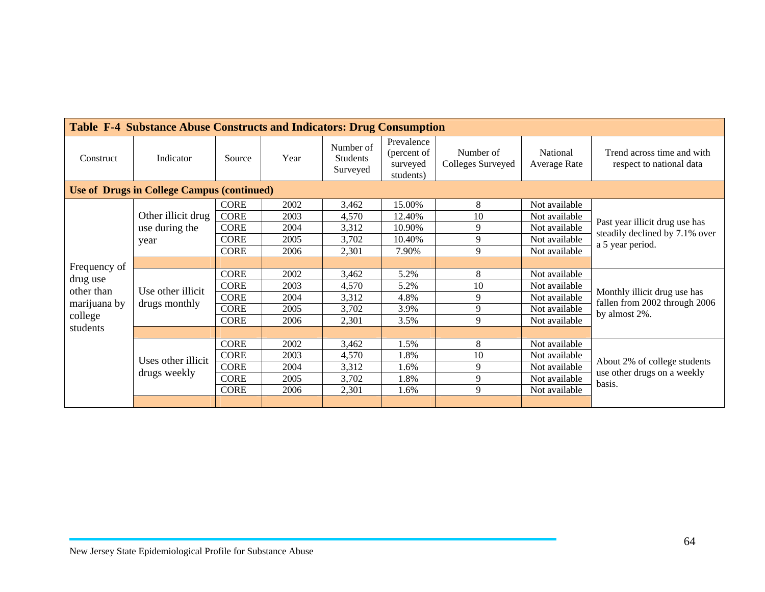| <b>Table F-4 Substance Abuse Constructs and Indicators: Drug Consumption</b> |                    |             |      |                                          |                                                    |                                |                          |                                                                                      |  |  |  |
|------------------------------------------------------------------------------|--------------------|-------------|------|------------------------------------------|----------------------------------------------------|--------------------------------|--------------------------|--------------------------------------------------------------------------------------|--|--|--|
| Construct                                                                    | Indicator          | Source      | Year | Number of<br><b>Students</b><br>Surveyed | Prevalence<br>(percent of<br>surveyed<br>students) | Number of<br>Colleges Surveyed | National<br>Average Rate | Trend across time and with<br>respect to national data                               |  |  |  |
| <b>Use of Drugs in College Campus (continued)</b>                            |                    |             |      |                                          |                                                    |                                |                          |                                                                                      |  |  |  |
|                                                                              |                    | <b>CORE</b> | 2002 | 3,462                                    | 15.00%                                             | 8                              | Not available            |                                                                                      |  |  |  |
|                                                                              | Other illicit drug | <b>CORE</b> | 2003 | 4,570                                    | 12.40%                                             | 10                             | Not available            | Past year illicit drug use has<br>steadily declined by 7.1% over<br>a 5 year period. |  |  |  |
|                                                                              | use during the     | <b>CORE</b> | 2004 | 3,312                                    | 10.90%                                             | 9                              | Not available            |                                                                                      |  |  |  |
|                                                                              | year               | <b>CORE</b> | 2005 | 3,702                                    | 10.40%                                             | 9                              | Not available            |                                                                                      |  |  |  |
|                                                                              |                    | <b>CORE</b> | 2006 | 2,301                                    | 7.90%                                              | 9                              | Not available            |                                                                                      |  |  |  |
| Frequency of                                                                 |                    |             |      |                                          |                                                    |                                |                          |                                                                                      |  |  |  |
| drug use                                                                     | Use other illicit  | <b>CORE</b> | 2002 | 3,462                                    | 5.2%                                               | 8                              | Not available            |                                                                                      |  |  |  |
| other than                                                                   |                    | <b>CORE</b> | 2003 | 4,570                                    | 5.2%                                               | 10                             | Not available            |                                                                                      |  |  |  |
|                                                                              |                    | <b>CORE</b> | 2004 | 3,312                                    | 4.8%                                               | 9                              | Not available            | Monthly illicit drug use has<br>fallen from 2002 through 2006                        |  |  |  |
| marijuana by                                                                 | drugs monthly      | <b>CORE</b> | 2005 | 3,702                                    | 3.9%                                               | 9                              | Not available            | by almost 2%.                                                                        |  |  |  |
| college                                                                      |                    | <b>CORE</b> | 2006 | 2,301                                    | 3.5%                                               | 9                              | Not available            |                                                                                      |  |  |  |
| students                                                                     |                    |             |      |                                          |                                                    |                                |                          |                                                                                      |  |  |  |
|                                                                              |                    | <b>CORE</b> | 2002 | 3,462                                    | 1.5%                                               | 8                              | Not available            |                                                                                      |  |  |  |
|                                                                              | Uses other illicit | <b>CORE</b> | 2003 | 4,570                                    | 1.8%                                               | 10                             | Not available            | About 2% of college students                                                         |  |  |  |
|                                                                              |                    | <b>CORE</b> | 2004 | 3,312                                    | 1.6%                                               | 9                              | Not available            | use other drugs on a weekly                                                          |  |  |  |
|                                                                              | drugs weekly       | <b>CORE</b> | 2005 | 3,702                                    | 1.8%                                               | 9                              | Not available            | basis.                                                                               |  |  |  |
|                                                                              |                    | <b>CORE</b> | 2006 | 2,301                                    | 1.6%                                               | 9                              | Not available            |                                                                                      |  |  |  |
|                                                                              |                    |             |      |                                          |                                                    |                                |                          |                                                                                      |  |  |  |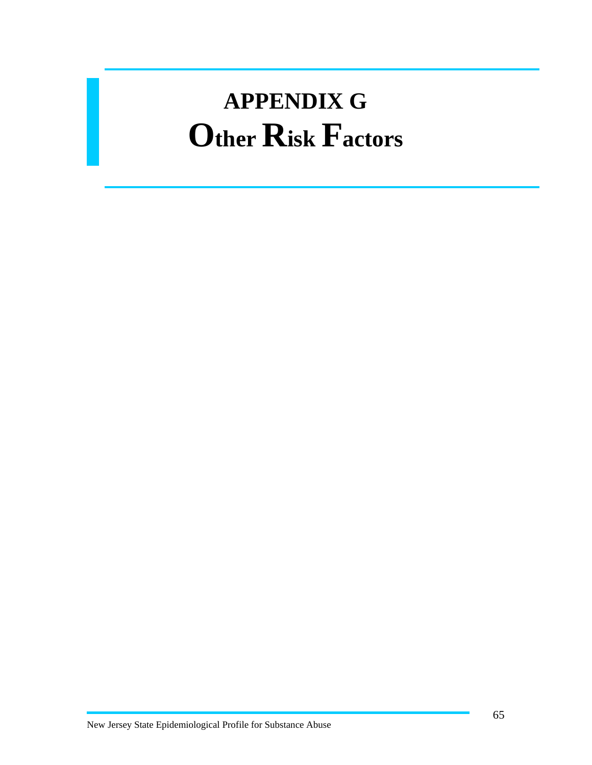#### **APPENDIX G Other Risk Factors**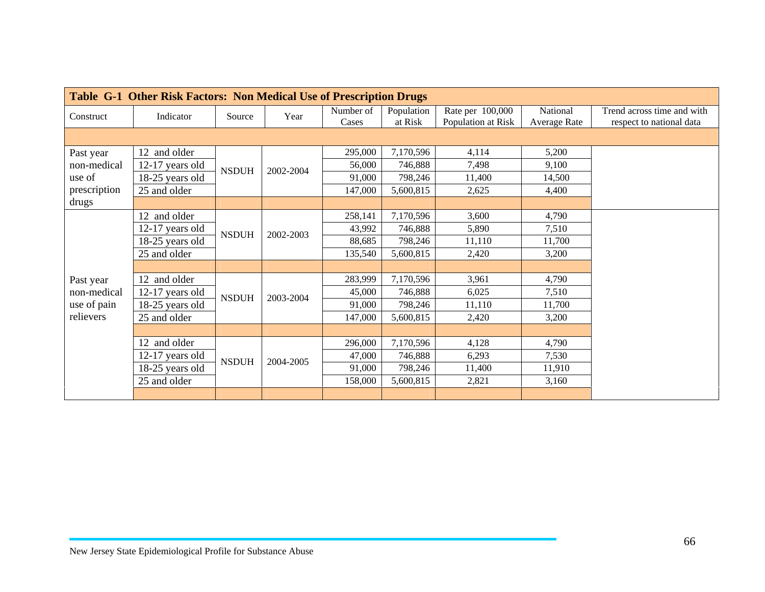| Table G-1 Other Risk Factors: Non Medical Use of Prescription Drugs |                   |                               |           |           |            |                    |                     |                            |  |  |  |
|---------------------------------------------------------------------|-------------------|-------------------------------|-----------|-----------|------------|--------------------|---------------------|----------------------------|--|--|--|
| Construct                                                           | Indicator         | Source                        | Year      | Number of | Population | Rate per 100,000   | National            | Trend across time and with |  |  |  |
|                                                                     |                   |                               |           | Cases     | at Risk    | Population at Risk | <b>Average Rate</b> | respect to national data   |  |  |  |
|                                                                     |                   |                               |           |           |            |                    |                     |                            |  |  |  |
| Past year                                                           | 12 and older      |                               |           | 295,000   | 7,170,596  | 4,114              | 5,200               |                            |  |  |  |
| non-medical                                                         | 12-17 years old   | <b>NSDUH</b>                  | 2002-2004 | 56,000    | 746,888    | 7,498              | 9,100               |                            |  |  |  |
| use of                                                              | 18-25 years old   |                               |           | 91,000    | 798,246    | 11,400             | 14,500              |                            |  |  |  |
| prescription                                                        | 25 and older      |                               |           | 147,000   | 5,600,815  | 2,625              | 4,400               |                            |  |  |  |
| drugs                                                               |                   |                               |           |           |            |                    |                     |                            |  |  |  |
|                                                                     | 12 and older      |                               |           | 258,141   | 7,170,596  | 3,600              | 4,790               |                            |  |  |  |
|                                                                     | 12-17 years old   | <b>NSDUH</b>                  | 2002-2003 | 43,992    | 746,888    | 5,890              | 7,510               |                            |  |  |  |
|                                                                     | 18-25 years old   |                               |           | 88,685    | 798,246    | 11,110             | 11,700              |                            |  |  |  |
|                                                                     | 25 and older      |                               |           | 135,540   | 5,600,815  | 2,420              | 3,200               |                            |  |  |  |
|                                                                     |                   |                               |           |           |            |                    |                     |                            |  |  |  |
| Past year                                                           | 12 and older      |                               |           | 283,999   | 7,170,596  | 3,961              | 4,790               |                            |  |  |  |
| non-medical                                                         | $12-17$ years old | <b>NSDUH</b>                  | 2003-2004 | 45,000    | 746,888    | 6,025              | 7,510               |                            |  |  |  |
| use of pain                                                         | 18-25 years old   |                               |           | 91,000    | 798,246    | 11,110             | 11,700              |                            |  |  |  |
| relievers                                                           | 25 and older      |                               |           | 147,000   | 5,600,815  | 2,420              | 3,200               |                            |  |  |  |
|                                                                     |                   |                               |           |           |            |                    |                     |                            |  |  |  |
|                                                                     | 12 and older      |                               |           | 296,000   | 7,170,596  | 4,128              | 4,790               |                            |  |  |  |
|                                                                     | $12-17$ years old | $\ensuremath{\mathsf{NSDUH}}$ | 2004-2005 | 47,000    | 746,888    | 6,293              | 7,530               |                            |  |  |  |
|                                                                     | 18-25 years old   |                               |           | 91,000    | 798,246    | 11,400             | 11,910              |                            |  |  |  |
|                                                                     | 25 and older      |                               |           | 158,000   | 5,600,815  | 2,821              | 3,160               |                            |  |  |  |
|                                                                     |                   |                               |           |           |            |                    |                     |                            |  |  |  |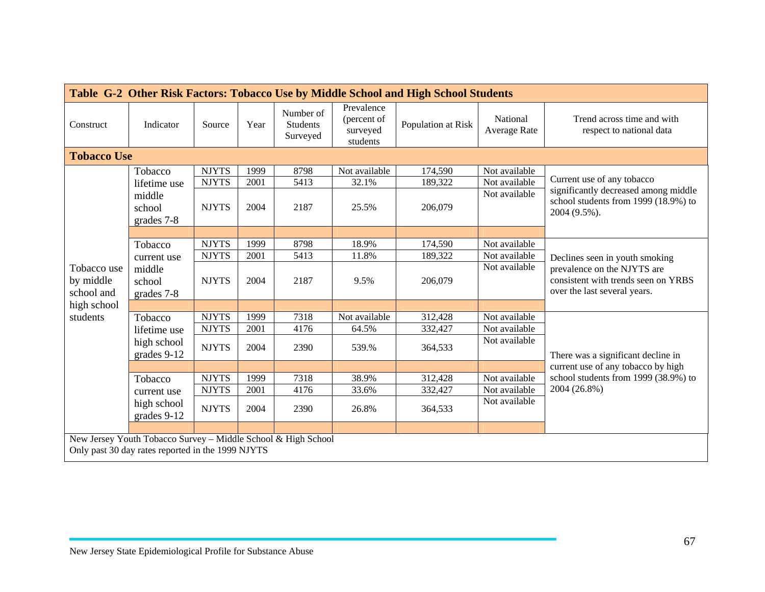| Table G-2 Other Risk Factors: Tobacco Use by Middle School and High School Students |                                                                                                                    |              |      |                                          |                                                   |                    |                          |                                                                                                    |  |  |  |
|-------------------------------------------------------------------------------------|--------------------------------------------------------------------------------------------------------------------|--------------|------|------------------------------------------|---------------------------------------------------|--------------------|--------------------------|----------------------------------------------------------------------------------------------------|--|--|--|
| Construct                                                                           | Indicator                                                                                                          | Source       | Year | Number of<br><b>Students</b><br>Surveyed | Prevalence<br>(percent of<br>surveyed<br>students | Population at Risk | National<br>Average Rate | Trend across time and with<br>respect to national data                                             |  |  |  |
| <b>Tobacco Use</b>                                                                  |                                                                                                                    |              |      |                                          |                                                   |                    |                          |                                                                                                    |  |  |  |
|                                                                                     | Tobacco                                                                                                            | <b>NJYTS</b> | 1999 | 8798                                     | Not available                                     | 174,590            | Not available            |                                                                                                    |  |  |  |
|                                                                                     | lifetime use                                                                                                       | <b>NJYTS</b> | 2001 | 5413                                     | 32.1%                                             | 189,322            | Not available            | Current use of any tobacco                                                                         |  |  |  |
|                                                                                     | middle<br>school<br>grades 7-8                                                                                     | <b>NJYTS</b> | 2004 | 2187                                     | 25.5%                                             | 206,079            | Not available            | significantly decreased among middle<br>school students from 1999 (18.9%) to<br>2004 (9.5%).       |  |  |  |
|                                                                                     |                                                                                                                    |              |      |                                          |                                                   |                    |                          |                                                                                                    |  |  |  |
|                                                                                     | Tobacco                                                                                                            | <b>NJYTS</b> | 1999 | 8798                                     | 18.9%                                             | 174,590            | Not available            |                                                                                                    |  |  |  |
|                                                                                     | current use                                                                                                        | <b>NJYTS</b> | 2001 | 5413                                     | 11.8%                                             | 189,322            | Not available            | Declines seen in youth smoking                                                                     |  |  |  |
| Tobacco use<br>by middle<br>school and                                              | middle<br>school<br>grades 7-8                                                                                     | <b>NJYTS</b> | 2004 | 2187                                     | 9.5%                                              | 206,079            | Not available            | prevalence on the NJYTS are<br>consistent with trends seen on YRBS<br>over the last several years. |  |  |  |
| high school                                                                         |                                                                                                                    |              |      |                                          |                                                   |                    |                          |                                                                                                    |  |  |  |
| students                                                                            | Tobacco                                                                                                            | <b>NJYTS</b> | 1999 | 7318                                     | Not available                                     | 312,428            | Not available            |                                                                                                    |  |  |  |
|                                                                                     | lifetime use                                                                                                       | <b>NJYTS</b> | 2001 | 4176                                     | 64.5%                                             | 332,427            | Not available            |                                                                                                    |  |  |  |
|                                                                                     | high school<br>grades 9-12                                                                                         | <b>NJYTS</b> | 2004 | 2390                                     | 539.%                                             | 364,533            | Not available            | There was a significant decline in                                                                 |  |  |  |
|                                                                                     |                                                                                                                    |              |      |                                          |                                                   |                    |                          | current use of any tobacco by high                                                                 |  |  |  |
|                                                                                     | Tobacco                                                                                                            | <b>NJYTS</b> | 1999 | 7318                                     | 38.9%                                             | 312,428            | Not available            | school students from 1999 (38.9%) to                                                               |  |  |  |
|                                                                                     | current use                                                                                                        | <b>NJYTS</b> | 2001 | 4176                                     | 33.6%                                             | 332,427            | Not available            | 2004 (26.8%)                                                                                       |  |  |  |
|                                                                                     | high school<br>grades 9-12                                                                                         | <b>NJYTS</b> | 2004 | 2390                                     | 26.8%                                             | 364,533            | Not available            |                                                                                                    |  |  |  |
|                                                                                     |                                                                                                                    |              |      |                                          |                                                   |                    |                          |                                                                                                    |  |  |  |
|                                                                                     | New Jersey Youth Tobacco Survey - Middle School & High School<br>Only past 30 day rates reported in the 1999 NJYTS |              |      |                                          |                                                   |                    |                          |                                                                                                    |  |  |  |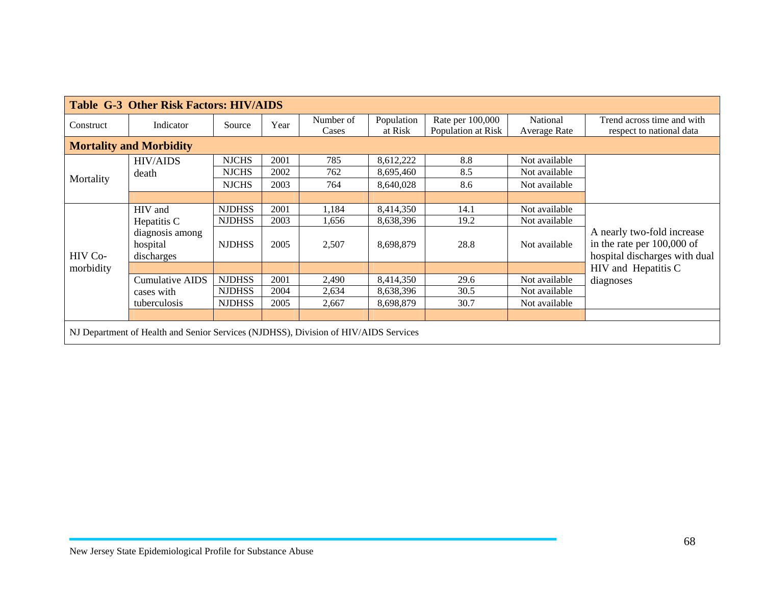| <b>Table G-3 Other Risk Factors: HIV/AIDS</b>                                       |                                           |               |      |                    |                       |                                        |                          |                                                                                             |  |  |
|-------------------------------------------------------------------------------------|-------------------------------------------|---------------|------|--------------------|-----------------------|----------------------------------------|--------------------------|---------------------------------------------------------------------------------------------|--|--|
| Construct                                                                           | Indicator                                 | Source        | Year | Number of<br>Cases | Population<br>at Risk | Rate per 100,000<br>Population at Risk | National<br>Average Rate | Trend across time and with<br>respect to national data                                      |  |  |
| <b>Mortality and Morbidity</b>                                                      |                                           |               |      |                    |                       |                                        |                          |                                                                                             |  |  |
| Mortality                                                                           | <b>HIV/AIDS</b>                           | <b>NJCHS</b>  | 2001 | 785                | 8,612,222             | 8.8                                    | Not available            |                                                                                             |  |  |
|                                                                                     | death                                     | <b>NJCHS</b>  | 2002 | 762                | 8,695,460             | 8.5                                    | Not available            |                                                                                             |  |  |
|                                                                                     |                                           | <b>NJCHS</b>  | 2003 | 764                | 8,640,028             | 8.6                                    | Not available            |                                                                                             |  |  |
|                                                                                     |                                           |               |      |                    |                       |                                        |                          |                                                                                             |  |  |
| HIV Co-<br>morbidity                                                                | HIV and                                   | <b>NJDHSS</b> | 2001 | 1,184              | 8,414,350             | 14.1                                   | Not available            | A nearly two-fold increase<br>in the rate per $100,000$ of<br>hospital discharges with dual |  |  |
|                                                                                     | Hepatitis C                               | <b>NJDHSS</b> | 2003 | 1,656              | 8,638,396             | 19.2                                   | Not available            |                                                                                             |  |  |
|                                                                                     | diagnosis among<br>hospital<br>discharges | <b>NJDHSS</b> | 2005 | 2,507              | 8,698,879             | 28.8                                   | Not available            |                                                                                             |  |  |
|                                                                                     |                                           |               |      |                    |                       |                                        |                          | HIV and Hepatitis C                                                                         |  |  |
|                                                                                     | Cumulative AIDS                           | <b>NJDHSS</b> | 2001 | 2,490              | 8,414,350             | 29.6                                   | Not available            | diagnoses                                                                                   |  |  |
|                                                                                     | cases with                                | <b>NJDHSS</b> | 2004 | 2,634              | 8,638,396             | 30.5                                   | Not available            |                                                                                             |  |  |
|                                                                                     | tuberculosis                              | <b>NJDHSS</b> | 2005 | 2,667              | 8,698,879             | 30.7                                   | Not available            |                                                                                             |  |  |
|                                                                                     |                                           |               |      |                    |                       |                                        |                          |                                                                                             |  |  |
| NJ Department of Health and Senior Services (NJDHSS), Division of HIV/AIDS Services |                                           |               |      |                    |                       |                                        |                          |                                                                                             |  |  |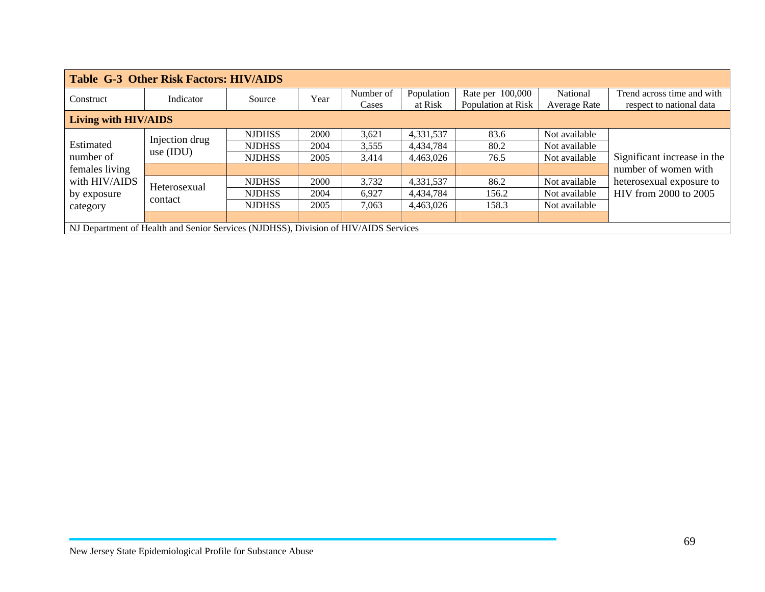| <b>Table G-3 Other Risk Factors: HIV/AIDS</b>                                        |                               |               |      |           |            |                    |               |                                                   |  |  |
|--------------------------------------------------------------------------------------|-------------------------------|---------------|------|-----------|------------|--------------------|---------------|---------------------------------------------------|--|--|
| Construct                                                                            | Indicator                     | Source        | Year | Number of | Population | Rate per 100,000   | National      | Trend across time and with                        |  |  |
|                                                                                      |                               |               |      | Cases     | at Risk    | Population at Risk | Average Rate  | respect to national data                          |  |  |
| <b>Living with HIV/AIDS</b>                                                          |                               |               |      |           |            |                    |               |                                                   |  |  |
| Estimated<br>number of<br>females living<br>with HIV/AIDS<br>by exposure<br>category | Injection drug<br>use $(IDU)$ | <b>NJDHSS</b> | 2000 | 3,621     | 4,331,537  | 83.6               | Not available |                                                   |  |  |
|                                                                                      |                               | <b>NJDHSS</b> | 2004 | 3,555     | 4,434,784  | 80.2               | Not available | Significant increase in the                       |  |  |
|                                                                                      |                               | <b>NJDHSS</b> | 2005 | 3,414     | 4.463.026  | 76.5               | Not available |                                                   |  |  |
|                                                                                      |                               |               |      |           |            |                    |               | number of women with                              |  |  |
|                                                                                      | Heterosexual<br>contact       | <b>NJDHSS</b> | 2000 | 3,732     | 4,331,537  | 86.2               | Not available | heterosexual exposure to<br>HIV from 2000 to 2005 |  |  |
|                                                                                      |                               | <b>NJDHSS</b> | 2004 | 6.927     | 4,434,784  | 156.2              | Not available |                                                   |  |  |
|                                                                                      |                               | <b>NJDHSS</b> | 2005 | 7,063     | 4,463,026  | 158.3              | Not available |                                                   |  |  |
|                                                                                      |                               |               |      |           |            |                    |               |                                                   |  |  |
| NJ Department of Health and Senior Services (NJDHSS), Division of HIV/AIDS Services  |                               |               |      |           |            |                    |               |                                                   |  |  |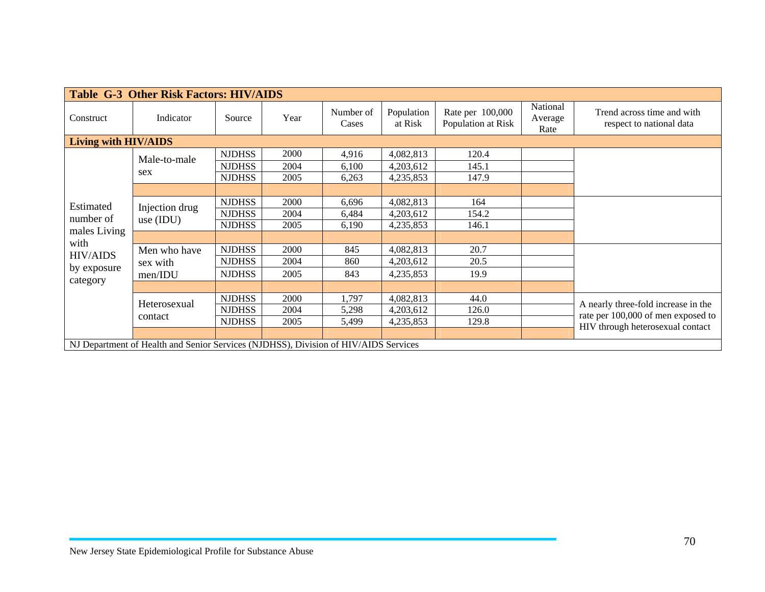| <b>Table G-3 Other Risk Factors: HIV/AIDS</b>                                       |                               |               |      |                    |                       |                                        |                             |                                                                                                               |  |
|-------------------------------------------------------------------------------------|-------------------------------|---------------|------|--------------------|-----------------------|----------------------------------------|-----------------------------|---------------------------------------------------------------------------------------------------------------|--|
| Construct                                                                           | Indicator                     | Source        | Year | Number of<br>Cases | Population<br>at Risk | Rate per 100,000<br>Population at Risk | National<br>Average<br>Rate | Trend across time and with<br>respect to national data                                                        |  |
| Living with HIV/AIDS                                                                |                               |               |      |                    |                       |                                        |                             |                                                                                                               |  |
| Estimated<br>number of<br>males Living                                              | Male-to-male<br>sex           | <b>NJDHSS</b> | 2000 | 4,916              | 4,082,813             | 120.4                                  |                             |                                                                                                               |  |
|                                                                                     |                               | <b>NJDHSS</b> | 2004 | 6,100              | 4,203,612             | 145.1                                  |                             |                                                                                                               |  |
|                                                                                     |                               | <b>NJDHSS</b> | 2005 | 6,263              | 4,235,853             | 147.9                                  |                             |                                                                                                               |  |
|                                                                                     |                               |               |      |                    |                       |                                        |                             |                                                                                                               |  |
|                                                                                     | Injection drug<br>use $(IDU)$ | <b>NJDHSS</b> | 2000 | 6,696              | 4,082,813             | 164                                    |                             |                                                                                                               |  |
|                                                                                     |                               | <b>NJDHSS</b> | 2004 | 6,484              | 4,203,612             | 154.2                                  |                             |                                                                                                               |  |
|                                                                                     |                               | <b>NJDHSS</b> | 2005 | 6,190              | 4,235,853             | 146.1                                  |                             |                                                                                                               |  |
| with                                                                                |                               |               |      |                    |                       |                                        |                             |                                                                                                               |  |
| <b>HIV/AIDS</b><br>by exposure<br>category                                          | Men who have<br>sex with      | <b>NJDHSS</b> | 2000 | 845                | 4,082,813             | 20.7                                   |                             |                                                                                                               |  |
|                                                                                     |                               | <b>NJDHSS</b> | 2004 | 860                | 4,203,612             | 20.5                                   |                             |                                                                                                               |  |
|                                                                                     | men/IDU                       | <b>NJDHSS</b> | 2005 | 843                | 4,235,853             | 19.9                                   |                             |                                                                                                               |  |
|                                                                                     |                               |               |      |                    |                       |                                        |                             |                                                                                                               |  |
|                                                                                     | Heterosexual<br>contact       | <b>NJDHSS</b> | 2000 | 1,797              | 4,082,813             | 44.0                                   |                             | A nearly three-fold increase in the<br>rate per 100,000 of men exposed to<br>HIV through heterosexual contact |  |
|                                                                                     |                               | <b>NJDHSS</b> | 2004 | 5,298              | 4,203,612             | 126.0                                  |                             |                                                                                                               |  |
|                                                                                     |                               | <b>NJDHSS</b> | 2005 | 5,499              | 4,235,853             | 129.8                                  |                             |                                                                                                               |  |
|                                                                                     |                               |               |      |                    |                       |                                        |                             |                                                                                                               |  |
| NJ Department of Health and Senior Services (NJDHSS), Division of HIV/AIDS Services |                               |               |      |                    |                       |                                        |                             |                                                                                                               |  |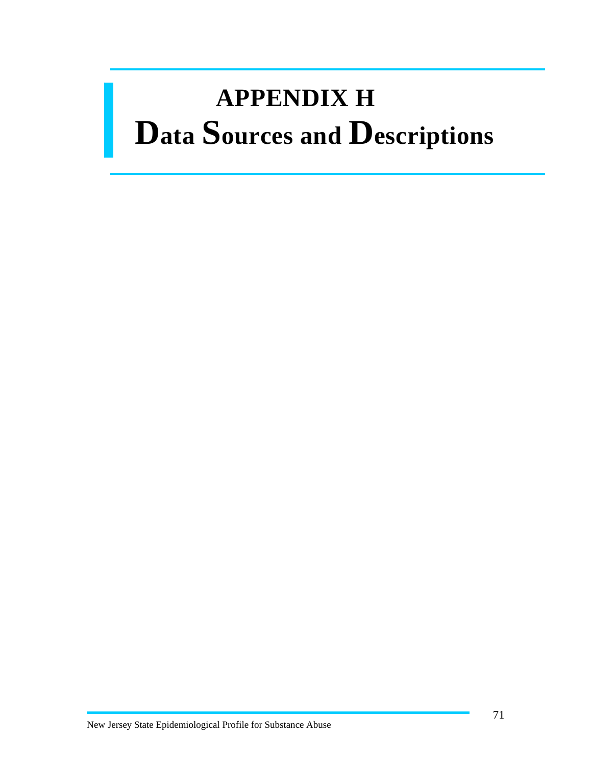## **APPENDIX H Data Sources and Descriptions**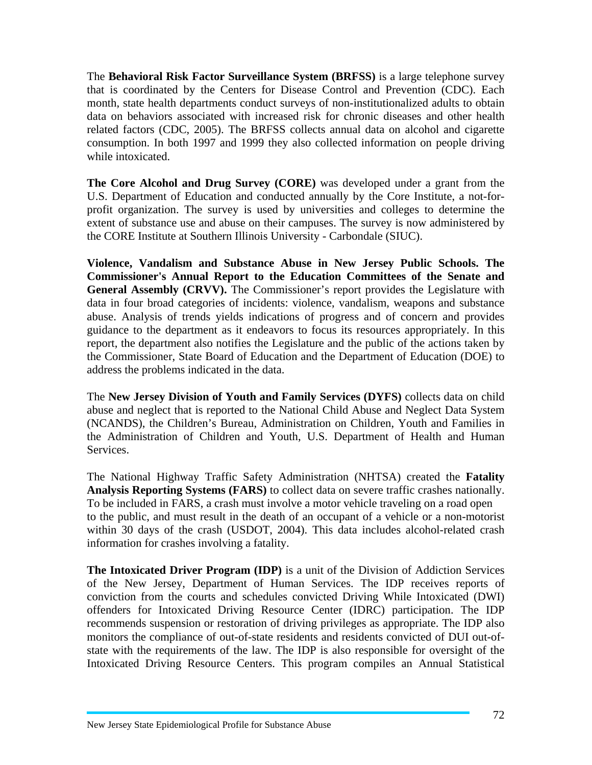The **Behavioral Risk Factor Surveillance System (BRFSS)** is a large telephone survey that is coordinated by the Centers for Disease Control and Prevention (CDC). Each month, state health departments conduct surveys of non-institutionalized adults to obtain data on behaviors associated with increased risk for chronic diseases and other health related factors (CDC, 2005). The BRFSS collects annual data on alcohol and cigarette consumption. In both 1997 and 1999 they also collected information on people driving while intoxicated.

**The Core Alcohol and Drug Survey (CORE)** was developed under a grant from the U.S. Department of Education and conducted annually by the Core Institute, a not-forprofit organization. The survey is used by universities and colleges to determine the extent of substance use and abuse on their campuses. The survey is now administered by the CORE Institute at Southern Illinois University - Carbondale (SIUC).

**Violence, Vandalism and Substance Abuse in New Jersey Public Schools. The Commissioner's Annual Report to the Education Committees of the Senate and General Assembly (CRVV).** The Commissioner's report provides the Legislature with data in four broad categories of incidents: violence, vandalism, weapons and substance abuse. Analysis of trends yields indications of progress and of concern and provides guidance to the department as it endeavors to focus its resources appropriately. In this report, the department also notifies the Legislature and the public of the actions taken by the Commissioner, State Board of Education and the Department of Education (DOE) to address the problems indicated in the data.

The **New Jersey Division of Youth and Family Services (DYFS)** collects data on child abuse and neglect that is reported to the National Child Abuse and Neglect Data System (NCANDS), the Children's Bureau, Administration on Children, Youth and Families in the Administration of Children and Youth, U.S. Department of Health and Human Services.

The National Highway Traffic Safety Administration (NHTSA) created the **Fatality Analysis Reporting Systems (FARS)** to collect data on severe traffic crashes nationally. To be included in FARS, a crash must involve a motor vehicle traveling on a road open to the public, and must result in the death of an occupant of a vehicle or a non-motorist within 30 days of the crash (USDOT, 2004). This data includes alcohol-related crash information for crashes involving a fatality.

**The Intoxicated Driver Program (IDP)** is a unit of the Division of Addiction Services of the New Jersey, Department of Human Services. The IDP receives reports of conviction from the courts and schedules convicted Driving While Intoxicated (DWI) offenders for Intoxicated Driving Resource Center (IDRC) participation. The IDP recommends suspension or restoration of driving privileges as appropriate. The IDP also monitors the compliance of out-of-state residents and residents convicted of DUI out-ofstate with the requirements of the law. The IDP is also responsible for oversight of the Intoxicated Driving Resource Centers. This program compiles an Annual Statistical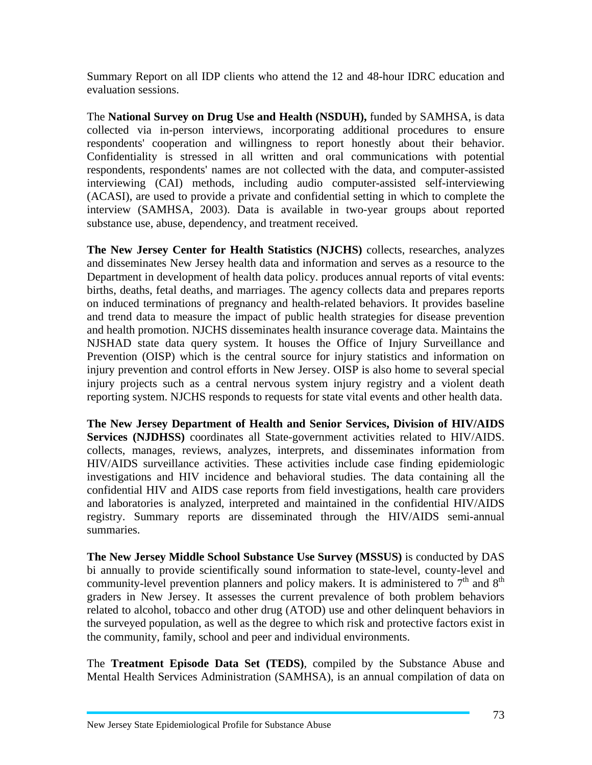Summary Report on all IDP clients who attend the 12 and 48-hour IDRC education and evaluation sessions.

The **National Survey on Drug Use and Health (NSDUH),** funded by SAMHSA, is data collected via in-person interviews, incorporating additional procedures to ensure respondents' cooperation and willingness to report honestly about their behavior. Confidentiality is stressed in all written and oral communications with potential respondents, respondents' names are not collected with the data, and computer-assisted interviewing (CAI) methods, including audio computer-assisted self-interviewing (ACASI), are used to provide a private and confidential setting in which to complete the interview (SAMHSA, 2003). Data is available in two-year groups about reported substance use, abuse, dependency, and treatment received.

**The New Jersey Center for Health Statistics (NJCHS)** collects, researches, analyzes and disseminates New Jersey health data and information and serves as a resource to the Department in development of health data policy. produces annual reports of vital events: births, deaths, fetal deaths, and marriages. The agency collects data and prepares reports on induced terminations of pregnancy and health-related behaviors. It provides baseline and trend data to measure the impact of public health strategies for disease prevention and health promotion. NJCHS disseminates health insurance coverage data. Maintains the NJSHAD state data query system. It houses the Office of Injury Surveillance and Prevention (OISP) which is the central source for injury statistics and information on injury prevention and control efforts in New Jersey. OISP is also home to several special injury projects such as a central nervous system injury registry and a violent death reporting system. NJCHS responds to requests for state vital events and other health data.

**The New Jersey Department of Health and Senior Services, Division of HIV/AIDS Services (NJDHSS)** coordinates all State-government activities related to HIV/AIDS. collects, manages, reviews, analyzes, interprets, and disseminates information from HIV/AIDS surveillance activities. These activities include case finding epidemiologic investigations and HIV incidence and behavioral studies. The data containing all the confidential HIV and AIDS case reports from field investigations, health care providers and laboratories is analyzed, interpreted and maintained in the confidential HIV/AIDS registry. Summary reports are disseminated through the HIV/AIDS semi-annual summaries.

**The New Jersey Middle School Substance Use Survey (MSSUS)** is conducted by DAS bi annually to provide scientifically sound information to state-level, county-level and community-level prevention planners and policy makers. It is administered to  $7<sup>th</sup>$  and  $8<sup>th</sup>$ graders in New Jersey. It assesses the current prevalence of both problem behaviors related to alcohol, tobacco and other drug (ATOD) use and other delinquent behaviors in the surveyed population, as well as the degree to which risk and protective factors exist in the community, family, school and peer and individual environments.

The **Treatment Episode Data Set (TEDS)**, compiled by the Substance Abuse and Mental Health Services Administration (SAMHSA), is an annual compilation of data on